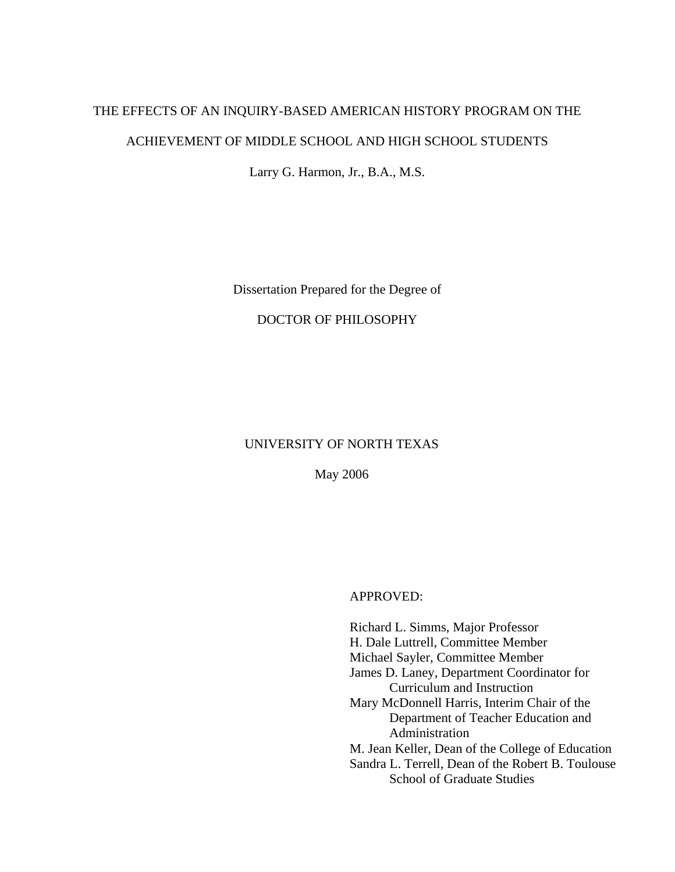# THE EFFECTS OF AN INQUIRY-BASED AMERICAN HISTORY PROGRAM ON THE ACHIEVEMENT OF MIDDLE SCHOOL AND HIGH SCHOOL STUDENTS

Larry G. Harmon, Jr., B.A., M.S.

Dissertation Prepared for the Degree of

# DOCTOR OF PHILOSOPHY

# UNIVERSITY OF NORTH TEXAS

May 2006

APPROVED:

Richard L. Simms, Major Professor H. Dale Luttrell, Committee Member Michael Sayler, Committee Member James D. Laney, Department Coordinator for Curriculum and Instruction Mary McDonnell Harris, Interim Chair of the Department of Teacher Education and Administration M. Jean Keller, Dean of the College of Education Sandra L. Terrell, Dean of the Robert B. Toulouse School of Graduate Studies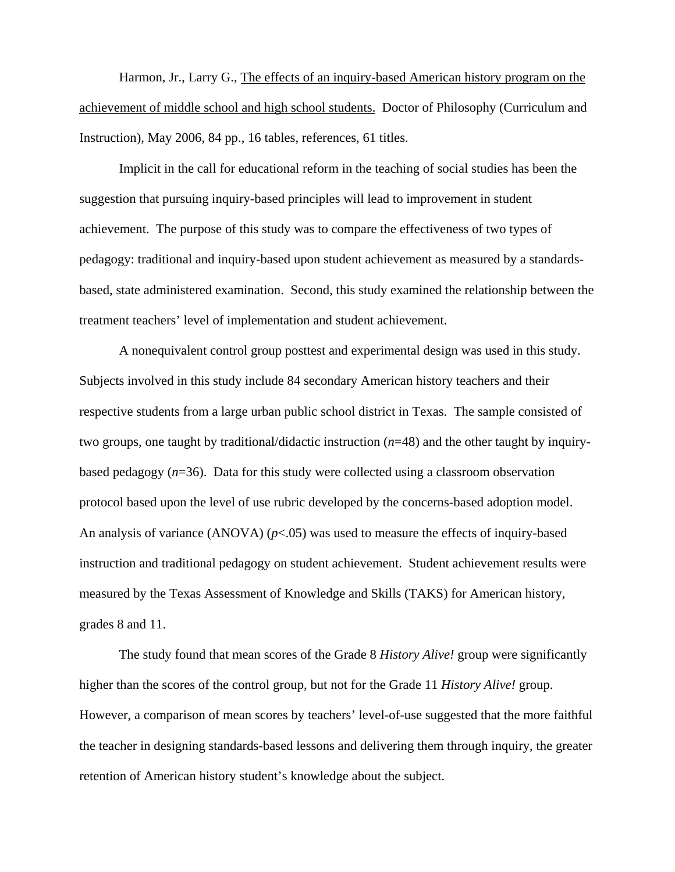Harmon, Jr., Larry G., The effects of an inquiry-based American history program on the achievement of middle school and high school students. Doctor of Philosophy (Curriculum and Instruction), May 2006, 84 pp., 16 tables, references, 61 titles.

Implicit in the call for educational reform in the teaching of social studies has been the suggestion that pursuing inquiry-based principles will lead to improvement in student achievement. The purpose of this study was to compare the effectiveness of two types of pedagogy: traditional and inquiry-based upon student achievement as measured by a standardsbased, state administered examination. Second, this study examined the relationship between the treatment teachers' level of implementation and student achievement.

A nonequivalent control group posttest and experimental design was used in this study. Subjects involved in this study include 84 secondary American history teachers and their respective students from a large urban public school district in Texas. The sample consisted of two groups, one taught by traditional/didactic instruction (*n*=48) and the other taught by inquirybased pedagogy (*n*=36). Data for this study were collected using a classroom observation protocol based upon the level of use rubric developed by the concerns-based adoption model. An analysis of variance (ANOVA) ( $p$ <.05) was used to measure the effects of inquiry-based instruction and traditional pedagogy on student achievement. Student achievement results were measured by the Texas Assessment of Knowledge and Skills (TAKS) for American history, grades 8 and 11.

The study found that mean scores of the Grade 8 *History Alive!* group were significantly higher than the scores of the control group, but not for the Grade 11 *History Alive!* group. However, a comparison of mean scores by teachers' level-of-use suggested that the more faithful the teacher in designing standards-based lessons and delivering them through inquiry, the greater retention of American history student's knowledge about the subject.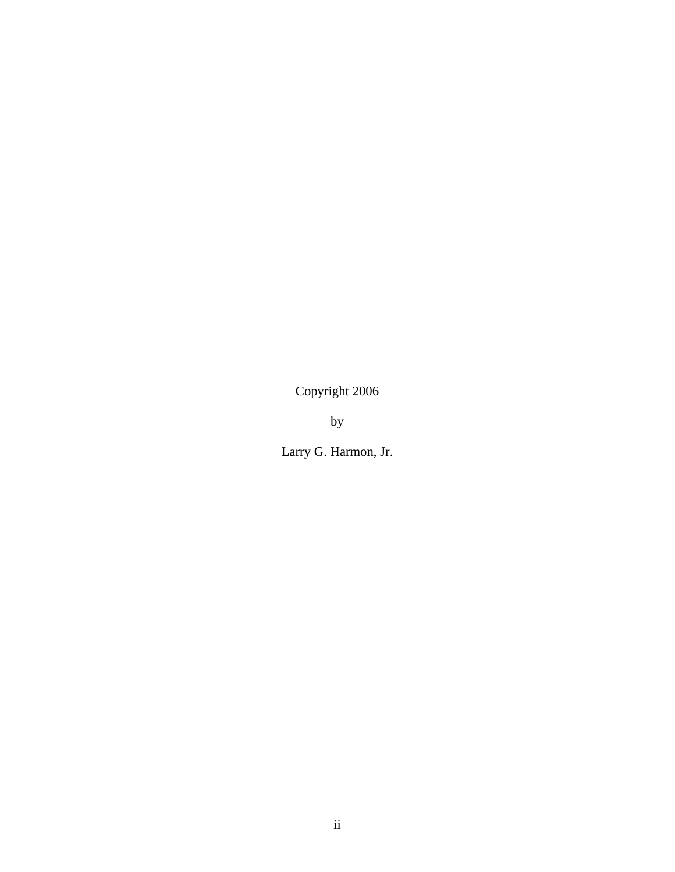Copyright 2006

by

Larry G. Harmon, Jr.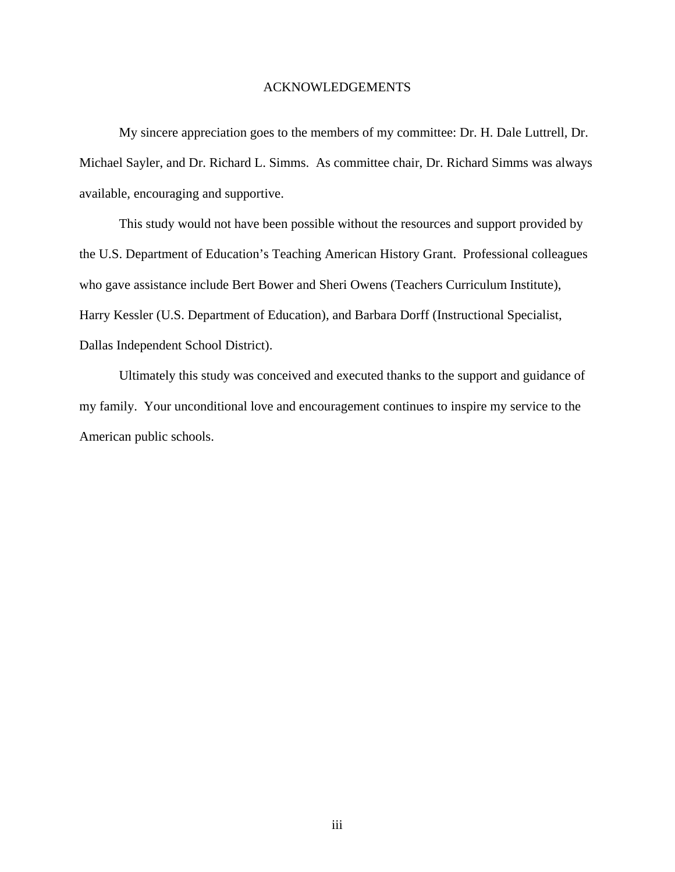# ACKNOWLEDGEMENTS

 My sincere appreciation goes to the members of my committee: Dr. H. Dale Luttrell, Dr. Michael Sayler, and Dr. Richard L. Simms. As committee chair, Dr. Richard Simms was always available, encouraging and supportive.

 This study would not have been possible without the resources and support provided by the U.S. Department of Education's Teaching American History Grant. Professional colleagues who gave assistance include Bert Bower and Sheri Owens (Teachers Curriculum Institute), Harry Kessler (U.S. Department of Education), and Barbara Dorff (Instructional Specialist, Dallas Independent School District).

 Ultimately this study was conceived and executed thanks to the support and guidance of my family. Your unconditional love and encouragement continues to inspire my service to the American public schools.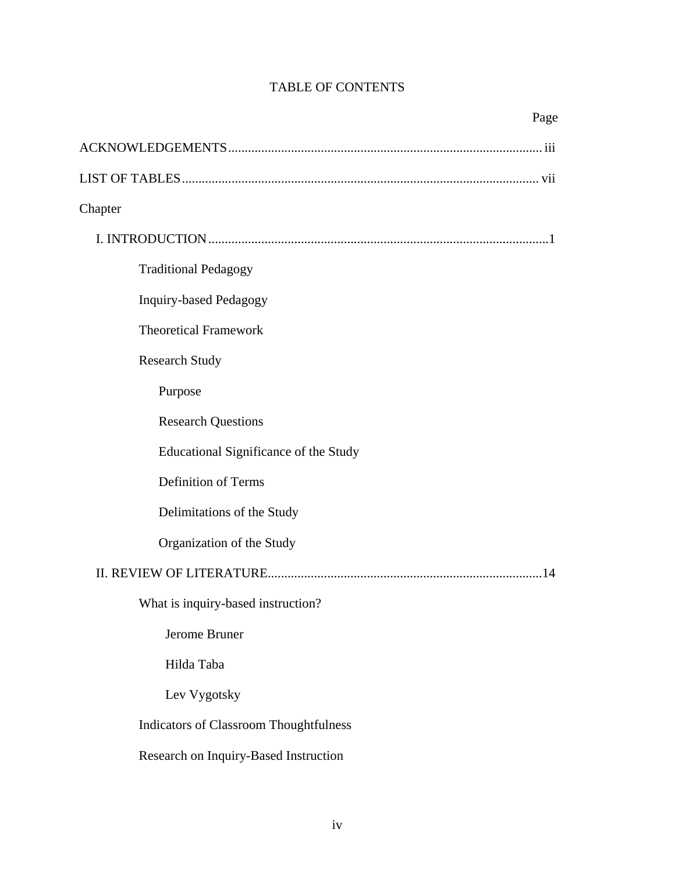# TABLE OF CONTENTS

| Page                                          |
|-----------------------------------------------|
|                                               |
|                                               |
| Chapter                                       |
|                                               |
| <b>Traditional Pedagogy</b>                   |
| <b>Inquiry-based Pedagogy</b>                 |
| <b>Theoretical Framework</b>                  |
| <b>Research Study</b>                         |
| Purpose                                       |
| <b>Research Questions</b>                     |
| Educational Significance of the Study         |
| <b>Definition of Terms</b>                    |
| Delimitations of the Study                    |
| Organization of the Study                     |
|                                               |
| What is inquiry-based instruction?            |
| Jerome Bruner                                 |
| Hilda Taba                                    |
| Lev Vygotsky                                  |
| <b>Indicators of Classroom Thoughtfulness</b> |
| Research on Inquiry-Based Instruction         |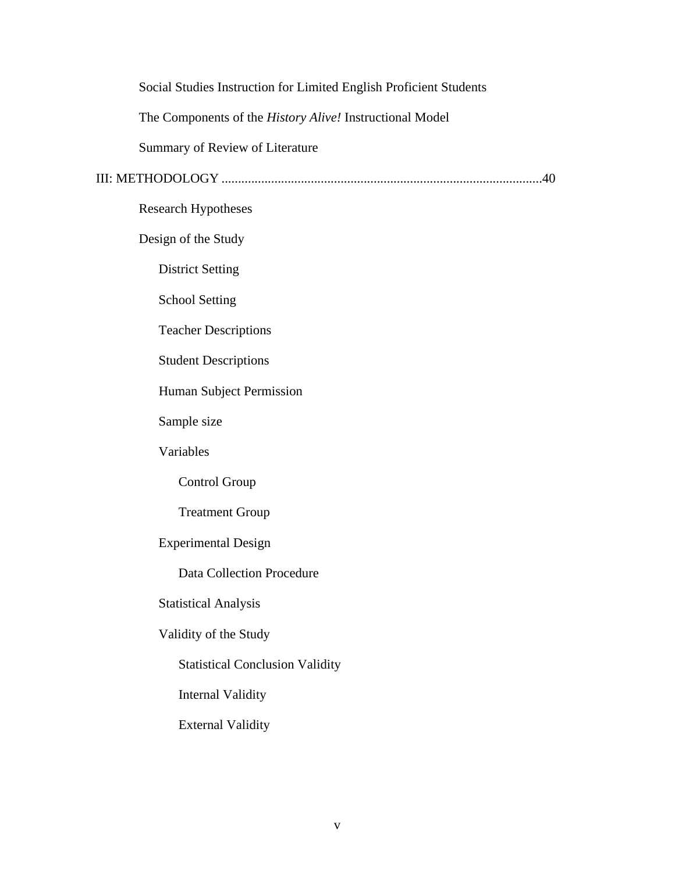Social Studies Instruction for Limited English Proficient Students The Components of the *History Alive!* Instructional Model Summary of Review of Literature III: METHODOLOGY .................................................................................................40 Research Hypotheses Design of the Study District Setting School Setting Teacher Descriptions Student Descriptions Human Subject Permission Sample size Variables Control Group Treatment Group Experimental Design Data Collection Procedure Statistical Analysis Validity of the Study Statistical Conclusion Validity Internal Validity External Validity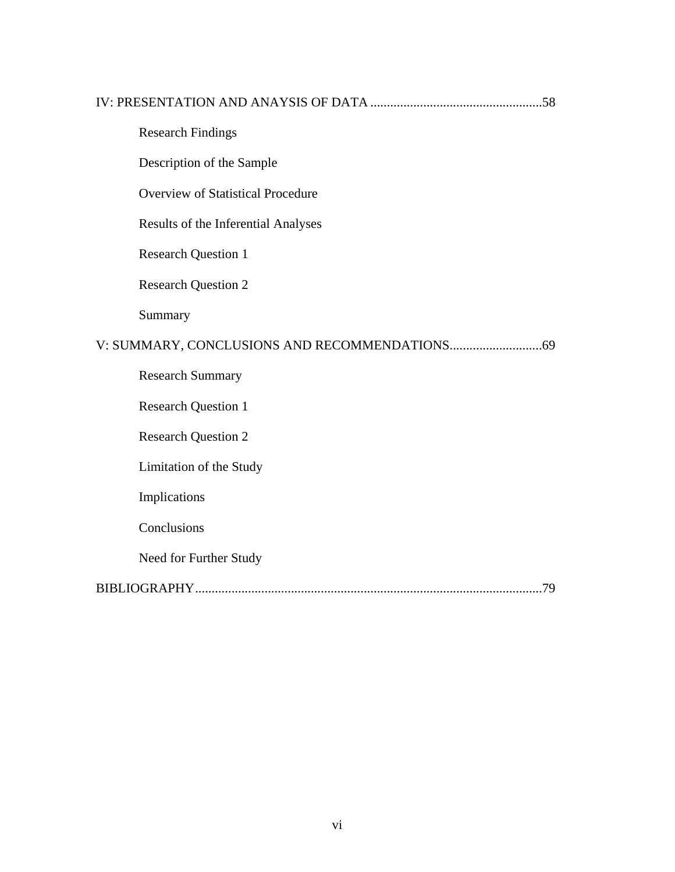| <b>Research Findings</b>                 |  |
|------------------------------------------|--|
| Description of the Sample                |  |
| <b>Overview of Statistical Procedure</b> |  |
| Results of the Inferential Analyses      |  |
| <b>Research Question 1</b>               |  |
| <b>Research Question 2</b>               |  |
| Summary                                  |  |
|                                          |  |
| <b>Research Summary</b>                  |  |
| <b>Research Question 1</b>               |  |
| <b>Research Question 2</b>               |  |
| Limitation of the Study                  |  |
| Implications                             |  |
| Conclusions                              |  |
| Need for Further Study                   |  |
|                                          |  |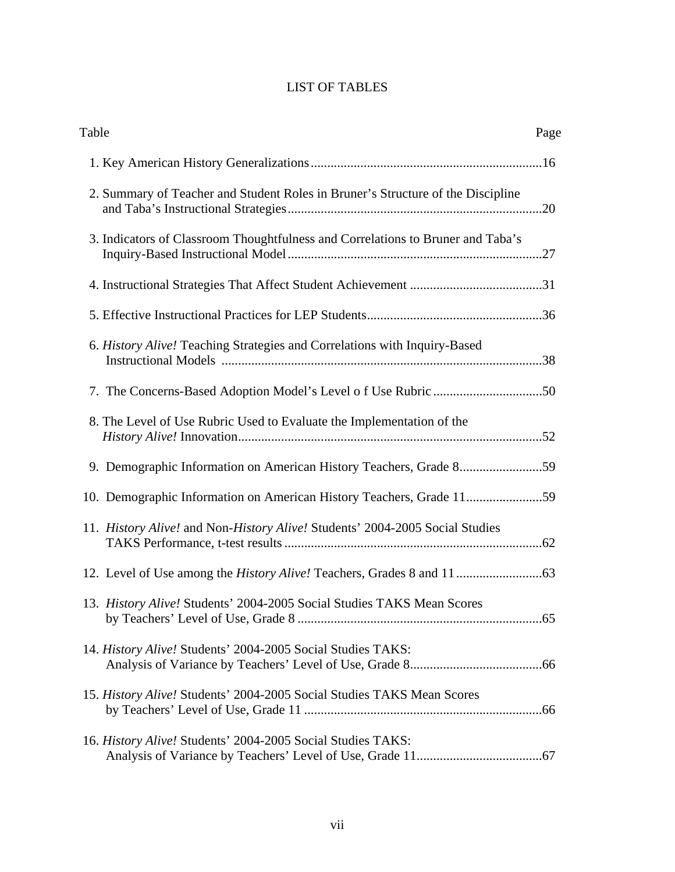# LIST OF TABLES

| Table                                                                           | Page |
|---------------------------------------------------------------------------------|------|
|                                                                                 |      |
| 2. Summary of Teacher and Student Roles in Bruner's Structure of the Discipline |      |
| 3. Indicators of Classroom Thoughtfulness and Correlations to Bruner and Taba's |      |
|                                                                                 |      |
|                                                                                 |      |
| 6. History Alive! Teaching Strategies and Correlations with Inquiry-Based       |      |
|                                                                                 |      |
| 8. The Level of Use Rubric Used to Evaluate the Implementation of the           |      |
| 9. Demographic Information on American History Teachers, Grade 859              |      |
|                                                                                 |      |
| 11. History Alive! and Non-History Alive! Students' 2004-2005 Social Studies    |      |
|                                                                                 |      |
| 13. History Alive! Students' 2004-2005 Social Studies TAKS Mean Scores          |      |
| 14. History Alive! Students' 2004-2005 Social Studies TAKS:                     |      |
| 15. History Alive! Students' 2004-2005 Social Studies TAKS Mean Scores          |      |
| 16. History Alive! Students' 2004-2005 Social Studies TAKS:                     |      |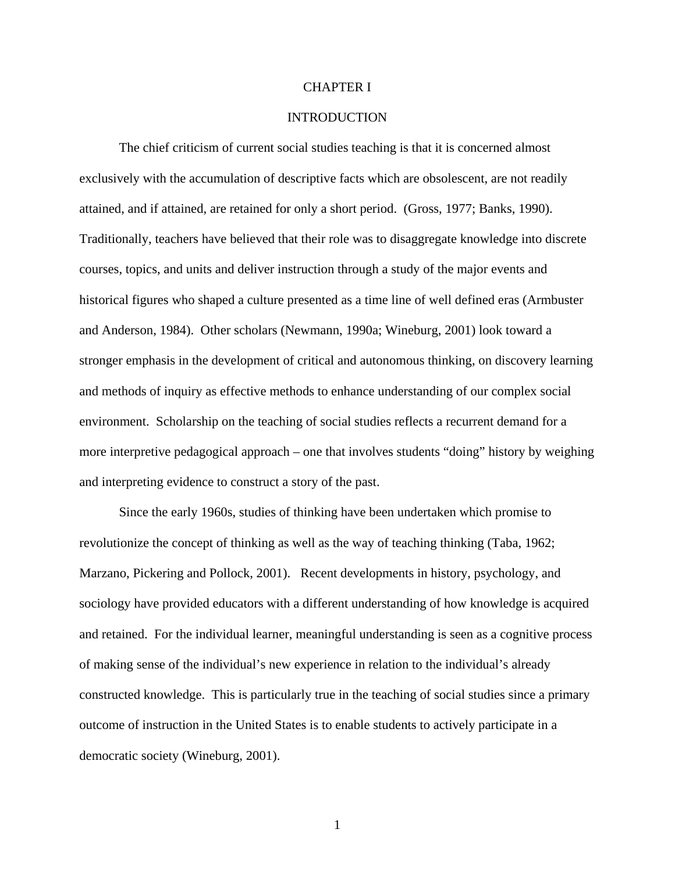## CHAPTER I

# INTRODUCTION

The chief criticism of current social studies teaching is that it is concerned almost exclusively with the accumulation of descriptive facts which are obsolescent, are not readily attained, and if attained, are retained for only a short period. (Gross, 1977; Banks, 1990). Traditionally, teachers have believed that their role was to disaggregate knowledge into discrete courses, topics, and units and deliver instruction through a study of the major events and historical figures who shaped a culture presented as a time line of well defined eras (Armbuster and Anderson, 1984). Other scholars (Newmann, 1990a; Wineburg, 2001) look toward a stronger emphasis in the development of critical and autonomous thinking, on discovery learning and methods of inquiry as effective methods to enhance understanding of our complex social environment. Scholarship on the teaching of social studies reflects a recurrent demand for a more interpretive pedagogical approach – one that involves students "doing" history by weighing and interpreting evidence to construct a story of the past.

Since the early 1960s, studies of thinking have been undertaken which promise to revolutionize the concept of thinking as well as the way of teaching thinking (Taba, 1962; Marzano, Pickering and Pollock, 2001). Recent developments in history, psychology, and sociology have provided educators with a different understanding of how knowledge is acquired and retained. For the individual learner, meaningful understanding is seen as a cognitive process of making sense of the individual's new experience in relation to the individual's already constructed knowledge. This is particularly true in the teaching of social studies since a primary outcome of instruction in the United States is to enable students to actively participate in a democratic society (Wineburg, 2001).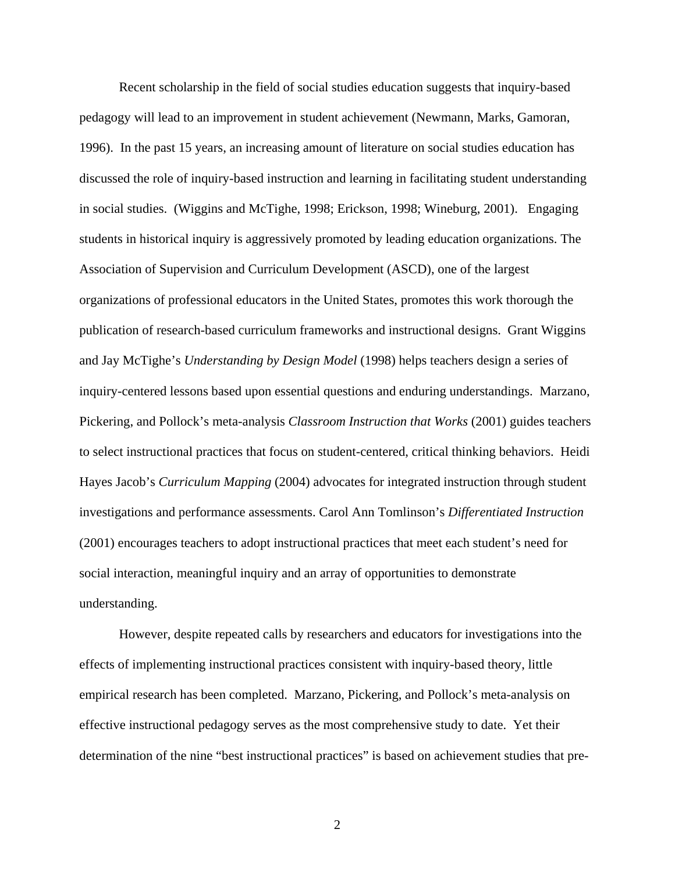Recent scholarship in the field of social studies education suggests that inquiry-based pedagogy will lead to an improvement in student achievement (Newmann, Marks, Gamoran, 1996). In the past 15 years, an increasing amount of literature on social studies education has discussed the role of inquiry-based instruction and learning in facilitating student understanding in social studies. (Wiggins and McTighe, 1998; Erickson, 1998; Wineburg, 2001). Engaging students in historical inquiry is aggressively promoted by leading education organizations. The Association of Supervision and Curriculum Development (ASCD), one of the largest organizations of professional educators in the United States, promotes this work thorough the publication of research-based curriculum frameworks and instructional designs. Grant Wiggins and Jay McTighe's *Understanding by Design Model* (1998) helps teachers design a series of inquiry-centered lessons based upon essential questions and enduring understandings. Marzano, Pickering, and Pollock's meta-analysis *Classroom Instruction that Works* (2001) guides teachers to select instructional practices that focus on student-centered, critical thinking behaviors. Heidi Hayes Jacob's *Curriculum Mapping* (2004) advocates for integrated instruction through student investigations and performance assessments. Carol Ann Tomlinson's *Differentiated Instruction* (2001) encourages teachers to adopt instructional practices that meet each student's need for social interaction, meaningful inquiry and an array of opportunities to demonstrate understanding.

 However, despite repeated calls by researchers and educators for investigations into the effects of implementing instructional practices consistent with inquiry-based theory, little empirical research has been completed. Marzano, Pickering, and Pollock's meta-analysis on effective instructional pedagogy serves as the most comprehensive study to date. Yet their determination of the nine "best instructional practices" is based on achievement studies that pre-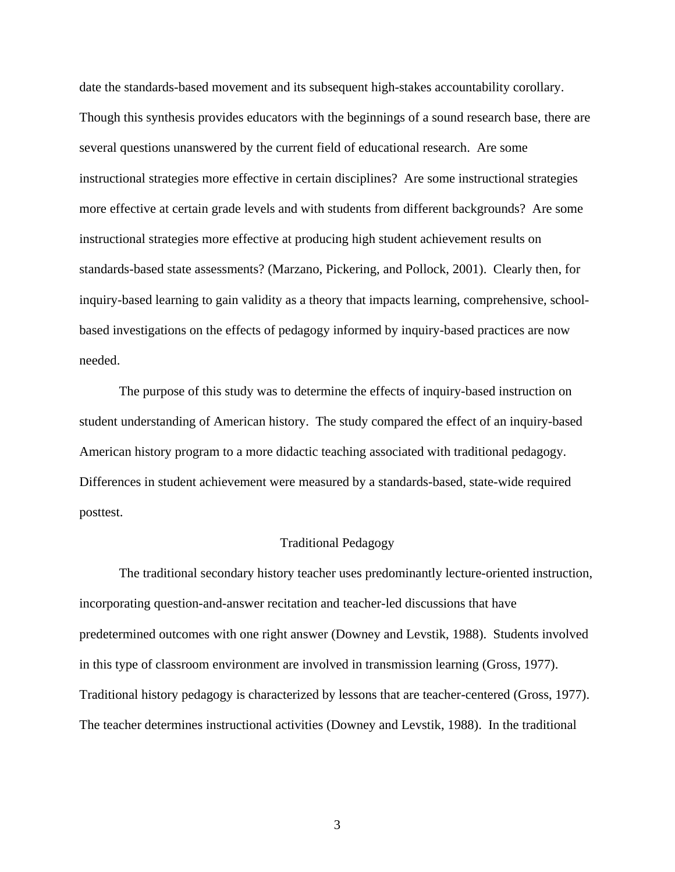date the standards-based movement and its subsequent high-stakes accountability corollary. Though this synthesis provides educators with the beginnings of a sound research base, there are several questions unanswered by the current field of educational research. Are some instructional strategies more effective in certain disciplines? Are some instructional strategies more effective at certain grade levels and with students from different backgrounds? Are some instructional strategies more effective at producing high student achievement results on standards-based state assessments? (Marzano, Pickering, and Pollock, 2001). Clearly then, for inquiry-based learning to gain validity as a theory that impacts learning, comprehensive, schoolbased investigations on the effects of pedagogy informed by inquiry-based practices are now needed.

 The purpose of this study was to determine the effects of inquiry-based instruction on student understanding of American history. The study compared the effect of an inquiry-based American history program to a more didactic teaching associated with traditional pedagogy. Differences in student achievement were measured by a standards-based, state-wide required posttest.

#### Traditional Pedagogy

 The traditional secondary history teacher uses predominantly lecture-oriented instruction, incorporating question-and-answer recitation and teacher-led discussions that have predetermined outcomes with one right answer (Downey and Levstik, 1988). Students involved in this type of classroom environment are involved in transmission learning (Gross, 1977). Traditional history pedagogy is characterized by lessons that are teacher-centered (Gross, 1977). The teacher determines instructional activities (Downey and Levstik, 1988). In the traditional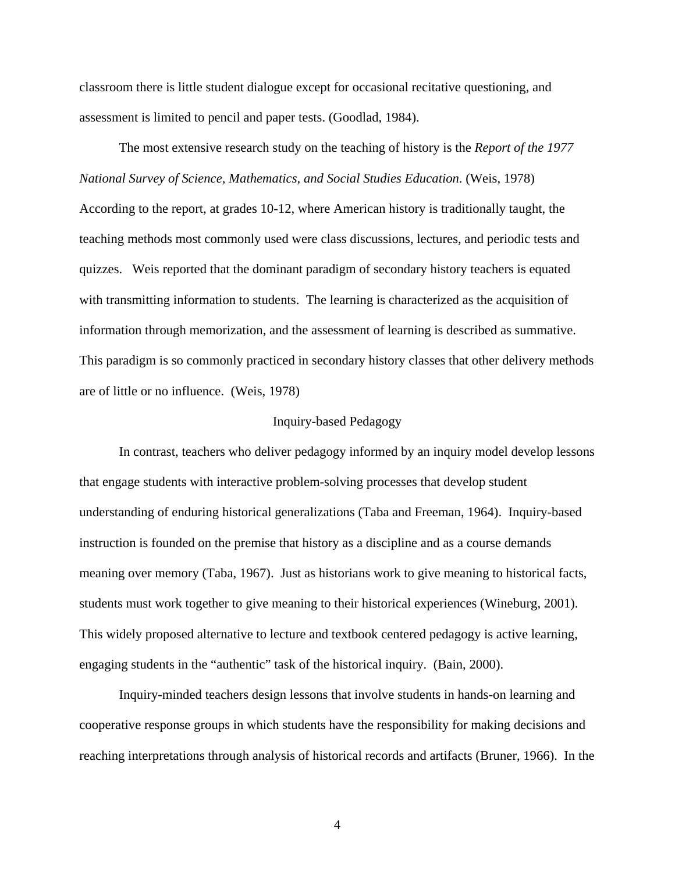classroom there is little student dialogue except for occasional recitative questioning, and assessment is limited to pencil and paper tests. (Goodlad, 1984).

 The most extensive research study on the teaching of history is the *Report of the 1977 National Survey of Science, Mathematics, and Social Studies Education*. (Weis, 1978) According to the report, at grades 10-12, where American history is traditionally taught, the teaching methods most commonly used were class discussions, lectures, and periodic tests and quizzes. Weis reported that the dominant paradigm of secondary history teachers is equated with transmitting information to students. The learning is characterized as the acquisition of information through memorization, and the assessment of learning is described as summative. This paradigm is so commonly practiced in secondary history classes that other delivery methods are of little or no influence. (Weis, 1978)

#### Inquiry-based Pedagogy

 In contrast, teachers who deliver pedagogy informed by an inquiry model develop lessons that engage students with interactive problem-solving processes that develop student understanding of enduring historical generalizations (Taba and Freeman, 1964). Inquiry-based instruction is founded on the premise that history as a discipline and as a course demands meaning over memory (Taba, 1967). Just as historians work to give meaning to historical facts, students must work together to give meaning to their historical experiences (Wineburg, 2001). This widely proposed alternative to lecture and textbook centered pedagogy is active learning, engaging students in the "authentic" task of the historical inquiry. (Bain, 2000).

 Inquiry-minded teachers design lessons that involve students in hands-on learning and cooperative response groups in which students have the responsibility for making decisions and reaching interpretations through analysis of historical records and artifacts (Bruner, 1966). In the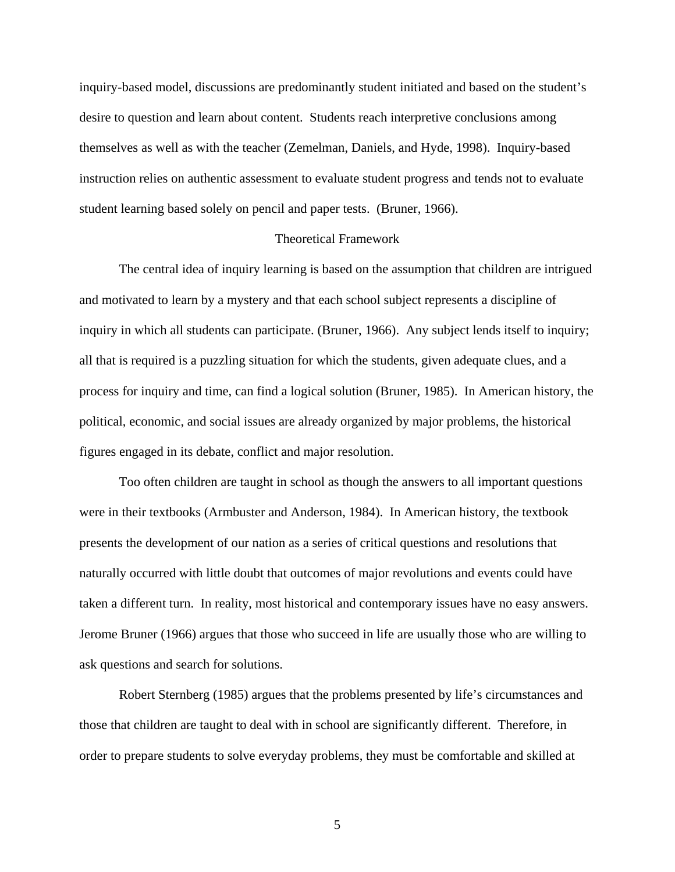inquiry-based model, discussions are predominantly student initiated and based on the student's desire to question and learn about content. Students reach interpretive conclusions among themselves as well as with the teacher (Zemelman, Daniels, and Hyde, 1998). Inquiry-based instruction relies on authentic assessment to evaluate student progress and tends not to evaluate student learning based solely on pencil and paper tests. (Bruner, 1966).

# Theoretical Framework

 The central idea of inquiry learning is based on the assumption that children are intrigued and motivated to learn by a mystery and that each school subject represents a discipline of inquiry in which all students can participate. (Bruner, 1966). Any subject lends itself to inquiry; all that is required is a puzzling situation for which the students, given adequate clues, and a process for inquiry and time, can find a logical solution (Bruner, 1985). In American history, the political, economic, and social issues are already organized by major problems, the historical figures engaged in its debate, conflict and major resolution.

 Too often children are taught in school as though the answers to all important questions were in their textbooks (Armbuster and Anderson, 1984). In American history, the textbook presents the development of our nation as a series of critical questions and resolutions that naturally occurred with little doubt that outcomes of major revolutions and events could have taken a different turn. In reality, most historical and contemporary issues have no easy answers. Jerome Bruner (1966) argues that those who succeed in life are usually those who are willing to ask questions and search for solutions.

 Robert Sternberg (1985) argues that the problems presented by life's circumstances and those that children are taught to deal with in school are significantly different. Therefore, in order to prepare students to solve everyday problems, they must be comfortable and skilled at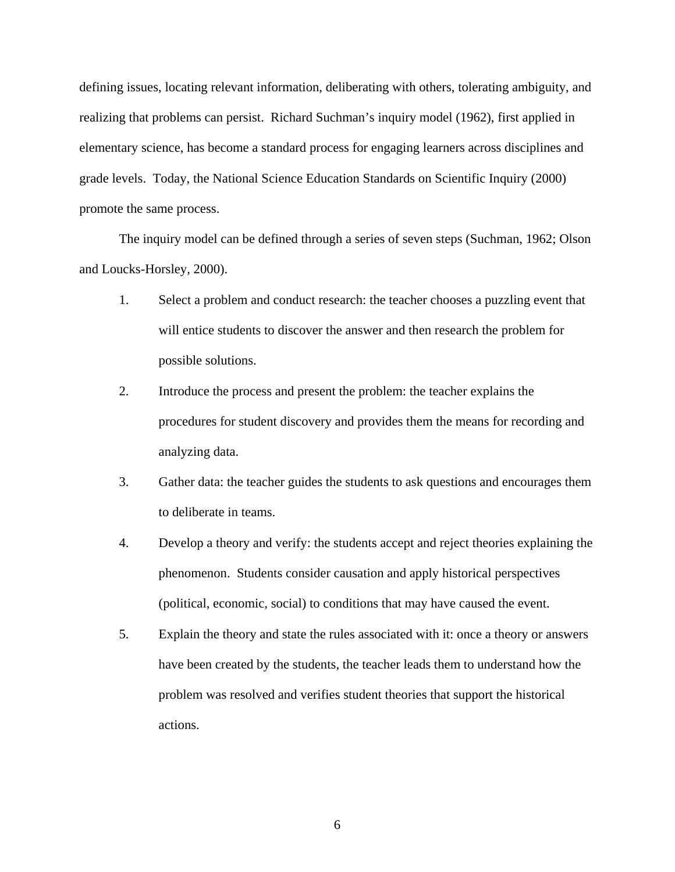defining issues, locating relevant information, deliberating with others, tolerating ambiguity, and realizing that problems can persist. Richard Suchman's inquiry model (1962), first applied in elementary science, has become a standard process for engaging learners across disciplines and grade levels. Today, the National Science Education Standards on Scientific Inquiry (2000) promote the same process.

 The inquiry model can be defined through a series of seven steps (Suchman, 1962; Olson and Loucks-Horsley, 2000).

- 1. Select a problem and conduct research: the teacher chooses a puzzling event that will entice students to discover the answer and then research the problem for possible solutions.
- 2. Introduce the process and present the problem: the teacher explains the procedures for student discovery and provides them the means for recording and analyzing data.
- 3. Gather data: the teacher guides the students to ask questions and encourages them to deliberate in teams.
- 4. Develop a theory and verify: the students accept and reject theories explaining the phenomenon. Students consider causation and apply historical perspectives (political, economic, social) to conditions that may have caused the event.
- 5. Explain the theory and state the rules associated with it: once a theory or answers have been created by the students, the teacher leads them to understand how the problem was resolved and verifies student theories that support the historical actions.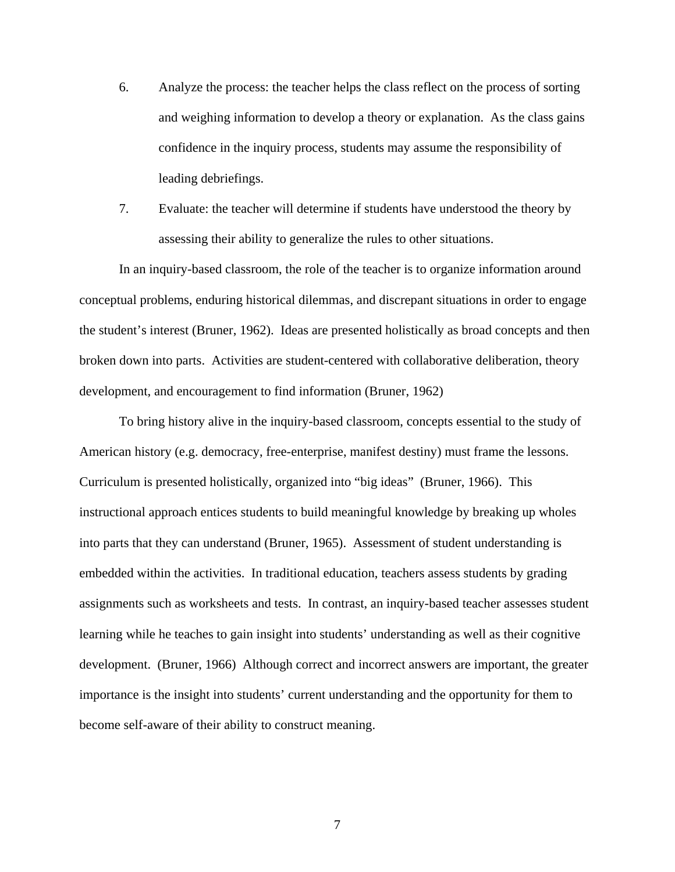- 6. Analyze the process: the teacher helps the class reflect on the process of sorting and weighing information to develop a theory or explanation. As the class gains confidence in the inquiry process, students may assume the responsibility of leading debriefings.
- 7. Evaluate: the teacher will determine if students have understood the theory by assessing their ability to generalize the rules to other situations.

In an inquiry-based classroom, the role of the teacher is to organize information around conceptual problems, enduring historical dilemmas, and discrepant situations in order to engage the student's interest (Bruner, 1962). Ideas are presented holistically as broad concepts and then broken down into parts. Activities are student-centered with collaborative deliberation, theory development, and encouragement to find information (Bruner, 1962)

To bring history alive in the inquiry-based classroom, concepts essential to the study of American history (e.g. democracy, free-enterprise, manifest destiny) must frame the lessons. Curriculum is presented holistically, organized into "big ideas" (Bruner, 1966). This instructional approach entices students to build meaningful knowledge by breaking up wholes into parts that they can understand (Bruner, 1965). Assessment of student understanding is embedded within the activities. In traditional education, teachers assess students by grading assignments such as worksheets and tests. In contrast, an inquiry-based teacher assesses student learning while he teaches to gain insight into students' understanding as well as their cognitive development. (Bruner, 1966) Although correct and incorrect answers are important, the greater importance is the insight into students' current understanding and the opportunity for them to become self-aware of their ability to construct meaning.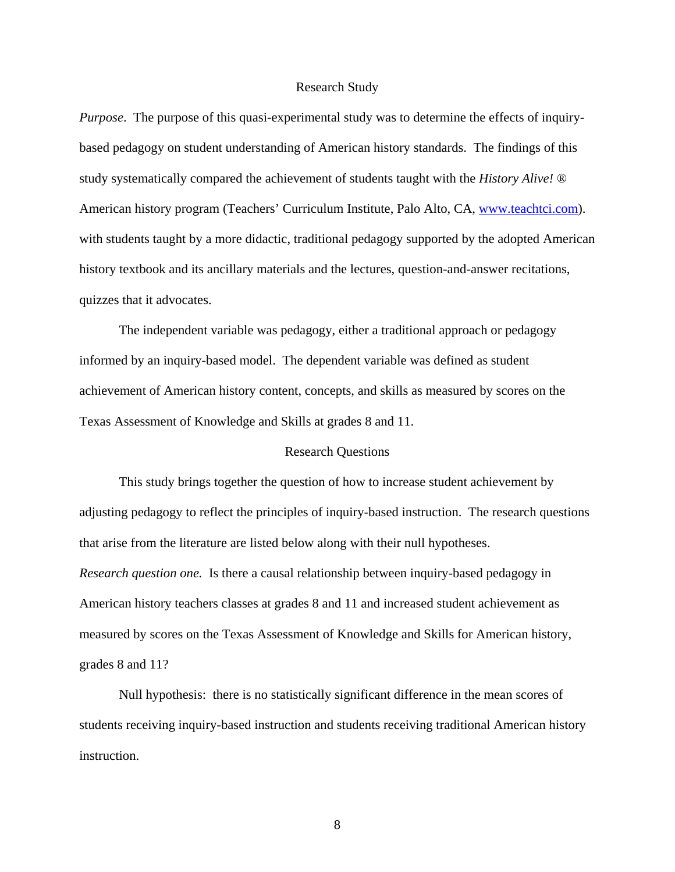# Research Study

*Purpose*. The purpose of this quasi-experimental study was to determine the effects of inquirybased pedagogy on student understanding of American history standards. The findings of this study systematically compared the achievement of students taught with the *History Alive!* ® American history program (Teachers' Curriculum Institute, Palo Alto, CA, [www.teachtci.com\)](http://www.teachtci.com/). with students taught by a more didactic, traditional pedagogy supported by the adopted American history textbook and its ancillary materials and the lectures, question-and-answer recitations, quizzes that it advocates.

 The independent variable was pedagogy, either a traditional approach or pedagogy informed by an inquiry-based model. The dependent variable was defined as student achievement of American history content, concepts, and skills as measured by scores on the Texas Assessment of Knowledge and Skills at grades 8 and 11.

# Research Questions

 This study brings together the question of how to increase student achievement by adjusting pedagogy to reflect the principles of inquiry-based instruction. The research questions that arise from the literature are listed below along with their null hypotheses. *Research question one.* Is there a causal relationship between inquiry-based pedagogy in American history teachers classes at grades 8 and 11 and increased student achievement as measured by scores on the Texas Assessment of Knowledge and Skills for American history, grades 8 and 11?

 Null hypothesis: there is no statistically significant difference in the mean scores of students receiving inquiry-based instruction and students receiving traditional American history instruction.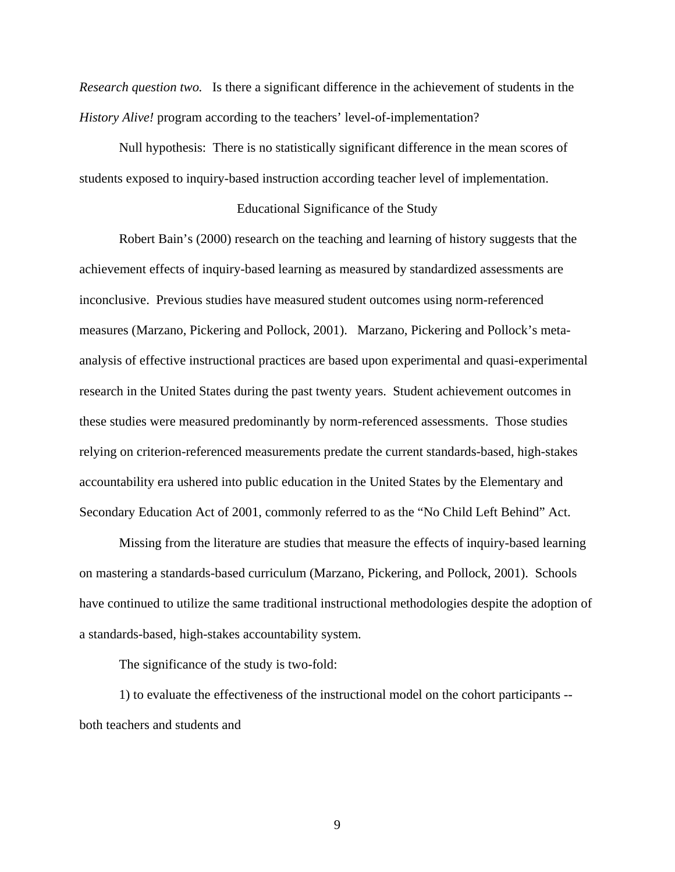*Research question two.* Is there a significant difference in the achievement of students in the *History Alive!* program according to the teachers' level-of-implementation?

 Null hypothesis: There is no statistically significant difference in the mean scores of students exposed to inquiry-based instruction according teacher level of implementation.

## Educational Significance of the Study

Robert Bain's (2000) research on the teaching and learning of history suggests that the achievement effects of inquiry-based learning as measured by standardized assessments are inconclusive. Previous studies have measured student outcomes using norm-referenced measures (Marzano, Pickering and Pollock, 2001). Marzano, Pickering and Pollock's metaanalysis of effective instructional practices are based upon experimental and quasi-experimental research in the United States during the past twenty years. Student achievement outcomes in these studies were measured predominantly by norm-referenced assessments. Those studies relying on criterion-referenced measurements predate the current standards-based, high-stakes accountability era ushered into public education in the United States by the Elementary and Secondary Education Act of 2001, commonly referred to as the "No Child Left Behind" Act.

Missing from the literature are studies that measure the effects of inquiry-based learning on mastering a standards-based curriculum (Marzano, Pickering, and Pollock, 2001). Schools have continued to utilize the same traditional instructional methodologies despite the adoption of a standards-based, high-stakes accountability system.

The significance of the study is two-fold:

1) to evaluate the effectiveness of the instructional model on the cohort participants - both teachers and students and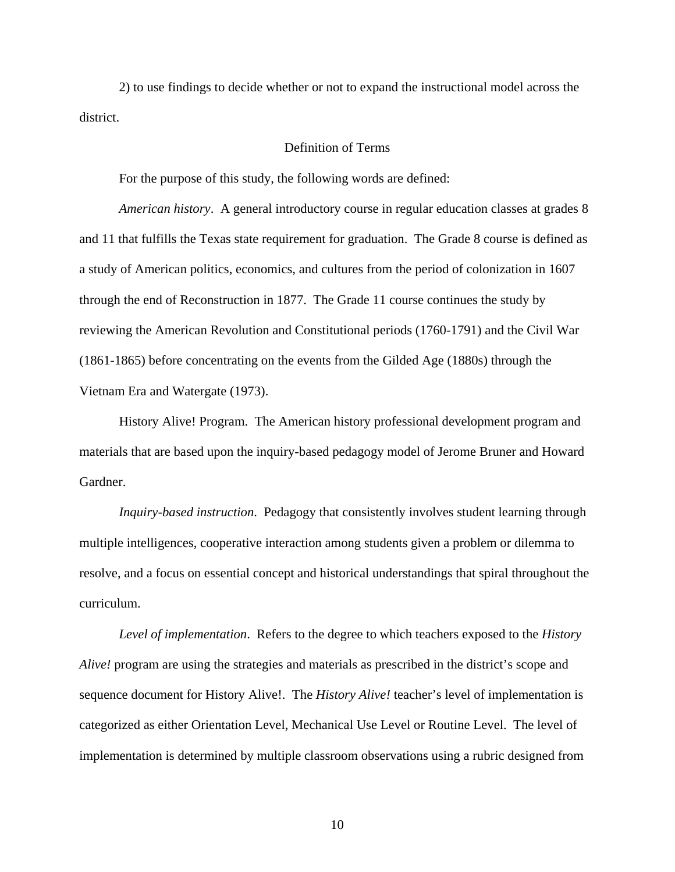2) to use findings to decide whether or not to expand the instructional model across the district.

# Definition of Terms

For the purpose of this study, the following words are defined:

*American history*. A general introductory course in regular education classes at grades 8 and 11 that fulfills the Texas state requirement for graduation. The Grade 8 course is defined as a study of American politics, economics, and cultures from the period of colonization in 1607 through the end of Reconstruction in 1877. The Grade 11 course continues the study by reviewing the American Revolution and Constitutional periods (1760-1791) and the Civil War (1861-1865) before concentrating on the events from the Gilded Age (1880s) through the Vietnam Era and Watergate (1973).

History Alive! Program. The American history professional development program and materials that are based upon the inquiry-based pedagogy model of Jerome Bruner and Howard Gardner.

*Inquiry-based instruction*. Pedagogy that consistently involves student learning through multiple intelligences, cooperative interaction among students given a problem or dilemma to resolve, and a focus on essential concept and historical understandings that spiral throughout the curriculum.

*Level of implementation*. Refers to the degree to which teachers exposed to the *History Alive!* program are using the strategies and materials as prescribed in the district's scope and sequence document for History Alive!. The *History Alive!* teacher's level of implementation is categorized as either Orientation Level, Mechanical Use Level or Routine Level. The level of implementation is determined by multiple classroom observations using a rubric designed from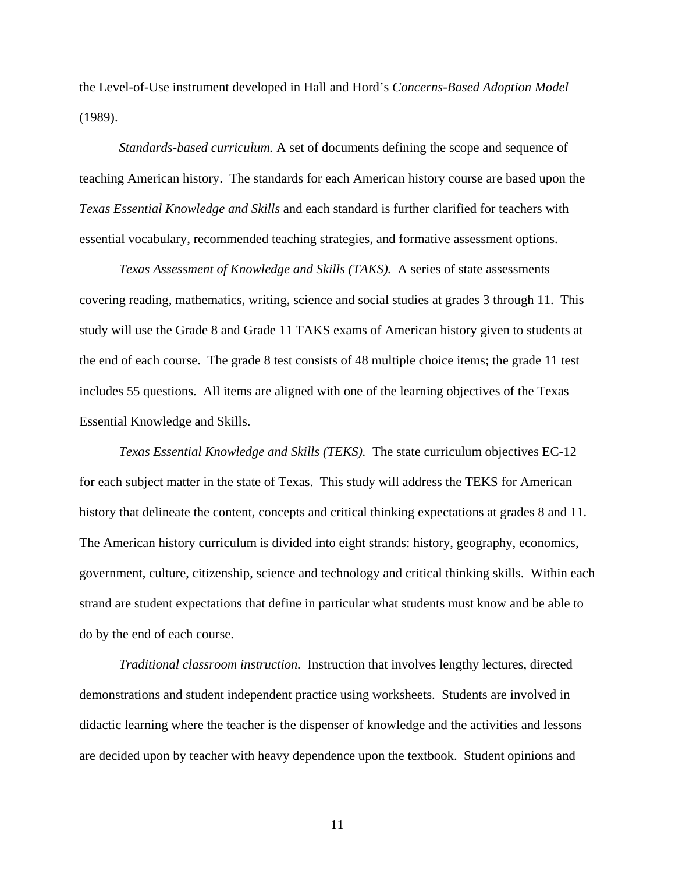the Level-of-Use instrument developed in Hall and Hord's *Concerns-Based Adoption Model* (1989).

*Standards-based curriculum.* A set of documents defining the scope and sequence of teaching American history. The standards for each American history course are based upon the *Texas Essential Knowledge and Skills* and each standard is further clarified for teachers with essential vocabulary, recommended teaching strategies, and formative assessment options.

*Texas Assessment of Knowledge and Skills (TAKS).* A series of state assessments covering reading, mathematics, writing, science and social studies at grades 3 through 11. This study will use the Grade 8 and Grade 11 TAKS exams of American history given to students at the end of each course. The grade 8 test consists of 48 multiple choice items; the grade 11 test includes 55 questions. All items are aligned with one of the learning objectives of the Texas Essential Knowledge and Skills.

*Texas Essential Knowledge and Skills (TEKS).* The state curriculum objectives EC-12 for each subject matter in the state of Texas. This study will address the TEKS for American history that delineate the content, concepts and critical thinking expectations at grades 8 and 11. The American history curriculum is divided into eight strands: history, geography, economics, government, culture, citizenship, science and technology and critical thinking skills. Within each strand are student expectations that define in particular what students must know and be able to do by the end of each course.

*Traditional classroom instruction.* Instruction that involves lengthy lectures, directed demonstrations and student independent practice using worksheets. Students are involved in didactic learning where the teacher is the dispenser of knowledge and the activities and lessons are decided upon by teacher with heavy dependence upon the textbook. Student opinions and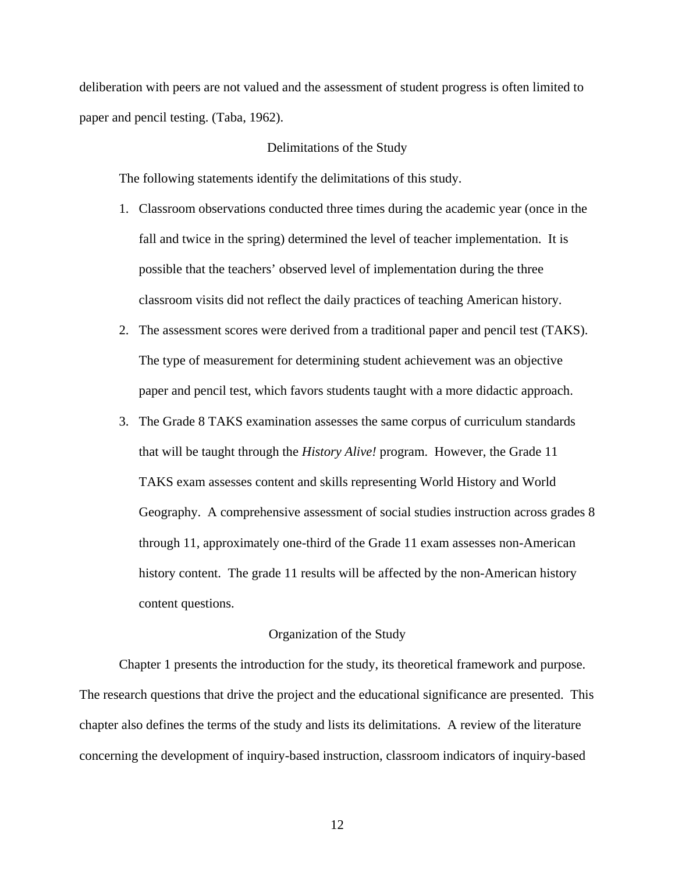deliberation with peers are not valued and the assessment of student progress is often limited to paper and pencil testing. (Taba, 1962).

# Delimitations of the Study

The following statements identify the delimitations of this study.

- 1. Classroom observations conducted three times during the academic year (once in the fall and twice in the spring) determined the level of teacher implementation. It is possible that the teachers' observed level of implementation during the three classroom visits did not reflect the daily practices of teaching American history.
- 2. The assessment scores were derived from a traditional paper and pencil test (TAKS). The type of measurement for determining student achievement was an objective paper and pencil test, which favors students taught with a more didactic approach.
- 3. The Grade 8 TAKS examination assesses the same corpus of curriculum standards that will be taught through the *History Alive!* program. However, the Grade 11 TAKS exam assesses content and skills representing World History and World Geography. A comprehensive assessment of social studies instruction across grades 8 through 11, approximately one-third of the Grade 11 exam assesses non-American history content. The grade 11 results will be affected by the non-American history content questions.

#### Organization of the Study

 Chapter 1 presents the introduction for the study, its theoretical framework and purpose. The research questions that drive the project and the educational significance are presented. This chapter also defines the terms of the study and lists its delimitations. A review of the literature concerning the development of inquiry-based instruction, classroom indicators of inquiry-based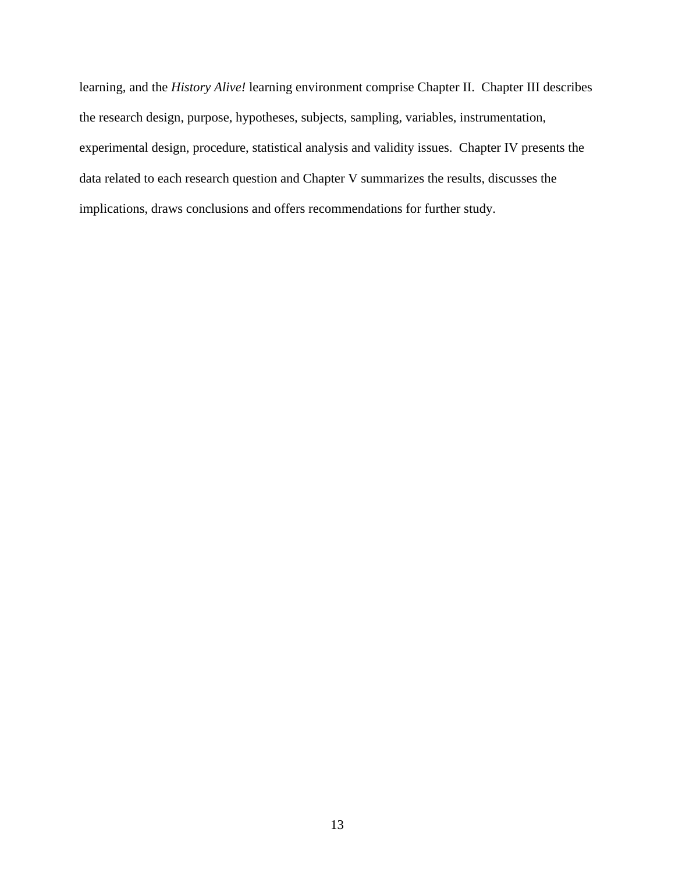learning, and the *History Alive!* learning environment comprise Chapter II. Chapter III describes the research design, purpose, hypotheses, subjects, sampling, variables, instrumentation, experimental design, procedure, statistical analysis and validity issues. Chapter IV presents the data related to each research question and Chapter V summarizes the results, discusses the implications, draws conclusions and offers recommendations for further study.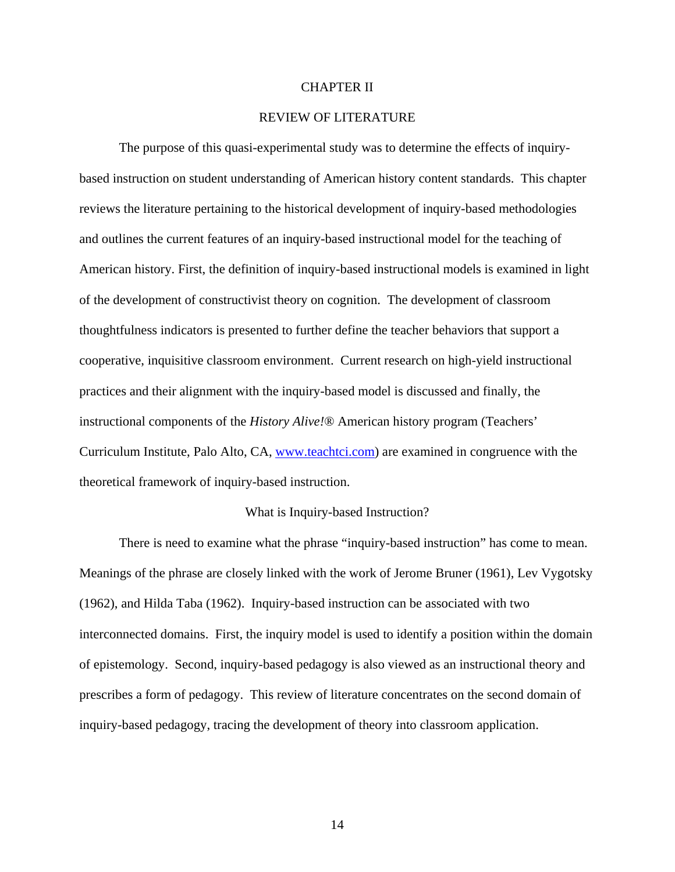## CHAPTER II

# REVIEW OF LITERATURE

The purpose of this quasi-experimental study was to determine the effects of inquirybased instruction on student understanding of American history content standards. This chapter reviews the literature pertaining to the historical development of inquiry-based methodologies and outlines the current features of an inquiry-based instructional model for the teaching of American history. First, the definition of inquiry-based instructional models is examined in light of the development of constructivist theory on cognition. The development of classroom thoughtfulness indicators is presented to further define the teacher behaviors that support a cooperative, inquisitive classroom environment. Current research on high-yield instructional practices and their alignment with the inquiry-based model is discussed and finally, the instructional components of the *History Alive!*® American history program (Teachers' Curriculum Institute, Palo Alto, CA, [www.teachtci.com\)](http://www.teachtci.com/) are examined in congruence with the theoretical framework of inquiry-based instruction.

### What is Inquiry-based Instruction?

 There is need to examine what the phrase "inquiry-based instruction" has come to mean. Meanings of the phrase are closely linked with the work of Jerome Bruner (1961), Lev Vygotsky (1962), and Hilda Taba (1962). Inquiry-based instruction can be associated with two interconnected domains. First, the inquiry model is used to identify a position within the domain of epistemology. Second, inquiry-based pedagogy is also viewed as an instructional theory and prescribes a form of pedagogy. This review of literature concentrates on the second domain of inquiry-based pedagogy, tracing the development of theory into classroom application.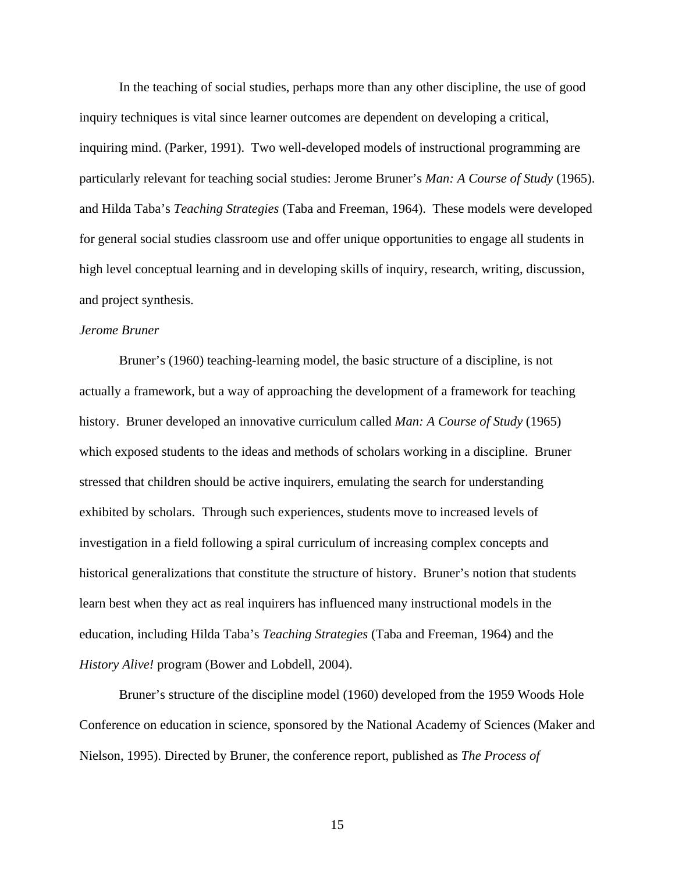In the teaching of social studies, perhaps more than any other discipline, the use of good inquiry techniques is vital since learner outcomes are dependent on developing a critical, inquiring mind. (Parker, 1991). Two well-developed models of instructional programming are particularly relevant for teaching social studies: Jerome Bruner's *Man: A Course of Study* (1965). and Hilda Taba's *Teaching Strategies* (Taba and Freeman, 1964). These models were developed for general social studies classroom use and offer unique opportunities to engage all students in high level conceptual learning and in developing skills of inquiry, research, writing, discussion, and project synthesis.

# *Jerome Bruner*

 Bruner's (1960) teaching-learning model, the basic structure of a discipline, is not actually a framework, but a way of approaching the development of a framework for teaching history. Bruner developed an innovative curriculum called *Man: A Course of Study* (1965) which exposed students to the ideas and methods of scholars working in a discipline. Bruner stressed that children should be active inquirers, emulating the search for understanding exhibited by scholars. Through such experiences, students move to increased levels of investigation in a field following a spiral curriculum of increasing complex concepts and historical generalizations that constitute the structure of history. Bruner's notion that students learn best when they act as real inquirers has influenced many instructional models in the education, including Hilda Taba's *Teaching Strategies* (Taba and Freeman, 1964) and the *History Alive!* program (Bower and Lobdell, 2004).

 Bruner's structure of the discipline model (1960) developed from the 1959 Woods Hole Conference on education in science, sponsored by the National Academy of Sciences (Maker and Nielson, 1995). Directed by Bruner, the conference report, published as *The Process of*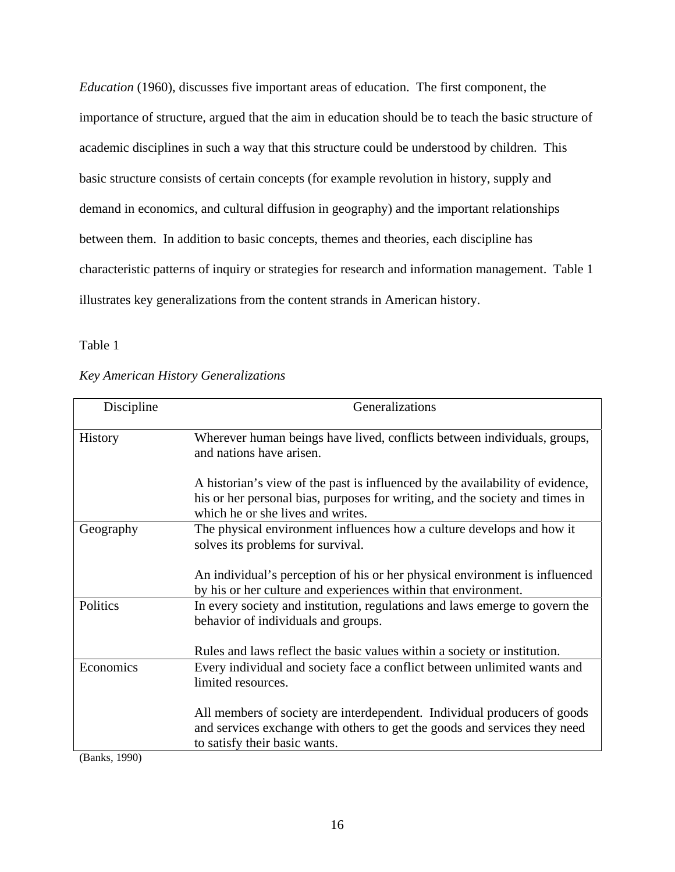*Education* (1960), discusses five important areas of education. The first component, the importance of structure, argued that the aim in education should be to teach the basic structure of academic disciplines in such a way that this structure could be understood by children. This basic structure consists of certain concepts (for example revolution in history, supply and demand in economics, and cultural diffusion in geography) and the important relationships between them. In addition to basic concepts, themes and theories, each discipline has characteristic patterns of inquiry or strategies for research and information management. Table 1 illustrates key generalizations from the content strands in American history.

Table 1

# *Key American History Generalizations*

| Discipline     | Generalizations                                                                                                                                                                                    |  |  |
|----------------|----------------------------------------------------------------------------------------------------------------------------------------------------------------------------------------------------|--|--|
| <b>History</b> | Wherever human beings have lived, conflicts between individuals, groups,<br>and nations have arisen.                                                                                               |  |  |
|                | A historian's view of the past is influenced by the availability of evidence,<br>his or her personal bias, purposes for writing, and the society and times in<br>which he or she lives and writes. |  |  |
| Geography      | The physical environment influences how a culture develops and how it<br>solves its problems for survival.                                                                                         |  |  |
|                | An individual's perception of his or her physical environment is influenced<br>by his or her culture and experiences within that environment.                                                      |  |  |
| Politics       | In every society and institution, regulations and laws emerge to govern the<br>behavior of individuals and groups.                                                                                 |  |  |
|                | Rules and laws reflect the basic values within a society or institution.                                                                                                                           |  |  |
| Economics      | Every individual and society face a conflict between unlimited wants and<br>limited resources.                                                                                                     |  |  |
|                | All members of society are interdependent. Individual producers of goods<br>and services exchange with others to get the goods and services they need<br>to satisfy their basic wants.             |  |  |

(Banks, 1990)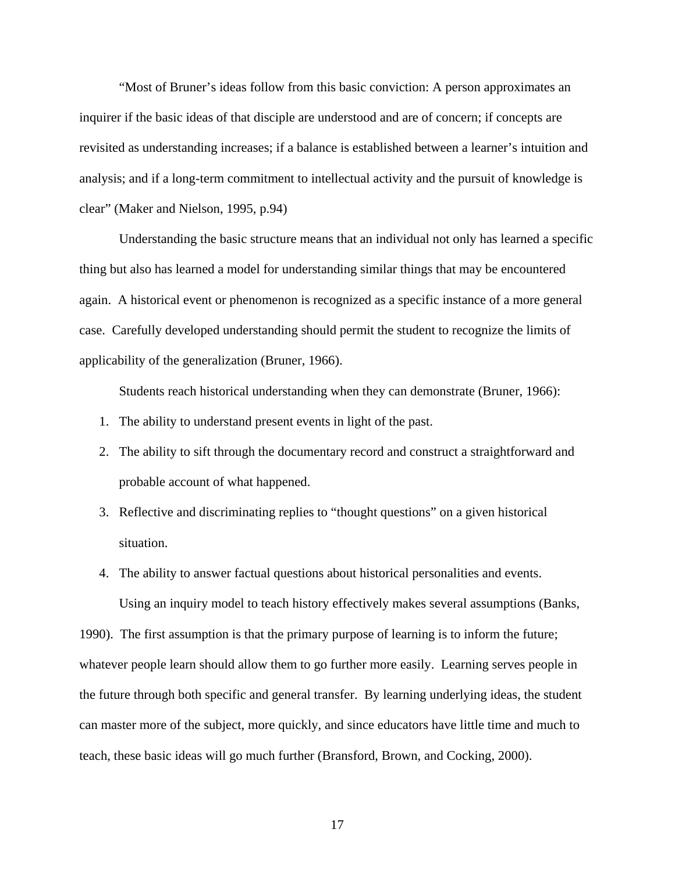"Most of Bruner's ideas follow from this basic conviction: A person approximates an inquirer if the basic ideas of that disciple are understood and are of concern; if concepts are revisited as understanding increases; if a balance is established between a learner's intuition and analysis; and if a long-term commitment to intellectual activity and the pursuit of knowledge is clear" (Maker and Nielson, 1995, p.94)

 Understanding the basic structure means that an individual not only has learned a specific thing but also has learned a model for understanding similar things that may be encountered again. A historical event or phenomenon is recognized as a specific instance of a more general case. Carefully developed understanding should permit the student to recognize the limits of applicability of the generalization (Bruner, 1966).

Students reach historical understanding when they can demonstrate (Bruner, 1966):

- 1. The ability to understand present events in light of the past.
- 2. The ability to sift through the documentary record and construct a straightforward and probable account of what happened.
- 3. Reflective and discriminating replies to "thought questions" on a given historical situation.
- 4. The ability to answer factual questions about historical personalities and events.

Using an inquiry model to teach history effectively makes several assumptions (Banks,

1990). The first assumption is that the primary purpose of learning is to inform the future; whatever people learn should allow them to go further more easily. Learning serves people in the future through both specific and general transfer. By learning underlying ideas, the student can master more of the subject, more quickly, and since educators have little time and much to teach, these basic ideas will go much further (Bransford, Brown, and Cocking, 2000).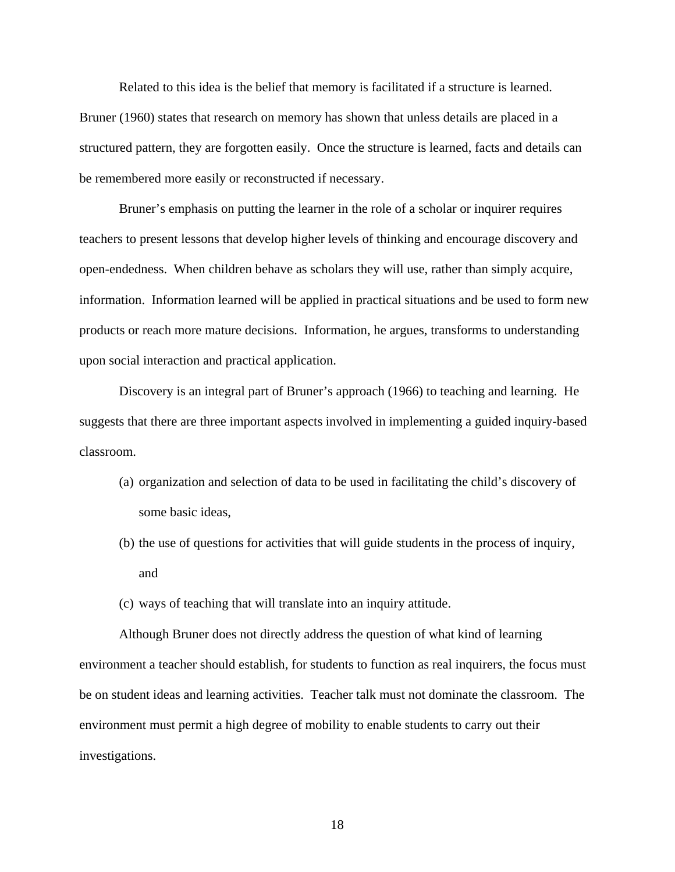Related to this idea is the belief that memory is facilitated if a structure is learned. Bruner (1960) states that research on memory has shown that unless details are placed in a structured pattern, they are forgotten easily. Once the structure is learned, facts and details can be remembered more easily or reconstructed if necessary.

 Bruner's emphasis on putting the learner in the role of a scholar or inquirer requires teachers to present lessons that develop higher levels of thinking and encourage discovery and open-endedness. When children behave as scholars they will use, rather than simply acquire, information. Information learned will be applied in practical situations and be used to form new products or reach more mature decisions. Information, he argues, transforms to understanding upon social interaction and practical application.

 Discovery is an integral part of Bruner's approach (1966) to teaching and learning. He suggests that there are three important aspects involved in implementing a guided inquiry-based classroom.

- (a) organization and selection of data to be used in facilitating the child's discovery of some basic ideas,
- (b) the use of questions for activities that will guide students in the process of inquiry, and
- (c) ways of teaching that will translate into an inquiry attitude.

Although Bruner does not directly address the question of what kind of learning environment a teacher should establish, for students to function as real inquirers, the focus must be on student ideas and learning activities. Teacher talk must not dominate the classroom. The environment must permit a high degree of mobility to enable students to carry out their investigations.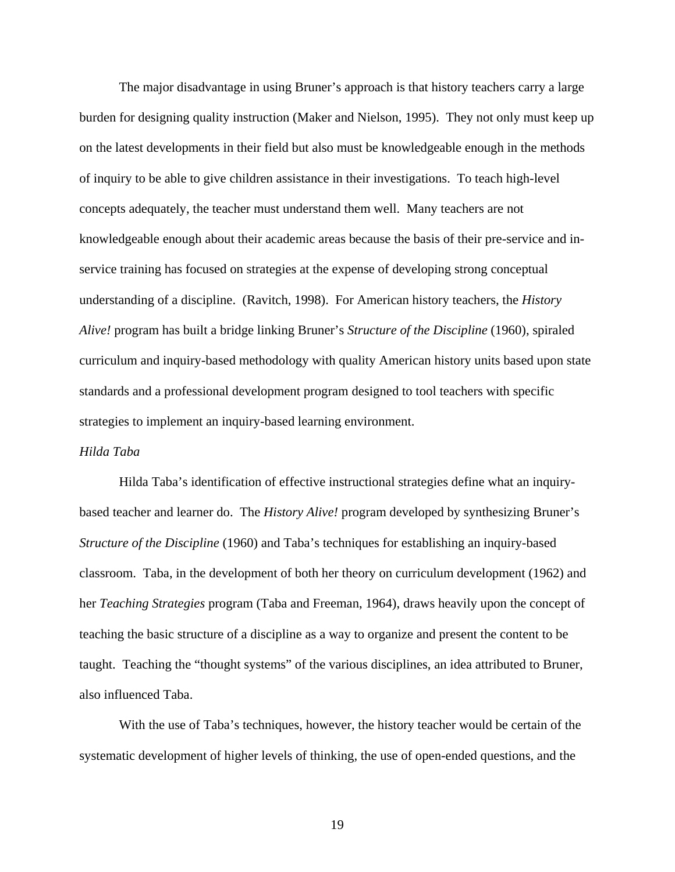The major disadvantage in using Bruner's approach is that history teachers carry a large burden for designing quality instruction (Maker and Nielson, 1995). They not only must keep up on the latest developments in their field but also must be knowledgeable enough in the methods of inquiry to be able to give children assistance in their investigations. To teach high-level concepts adequately, the teacher must understand them well. Many teachers are not knowledgeable enough about their academic areas because the basis of their pre-service and inservice training has focused on strategies at the expense of developing strong conceptual understanding of a discipline. (Ravitch, 1998). For American history teachers, the *History Alive!* program has built a bridge linking Bruner's *Structure of the Discipline* (1960), spiraled curriculum and inquiry-based methodology with quality American history units based upon state standards and a professional development program designed to tool teachers with specific strategies to implement an inquiry-based learning environment.

# *Hilda Taba*

Hilda Taba's identification of effective instructional strategies define what an inquirybased teacher and learner do. The *History Alive!* program developed by synthesizing Bruner's *Structure of the Discipline* (1960) and Taba's techniques for establishing an inquiry-based classroom. Taba, in the development of both her theory on curriculum development (1962) and her *Teaching Strategies* program (Taba and Freeman, 1964), draws heavily upon the concept of teaching the basic structure of a discipline as a way to organize and present the content to be taught. Teaching the "thought systems" of the various disciplines, an idea attributed to Bruner, also influenced Taba.

 With the use of Taba's techniques, however, the history teacher would be certain of the systematic development of higher levels of thinking, the use of open-ended questions, and the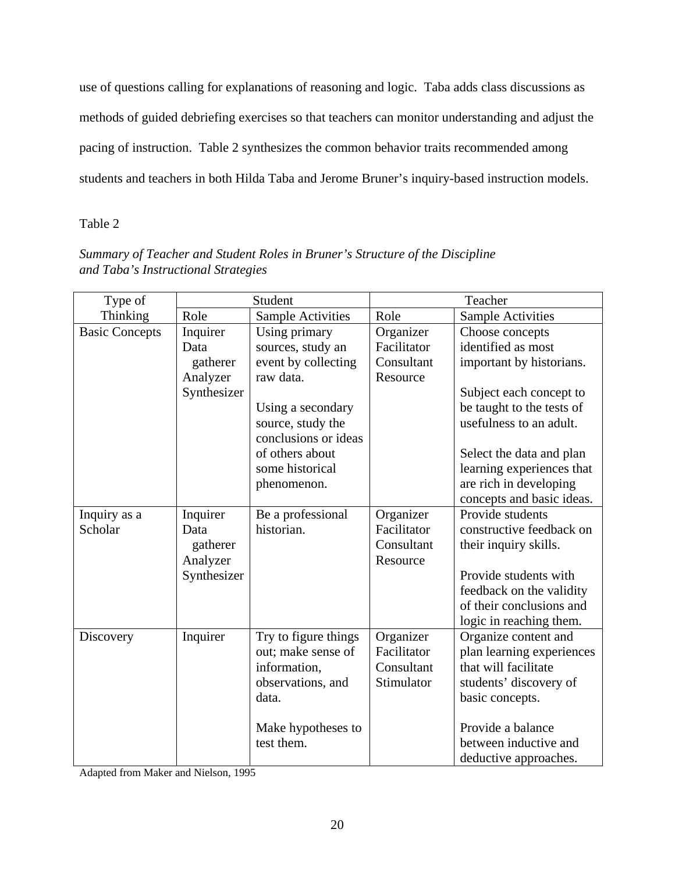use of questions calling for explanations of reasoning and logic. Taba adds class discussions as methods of guided debriefing exercises so that teachers can monitor understanding and adjust the pacing of instruction. Table 2 synthesizes the common behavior traits recommended among students and teachers in both Hilda Taba and Jerome Bruner's inquiry-based instruction models.

# Table 2

| Summary of Teacher and Student Roles in Bruner's Structure of the Discipline |  |
|------------------------------------------------------------------------------|--|
| and Taba's Instructional Strategies                                          |  |

| Type of               | Student     |                          | Teacher     |                           |  |
|-----------------------|-------------|--------------------------|-------------|---------------------------|--|
| Thinking              | Role        | <b>Sample Activities</b> | Role        | <b>Sample Activities</b>  |  |
| <b>Basic Concepts</b> | Inquirer    | Using primary            | Organizer   | Choose concepts           |  |
|                       | Data        | sources, study an        | Facilitator | identified as most        |  |
|                       | gatherer    | event by collecting      | Consultant  | important by historians.  |  |
|                       | Analyzer    | raw data.                | Resource    |                           |  |
|                       | Synthesizer |                          |             | Subject each concept to   |  |
|                       |             | Using a secondary        |             | be taught to the tests of |  |
|                       |             | source, study the        |             | usefulness to an adult.   |  |
|                       |             | conclusions or ideas     |             |                           |  |
|                       |             | of others about          |             | Select the data and plan  |  |
|                       |             | some historical          |             | learning experiences that |  |
|                       |             | phenomenon.              |             | are rich in developing    |  |
|                       |             |                          |             | concepts and basic ideas. |  |
| Inquiry as a          | Inquirer    | Be a professional        | Organizer   | Provide students          |  |
| Scholar               | Data        | historian.               | Facilitator | constructive feedback on  |  |
|                       | gatherer    |                          | Consultant  | their inquiry skills.     |  |
|                       | Analyzer    |                          | Resource    |                           |  |
|                       | Synthesizer |                          |             | Provide students with     |  |
|                       |             |                          |             | feedback on the validity  |  |
|                       |             |                          |             | of their conclusions and  |  |
|                       |             |                          |             | logic in reaching them.   |  |
| Discovery             | Inquirer    | Try to figure things     | Organizer   | Organize content and      |  |
|                       |             | out; make sense of       | Facilitator | plan learning experiences |  |
|                       |             | information,             | Consultant  | that will facilitate      |  |
|                       |             | observations, and        | Stimulator  | students' discovery of    |  |
|                       |             | data.                    |             | basic concepts.           |  |
|                       |             | Make hypotheses to       |             | Provide a balance         |  |
|                       |             | test them.               |             | between inductive and     |  |
|                       |             |                          |             | deductive approaches.     |  |

Adapted from Maker and Nielson, 1995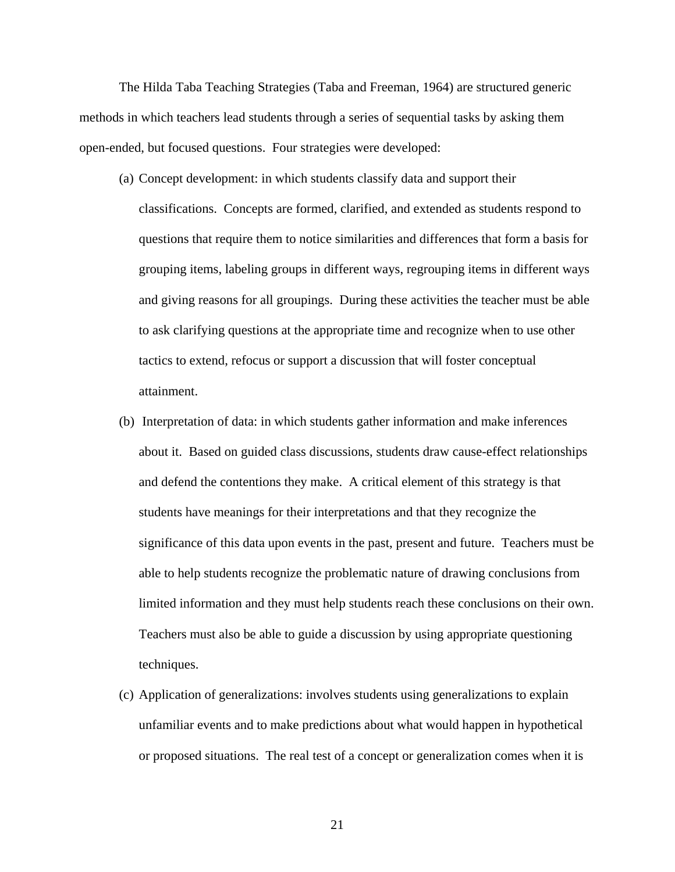The Hilda Taba Teaching Strategies (Taba and Freeman, 1964) are structured generic methods in which teachers lead students through a series of sequential tasks by asking them open-ended, but focused questions. Four strategies were developed:

- (a) Concept development: in which students classify data and support their classifications. Concepts are formed, clarified, and extended as students respond to questions that require them to notice similarities and differences that form a basis for grouping items, labeling groups in different ways, regrouping items in different ways and giving reasons for all groupings. During these activities the teacher must be able to ask clarifying questions at the appropriate time and recognize when to use other tactics to extend, refocus or support a discussion that will foster conceptual attainment.
- (b) Interpretation of data: in which students gather information and make inferences about it. Based on guided class discussions, students draw cause-effect relationships and defend the contentions they make. A critical element of this strategy is that students have meanings for their interpretations and that they recognize the significance of this data upon events in the past, present and future. Teachers must be able to help students recognize the problematic nature of drawing conclusions from limited information and they must help students reach these conclusions on their own. Teachers must also be able to guide a discussion by using appropriate questioning techniques.
- (c) Application of generalizations: involves students using generalizations to explain unfamiliar events and to make predictions about what would happen in hypothetical or proposed situations. The real test of a concept or generalization comes when it is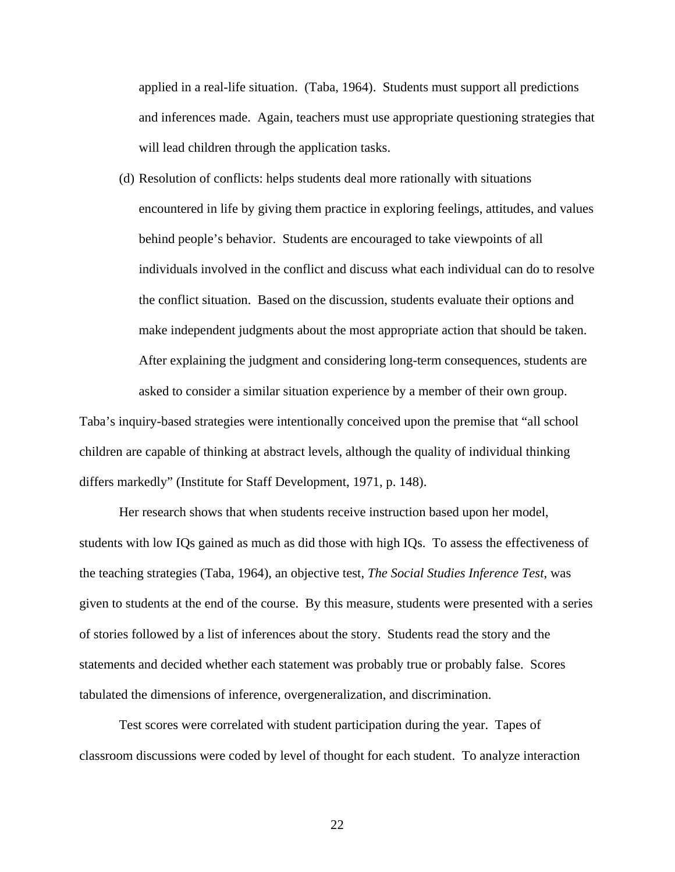applied in a real-life situation. (Taba, 1964). Students must support all predictions and inferences made. Again, teachers must use appropriate questioning strategies that will lead children through the application tasks.

(d) Resolution of conflicts: helps students deal more rationally with situations encountered in life by giving them practice in exploring feelings, attitudes, and values behind people's behavior. Students are encouraged to take viewpoints of all individuals involved in the conflict and discuss what each individual can do to resolve the conflict situation. Based on the discussion, students evaluate their options and make independent judgments about the most appropriate action that should be taken. After explaining the judgment and considering long-term consequences, students are asked to consider a similar situation experience by a member of their own group.

Taba's inquiry-based strategies were intentionally conceived upon the premise that "all school children are capable of thinking at abstract levels, although the quality of individual thinking differs markedly" (Institute for Staff Development, 1971, p. 148).

Her research shows that when students receive instruction based upon her model, students with low IQs gained as much as did those with high IQs. To assess the effectiveness of the teaching strategies (Taba, 1964), an objective test, *The Social Studies Inference Test*, was given to students at the end of the course. By this measure, students were presented with a series of stories followed by a list of inferences about the story. Students read the story and the statements and decided whether each statement was probably true or probably false. Scores tabulated the dimensions of inference, overgeneralization, and discrimination.

 Test scores were correlated with student participation during the year. Tapes of classroom discussions were coded by level of thought for each student. To analyze interaction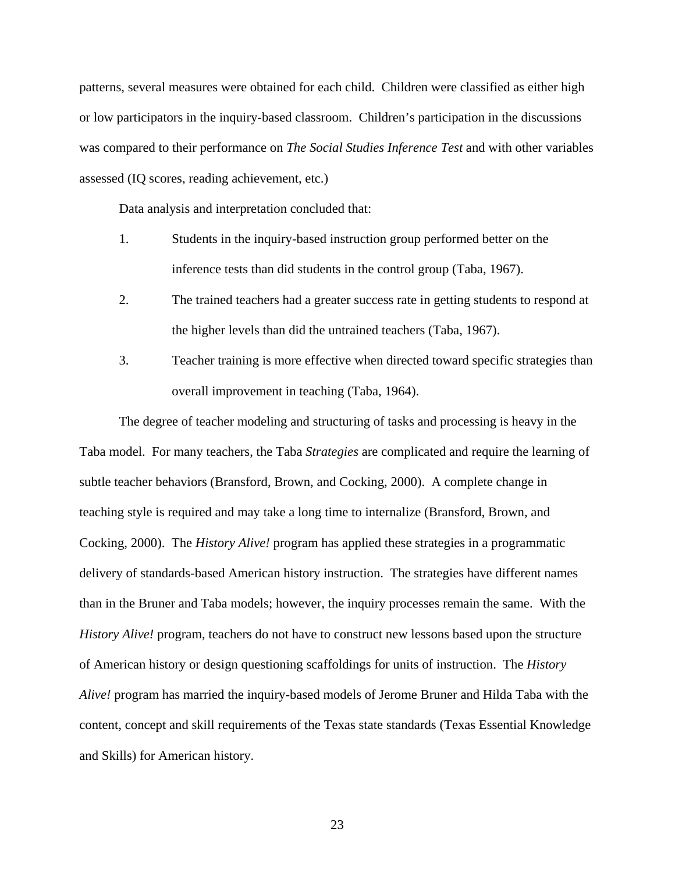patterns, several measures were obtained for each child. Children were classified as either high or low participators in the inquiry-based classroom. Children's participation in the discussions was compared to their performance on *The Social Studies Inference Test* and with other variables assessed (IQ scores, reading achievement, etc.)

Data analysis and interpretation concluded that:

- 1. Students in the inquiry-based instruction group performed better on the inference tests than did students in the control group (Taba, 1967).
- 2. The trained teachers had a greater success rate in getting students to respond at the higher levels than did the untrained teachers (Taba, 1967).
- 3. Teacher training is more effective when directed toward specific strategies than overall improvement in teaching (Taba, 1964).

The degree of teacher modeling and structuring of tasks and processing is heavy in the Taba model. For many teachers, the Taba *Strategies* are complicated and require the learning of subtle teacher behaviors (Bransford, Brown, and Cocking, 2000). A complete change in teaching style is required and may take a long time to internalize (Bransford, Brown, and Cocking, 2000). The *History Alive!* program has applied these strategies in a programmatic delivery of standards-based American history instruction. The strategies have different names than in the Bruner and Taba models; however, the inquiry processes remain the same. With the *History Alive!* program, teachers do not have to construct new lessons based upon the structure of American history or design questioning scaffoldings for units of instruction. The *History Alive!* program has married the inquiry-based models of Jerome Bruner and Hilda Taba with the content, concept and skill requirements of the Texas state standards (Texas Essential Knowledge and Skills) for American history.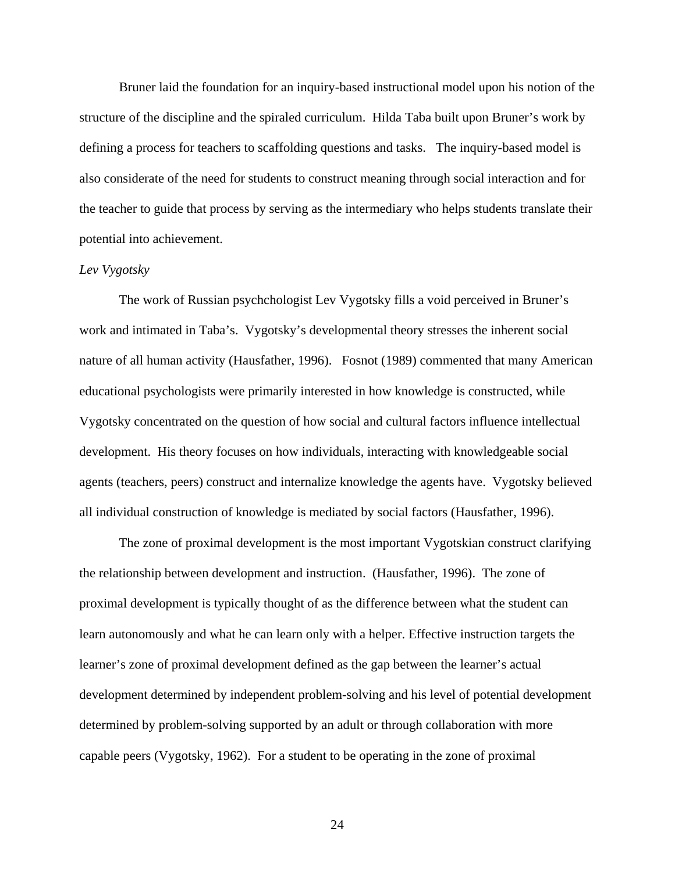Bruner laid the foundation for an inquiry-based instructional model upon his notion of the structure of the discipline and the spiraled curriculum. Hilda Taba built upon Bruner's work by defining a process for teachers to scaffolding questions and tasks. The inquiry-based model is also considerate of the need for students to construct meaning through social interaction and for the teacher to guide that process by serving as the intermediary who helps students translate their potential into achievement.

## *Lev Vygotsky*

 The work of Russian psychchologist Lev Vygotsky fills a void perceived in Bruner's work and intimated in Taba's. Vygotsky's developmental theory stresses the inherent social nature of all human activity (Hausfather, 1996). Fosnot (1989) commented that many American educational psychologists were primarily interested in how knowledge is constructed, while Vygotsky concentrated on the question of how social and cultural factors influence intellectual development. His theory focuses on how individuals, interacting with knowledgeable social agents (teachers, peers) construct and internalize knowledge the agents have. Vygotsky believed all individual construction of knowledge is mediated by social factors (Hausfather, 1996).

 The zone of proximal development is the most important Vygotskian construct clarifying the relationship between development and instruction. (Hausfather, 1996). The zone of proximal development is typically thought of as the difference between what the student can learn autonomously and what he can learn only with a helper. Effective instruction targets the learner's zone of proximal development defined as the gap between the learner's actual development determined by independent problem-solving and his level of potential development determined by problem-solving supported by an adult or through collaboration with more capable peers (Vygotsky, 1962). For a student to be operating in the zone of proximal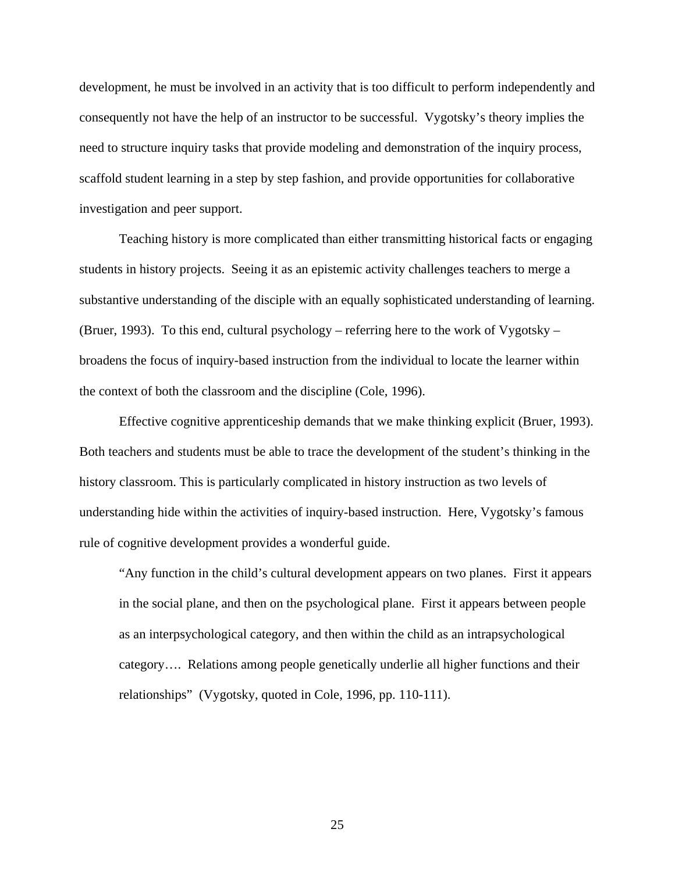development, he must be involved in an activity that is too difficult to perform independently and consequently not have the help of an instructor to be successful. Vygotsky's theory implies the need to structure inquiry tasks that provide modeling and demonstration of the inquiry process, scaffold student learning in a step by step fashion, and provide opportunities for collaborative investigation and peer support.

 Teaching history is more complicated than either transmitting historical facts or engaging students in history projects. Seeing it as an epistemic activity challenges teachers to merge a substantive understanding of the disciple with an equally sophisticated understanding of learning. (Bruer, 1993). To this end, cultural psychology – referring here to the work of Vygotsky – broadens the focus of inquiry-based instruction from the individual to locate the learner within the context of both the classroom and the discipline (Cole, 1996).

 Effective cognitive apprenticeship demands that we make thinking explicit (Bruer, 1993). Both teachers and students must be able to trace the development of the student's thinking in the history classroom. This is particularly complicated in history instruction as two levels of understanding hide within the activities of inquiry-based instruction. Here, Vygotsky's famous rule of cognitive development provides a wonderful guide.

"Any function in the child's cultural development appears on two planes. First it appears in the social plane, and then on the psychological plane. First it appears between people as an interpsychological category, and then within the child as an intrapsychological category…. Relations among people genetically underlie all higher functions and their relationships" (Vygotsky, quoted in Cole, 1996, pp. 110-111).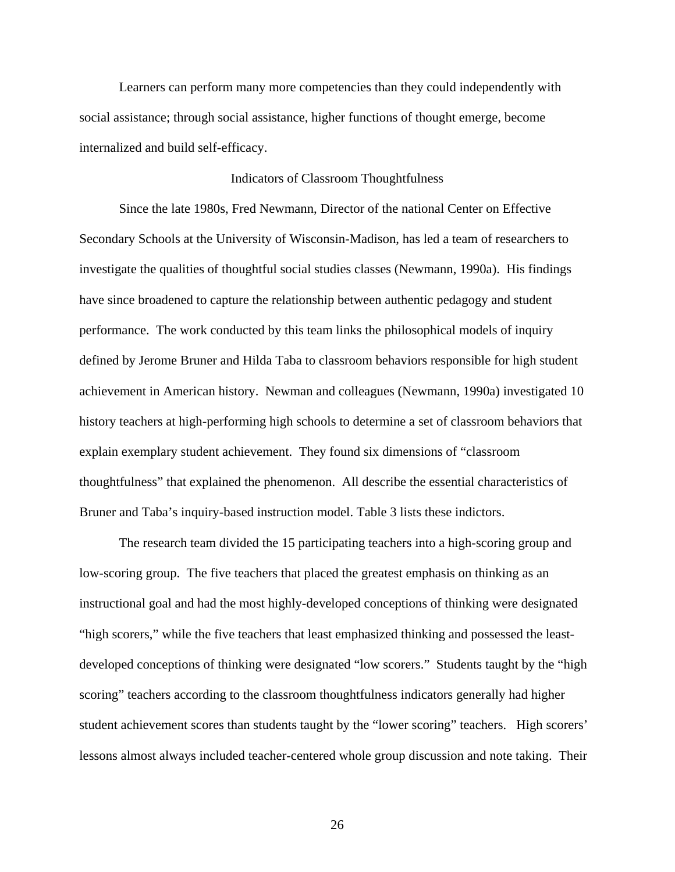Learners can perform many more competencies than they could independently with social assistance; through social assistance, higher functions of thought emerge, become internalized and build self-efficacy.

# Indicators of Classroom Thoughtfulness

Since the late 1980s, Fred Newmann, Director of the national Center on Effective Secondary Schools at the University of Wisconsin-Madison, has led a team of researchers to investigate the qualities of thoughtful social studies classes (Newmann, 1990a). His findings have since broadened to capture the relationship between authentic pedagogy and student performance. The work conducted by this team links the philosophical models of inquiry defined by Jerome Bruner and Hilda Taba to classroom behaviors responsible for high student achievement in American history. Newman and colleagues (Newmann, 1990a) investigated 10 history teachers at high-performing high schools to determine a set of classroom behaviors that explain exemplary student achievement. They found six dimensions of "classroom thoughtfulness" that explained the phenomenon. All describe the essential characteristics of Bruner and Taba's inquiry-based instruction model. Table 3 lists these indictors.

The research team divided the 15 participating teachers into a high-scoring group and low-scoring group. The five teachers that placed the greatest emphasis on thinking as an instructional goal and had the most highly-developed conceptions of thinking were designated "high scorers," while the five teachers that least emphasized thinking and possessed the leastdeveloped conceptions of thinking were designated "low scorers." Students taught by the "high scoring" teachers according to the classroom thoughtfulness indicators generally had higher student achievement scores than students taught by the "lower scoring" teachers. High scorers' lessons almost always included teacher-centered whole group discussion and note taking. Their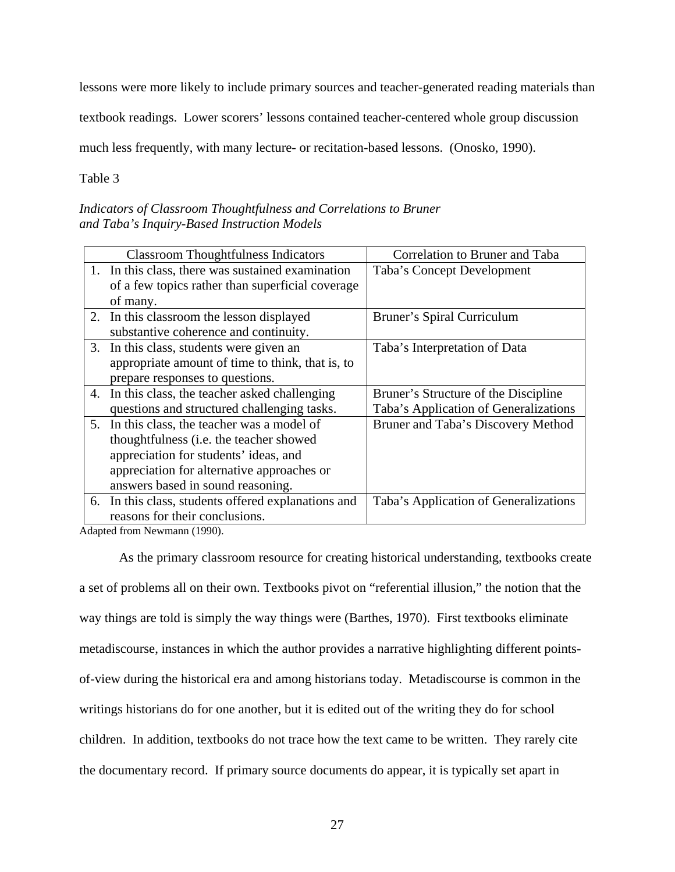lessons were more likely to include primary sources and teacher-generated reading materials than

textbook readings. Lower scorers' lessons contained teacher-centered whole group discussion

much less frequently, with many lecture- or recitation-based lessons. (Onosko, 1990).

Table 3

*Indicators of Classroom Thoughtfulness and Correlations to Bruner and Taba's Inquiry-Based Instruction Models* 

| <b>Classroom Thoughtfulness Indicators</b>          | Correlation to Bruner and Taba        |
|-----------------------------------------------------|---------------------------------------|
| 1. In this class, there was sustained examination   | Taba's Concept Development            |
| of a few topics rather than superficial coverage    |                                       |
| of many.                                            |                                       |
| 2. In this classroom the lesson displayed           | Bruner's Spiral Curriculum            |
| substantive coherence and continuity.               |                                       |
| 3. In this class, students were given an            | Taba's Interpretation of Data         |
| appropriate amount of time to think, that is, to    |                                       |
| prepare responses to questions.                     |                                       |
| 4. In this class, the teacher asked challenging     | Bruner's Structure of the Discipline  |
| questions and structured challenging tasks.         | Taba's Application of Generalizations |
| 5. In this class, the teacher was a model of        | Bruner and Taba's Discovery Method    |
| thoughtfulness (i.e. the teacher showed             |                                       |
| appreciation for students' ideas, and               |                                       |
| appreciation for alternative approaches or          |                                       |
| answers based in sound reasoning.                   |                                       |
| 6. In this class, students offered explanations and | Taba's Application of Generalizations |
| reasons for their conclusions.                      |                                       |

Adapted from Newmann (1990).

As the primary classroom resource for creating historical understanding, textbooks create a set of problems all on their own. Textbooks pivot on "referential illusion," the notion that the way things are told is simply the way things were (Barthes, 1970). First textbooks eliminate metadiscourse, instances in which the author provides a narrative highlighting different pointsof-view during the historical era and among historians today. Metadiscourse is common in the writings historians do for one another, but it is edited out of the writing they do for school children. In addition, textbooks do not trace how the text came to be written. They rarely cite the documentary record. If primary source documents do appear, it is typically set apart in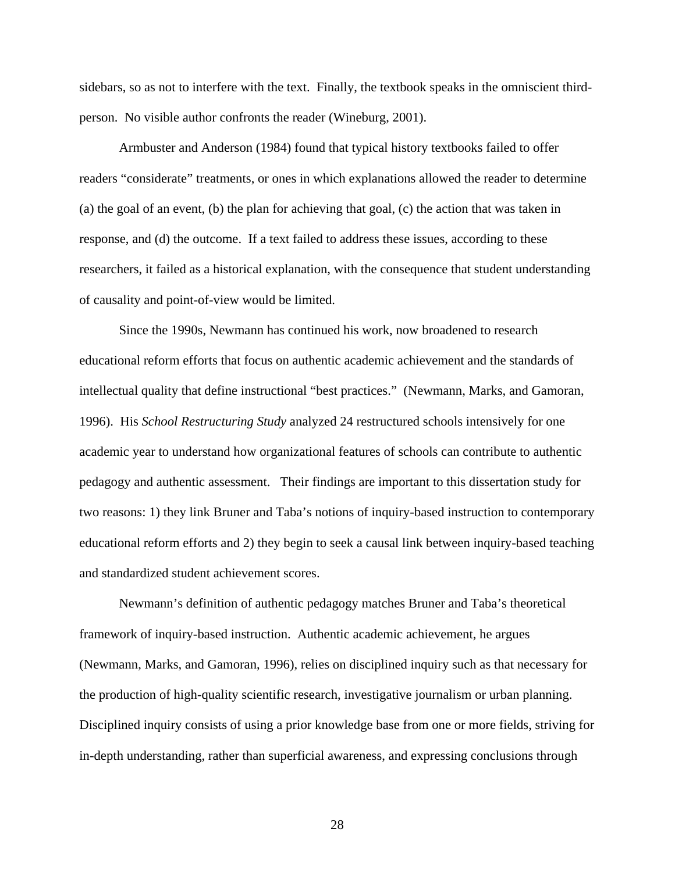sidebars, so as not to interfere with the text. Finally, the textbook speaks in the omniscient thirdperson. No visible author confronts the reader (Wineburg, 2001).

Armbuster and Anderson (1984) found that typical history textbooks failed to offer readers "considerate" treatments, or ones in which explanations allowed the reader to determine (a) the goal of an event, (b) the plan for achieving that goal, (c) the action that was taken in response, and (d) the outcome. If a text failed to address these issues, according to these researchers, it failed as a historical explanation, with the consequence that student understanding of causality and point-of-view would be limited.

 Since the 1990s, Newmann has continued his work, now broadened to research educational reform efforts that focus on authentic academic achievement and the standards of intellectual quality that define instructional "best practices." (Newmann, Marks, and Gamoran, 1996). His *School Restructuring Study* analyzed 24 restructured schools intensively for one academic year to understand how organizational features of schools can contribute to authentic pedagogy and authentic assessment. Their findings are important to this dissertation study for two reasons: 1) they link Bruner and Taba's notions of inquiry-based instruction to contemporary educational reform efforts and 2) they begin to seek a causal link between inquiry-based teaching and standardized student achievement scores.

 Newmann's definition of authentic pedagogy matches Bruner and Taba's theoretical framework of inquiry-based instruction. Authentic academic achievement, he argues (Newmann, Marks, and Gamoran, 1996), relies on disciplined inquiry such as that necessary for the production of high-quality scientific research, investigative journalism or urban planning. Disciplined inquiry consists of using a prior knowledge base from one or more fields, striving for in-depth understanding, rather than superficial awareness, and expressing conclusions through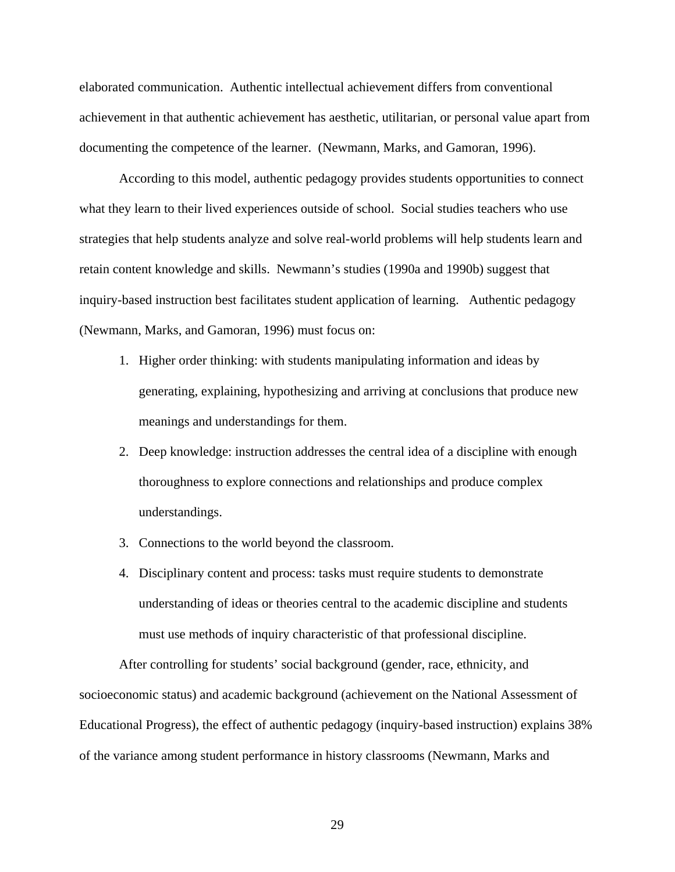elaborated communication. Authentic intellectual achievement differs from conventional achievement in that authentic achievement has aesthetic, utilitarian, or personal value apart from documenting the competence of the learner. (Newmann, Marks, and Gamoran, 1996).

 According to this model, authentic pedagogy provides students opportunities to connect what they learn to their lived experiences outside of school. Social studies teachers who use strategies that help students analyze and solve real-world problems will help students learn and retain content knowledge and skills. Newmann's studies (1990a and 1990b) suggest that inquiry-based instruction best facilitates student application of learning. Authentic pedagogy (Newmann, Marks, and Gamoran, 1996) must focus on:

- 1. Higher order thinking: with students manipulating information and ideas by generating, explaining, hypothesizing and arriving at conclusions that produce new meanings and understandings for them.
- 2. Deep knowledge: instruction addresses the central idea of a discipline with enough thoroughness to explore connections and relationships and produce complex understandings.
- 3. Connections to the world beyond the classroom.
- 4. Disciplinary content and process: tasks must require students to demonstrate understanding of ideas or theories central to the academic discipline and students must use methods of inquiry characteristic of that professional discipline.

After controlling for students' social background (gender, race, ethnicity, and socioeconomic status) and academic background (achievement on the National Assessment of Educational Progress), the effect of authentic pedagogy (inquiry-based instruction) explains 38% of the variance among student performance in history classrooms (Newmann, Marks and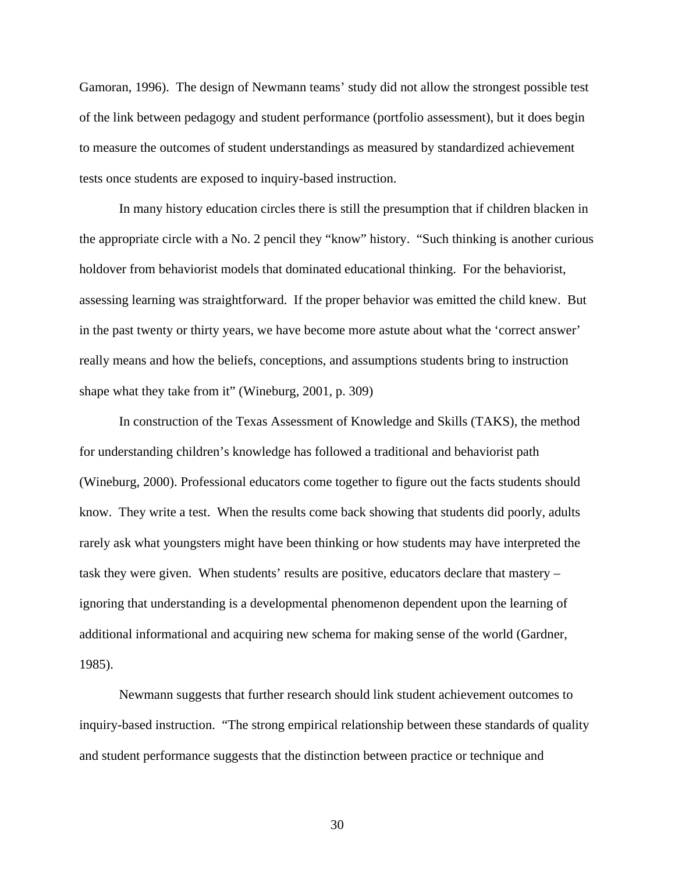Gamoran, 1996). The design of Newmann teams' study did not allow the strongest possible test of the link between pedagogy and student performance (portfolio assessment), but it does begin to measure the outcomes of student understandings as measured by standardized achievement tests once students are exposed to inquiry-based instruction.

In many history education circles there is still the presumption that if children blacken in the appropriate circle with a No. 2 pencil they "know" history. "Such thinking is another curious holdover from behaviorist models that dominated educational thinking. For the behaviorist, assessing learning was straightforward. If the proper behavior was emitted the child knew. But in the past twenty or thirty years, we have become more astute about what the 'correct answer' really means and how the beliefs, conceptions, and assumptions students bring to instruction shape what they take from it" (Wineburg, 2001, p. 309)

In construction of the Texas Assessment of Knowledge and Skills (TAKS), the method for understanding children's knowledge has followed a traditional and behaviorist path (Wineburg, 2000). Professional educators come together to figure out the facts students should know. They write a test. When the results come back showing that students did poorly, adults rarely ask what youngsters might have been thinking or how students may have interpreted the task they were given. When students' results are positive, educators declare that mastery – ignoring that understanding is a developmental phenomenon dependent upon the learning of additional informational and acquiring new schema for making sense of the world (Gardner, 1985).

Newmann suggests that further research should link student achievement outcomes to inquiry-based instruction. "The strong empirical relationship between these standards of quality and student performance suggests that the distinction between practice or technique and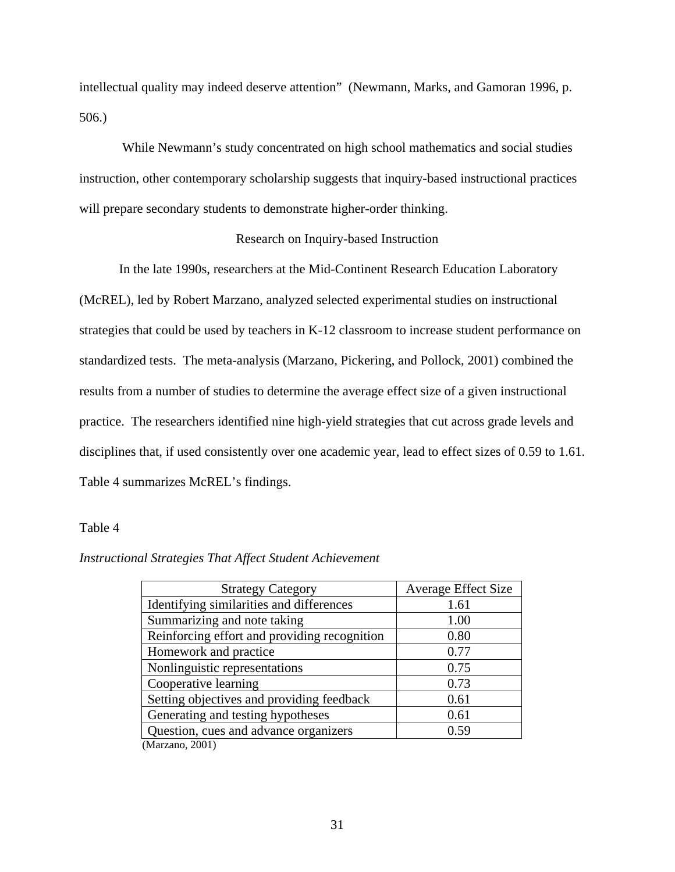intellectual quality may indeed deserve attention" (Newmann, Marks, and Gamoran 1996, p. 506.)

 While Newmann's study concentrated on high school mathematics and social studies instruction, other contemporary scholarship suggests that inquiry-based instructional practices will prepare secondary students to demonstrate higher-order thinking.

### Research on Inquiry-based Instruction

 In the late 1990s, researchers at the Mid-Continent Research Education Laboratory (McREL), led by Robert Marzano, analyzed selected experimental studies on instructional strategies that could be used by teachers in K-12 classroom to increase student performance on standardized tests. The meta-analysis (Marzano, Pickering, and Pollock, 2001) combined the results from a number of studies to determine the average effect size of a given instructional practice. The researchers identified nine high-yield strategies that cut across grade levels and disciplines that, if used consistently over one academic year, lead to effect sizes of 0.59 to 1.61. Table 4 summarizes McREL's findings.

#### Table 4

### *Instructional Strategies That Affect Student Achievement*

| <b>Strategy Category</b>                     | <b>Average Effect Size</b> |
|----------------------------------------------|----------------------------|
| Identifying similarities and differences     | 1.61                       |
| Summarizing and note taking                  | 1.00                       |
| Reinforcing effort and providing recognition | 0.80                       |
| Homework and practice                        | 0.77                       |
| Nonlinguistic representations                | 0.75                       |
| Cooperative learning                         | 0.73                       |
| Setting objectives and providing feedback    | 0.61                       |
| Generating and testing hypotheses            | 0.61                       |
| Question, cues and advance organizers        | 0.59                       |
| (Marzano, 2001)                              |                            |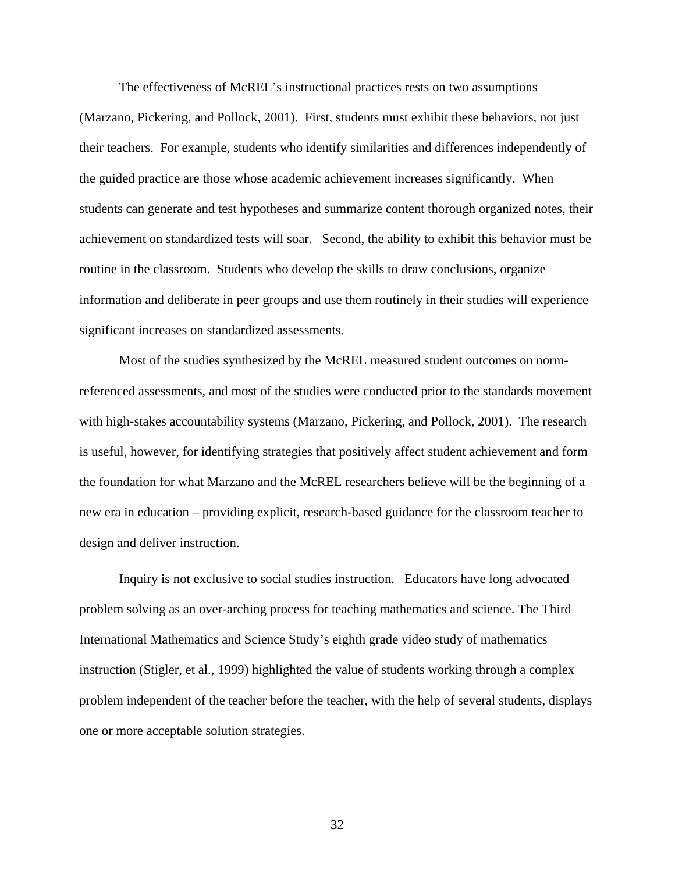The effectiveness of McREL's instructional practices rests on two assumptions (Marzano, Pickering, and Pollock, 2001). First, students must exhibit these behaviors, not just their teachers. For example, students who identify similarities and differences independently of the guided practice are those whose academic achievement increases significantly. When students can generate and test hypotheses and summarize content thorough organized notes, their achievement on standardized tests will soar. Second, the ability to exhibit this behavior must be routine in the classroom. Students who develop the skills to draw conclusions, organize information and deliberate in peer groups and use them routinely in their studies will experience significant increases on standardized assessments.

 Most of the studies synthesized by the McREL measured student outcomes on normreferenced assessments, and most of the studies were conducted prior to the standards movement with high-stakes accountability systems (Marzano, Pickering, and Pollock, 2001). The research is useful, however, for identifying strategies that positively affect student achievement and form the foundation for what Marzano and the McREL researchers believe will be the beginning of a new era in education – providing explicit, research-based guidance for the classroom teacher to design and deliver instruction.

Inquiry is not exclusive to social studies instruction. Educators have long advocated problem solving as an over-arching process for teaching mathematics and science. The Third International Mathematics and Science Study's eighth grade video study of mathematics instruction (Stigler, et al., 1999) highlighted the value of students working through a complex problem independent of the teacher before the teacher, with the help of several students, displays one or more acceptable solution strategies.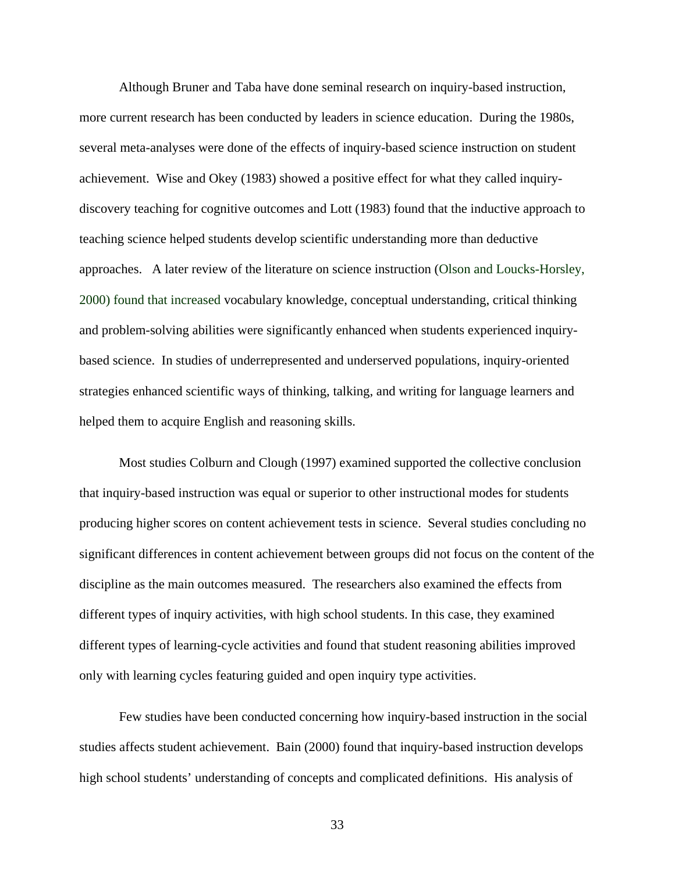Although Bruner and Taba have done seminal research on inquiry-based instruction, more current research has been conducted by leaders in science education. During the 1980s, several meta-analyses were done of the effects of inquiry-based science instruction on student achievement. Wise and Okey (1983) showed a positive effect for what they called inquirydiscovery teaching for cognitive outcomes and Lott (1983) found that the inductive approach to teaching science helped students develop scientific understanding more than deductive approaches. A later review of the literature on science instruction (Olson and Loucks-Horsley, 2000) found that increased vocabulary knowledge, conceptual understanding, critical thinking and problem-solving abilities were significantly enhanced when students experienced inquirybased science. In studies of underrepresented and underserved populations, inquiry-oriented strategies enhanced scientific ways of thinking, talking, and writing for language learners and helped them to acquire English and reasoning skills.

Most studies Colburn and Clough (1997) examined supported the collective conclusion that inquiry-based instruction was equal or superior to other instructional modes for students producing higher scores on content achievement tests in science. Several studies concluding no significant differences in content achievement between groups did not focus on the content of the discipline as the main outcomes measured. The researchers also examined the effects from different types of inquiry activities, with high school students. In this case, they examined different types of learning-cycle activities and found that student reasoning abilities improved only with learning cycles featuring guided and open inquiry type activities.

Few studies have been conducted concerning how inquiry-based instruction in the social studies affects student achievement. Bain (2000) found that inquiry-based instruction develops high school students' understanding of concepts and complicated definitions. His analysis of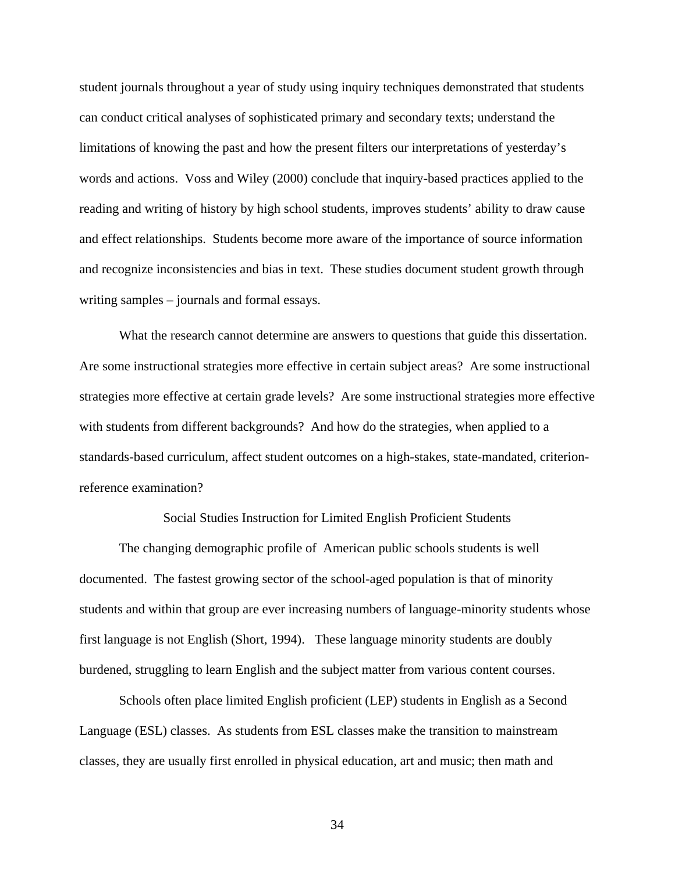student journals throughout a year of study using inquiry techniques demonstrated that students can conduct critical analyses of sophisticated primary and secondary texts; understand the limitations of knowing the past and how the present filters our interpretations of yesterday's words and actions. Voss and Wiley (2000) conclude that inquiry-based practices applied to the reading and writing of history by high school students, improves students' ability to draw cause and effect relationships. Students become more aware of the importance of source information and recognize inconsistencies and bias in text. These studies document student growth through writing samples – journals and formal essays.

What the research cannot determine are answers to questions that guide this dissertation. Are some instructional strategies more effective in certain subject areas? Are some instructional strategies more effective at certain grade levels? Are some instructional strategies more effective with students from different backgrounds? And how do the strategies, when applied to a standards-based curriculum, affect student outcomes on a high-stakes, state-mandated, criterionreference examination?

Social Studies Instruction for Limited English Proficient Students

 The changing demographic profile of American public schools students is well documented. The fastest growing sector of the school-aged population is that of minority students and within that group are ever increasing numbers of language-minority students whose first language is not English (Short, 1994). These language minority students are doubly burdened, struggling to learn English and the subject matter from various content courses.

 Schools often place limited English proficient (LEP) students in English as a Second Language (ESL) classes. As students from ESL classes make the transition to mainstream classes, they are usually first enrolled in physical education, art and music; then math and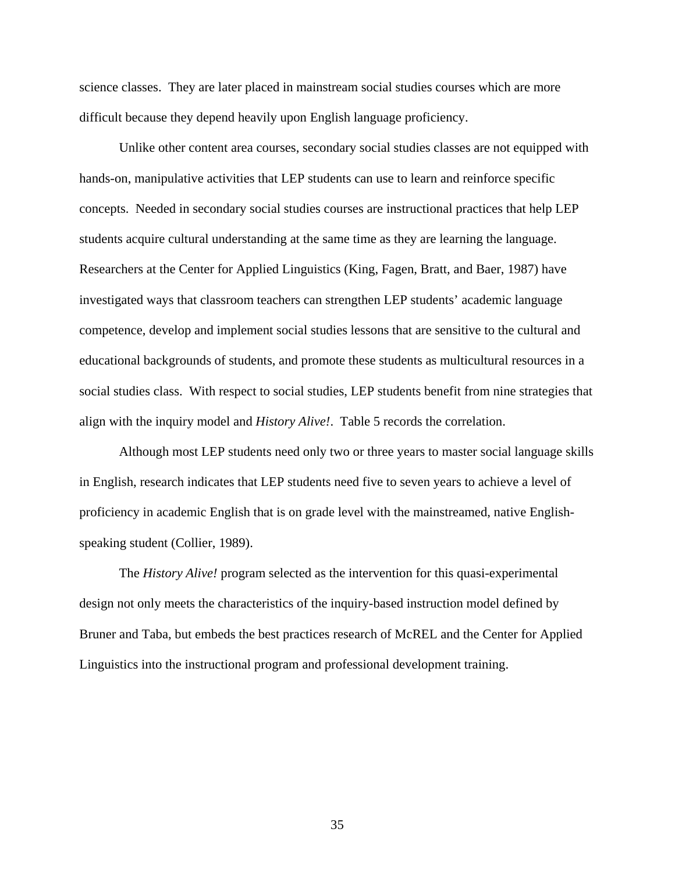science classes. They are later placed in mainstream social studies courses which are more difficult because they depend heavily upon English language proficiency.

 Unlike other content area courses, secondary social studies classes are not equipped with hands-on, manipulative activities that LEP students can use to learn and reinforce specific concepts. Needed in secondary social studies courses are instructional practices that help LEP students acquire cultural understanding at the same time as they are learning the language. Researchers at the Center for Applied Linguistics (King, Fagen, Bratt, and Baer, 1987) have investigated ways that classroom teachers can strengthen LEP students' academic language competence, develop and implement social studies lessons that are sensitive to the cultural and educational backgrounds of students, and promote these students as multicultural resources in a social studies class. With respect to social studies, LEP students benefit from nine strategies that align with the inquiry model and *History Alive!*. Table 5 records the correlation.

Although most LEP students need only two or three years to master social language skills in English, research indicates that LEP students need five to seven years to achieve a level of proficiency in academic English that is on grade level with the mainstreamed, native Englishspeaking student (Collier, 1989).

The *History Alive!* program selected as the intervention for this quasi-experimental design not only meets the characteristics of the inquiry-based instruction model defined by Bruner and Taba, but embeds the best practices research of McREL and the Center for Applied Linguistics into the instructional program and professional development training.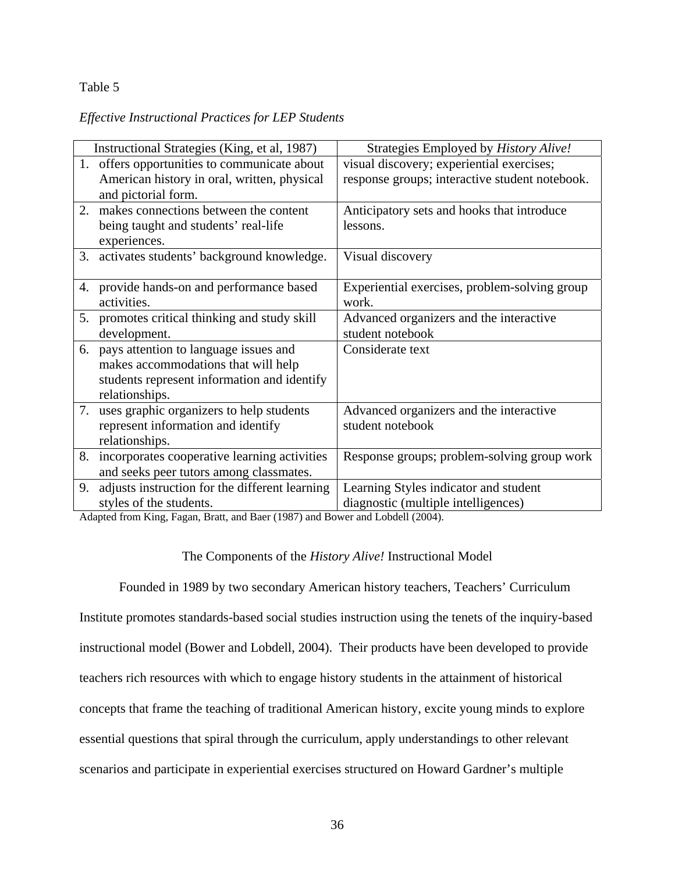### Table 5

### *Effective Instructional Practices for LEP Students*

|    | Instructional Strategies (King, et al, 1987)    | Strategies Employed by History Alive!          |
|----|-------------------------------------------------|------------------------------------------------|
| 1. | offers opportunities to communicate about       | visual discovery; experiential exercises;      |
|    | American history in oral, written, physical     | response groups; interactive student notebook. |
|    | and pictorial form.                             |                                                |
| 2. | makes connections between the content           | Anticipatory sets and hooks that introduce     |
|    | being taught and students' real-life            | lessons.                                       |
|    | experiences.                                    |                                                |
|    | 3. activates students' background knowledge.    | Visual discovery                               |
|    |                                                 |                                                |
|    | 4. provide hands-on and performance based       | Experiential exercises, problem-solving group  |
|    | activities.                                     | work.                                          |
|    | 5. promotes critical thinking and study skill   | Advanced organizers and the interactive        |
|    | development.                                    | student notebook                               |
| 6. | pays attention to language issues and           | Considerate text                               |
|    | makes accommodations that will help             |                                                |
|    | students represent information and identify     |                                                |
|    | relationships.                                  |                                                |
| 7. | uses graphic organizers to help students        | Advanced organizers and the interactive        |
|    | represent information and identify              | student notebook                               |
|    | relationships.                                  |                                                |
|    | 8. incorporates cooperative learning activities | Response groups; problem-solving group work    |
|    | and seeks peer tutors among classmates.         |                                                |
| 9. | adjusts instruction for the different learning  | Learning Styles indicator and student          |
|    | styles of the students.                         | diagnostic (multiple intelligences)            |

Adapted from King, Fagan, Bratt, and Baer (1987) and Bower and Lobdell (2004).

### The Components of the *History Alive!* Instructional Model

 Founded in 1989 by two secondary American history teachers, Teachers' Curriculum Institute promotes standards-based social studies instruction using the tenets of the inquiry-based instructional model (Bower and Lobdell, 2004). Their products have been developed to provide teachers rich resources with which to engage history students in the attainment of historical concepts that frame the teaching of traditional American history, excite young minds to explore essential questions that spiral through the curriculum, apply understandings to other relevant scenarios and participate in experiential exercises structured on Howard Gardner's multiple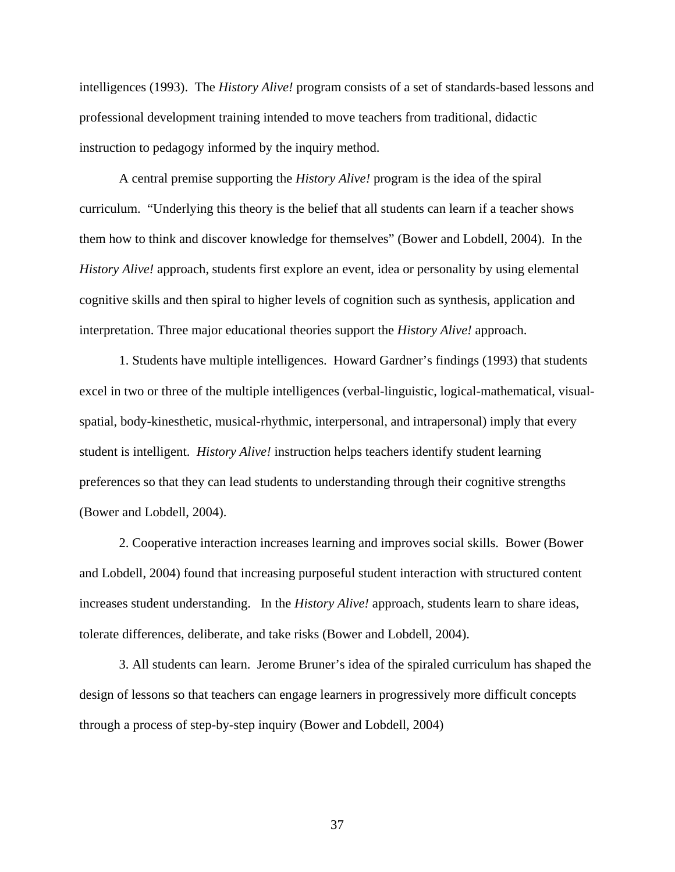intelligences (1993). The *History Alive!* program consists of a set of standards-based lessons and professional development training intended to move teachers from traditional, didactic instruction to pedagogy informed by the inquiry method.

 A central premise supporting the *History Alive!* program is the idea of the spiral curriculum. "Underlying this theory is the belief that all students can learn if a teacher shows them how to think and discover knowledge for themselves" (Bower and Lobdell, 2004). In the *History Alive!* approach, students first explore an event, idea or personality by using elemental cognitive skills and then spiral to higher levels of cognition such as synthesis, application and interpretation. Three major educational theories support the *History Alive!* approach.

 1. Students have multiple intelligences. Howard Gardner's findings (1993) that students excel in two or three of the multiple intelligences (verbal-linguistic, logical-mathematical, visualspatial, body-kinesthetic, musical-rhythmic, interpersonal, and intrapersonal) imply that every student is intelligent. *History Alive!* instruction helps teachers identify student learning preferences so that they can lead students to understanding through their cognitive strengths (Bower and Lobdell, 2004).

 2. Cooperative interaction increases learning and improves social skills. Bower (Bower and Lobdell, 2004) found that increasing purposeful student interaction with structured content increases student understanding. In the *History Alive!* approach, students learn to share ideas, tolerate differences, deliberate, and take risks (Bower and Lobdell, 2004).

 3. All students can learn. Jerome Bruner's idea of the spiraled curriculum has shaped the design of lessons so that teachers can engage learners in progressively more difficult concepts through a process of step-by-step inquiry (Bower and Lobdell, 2004)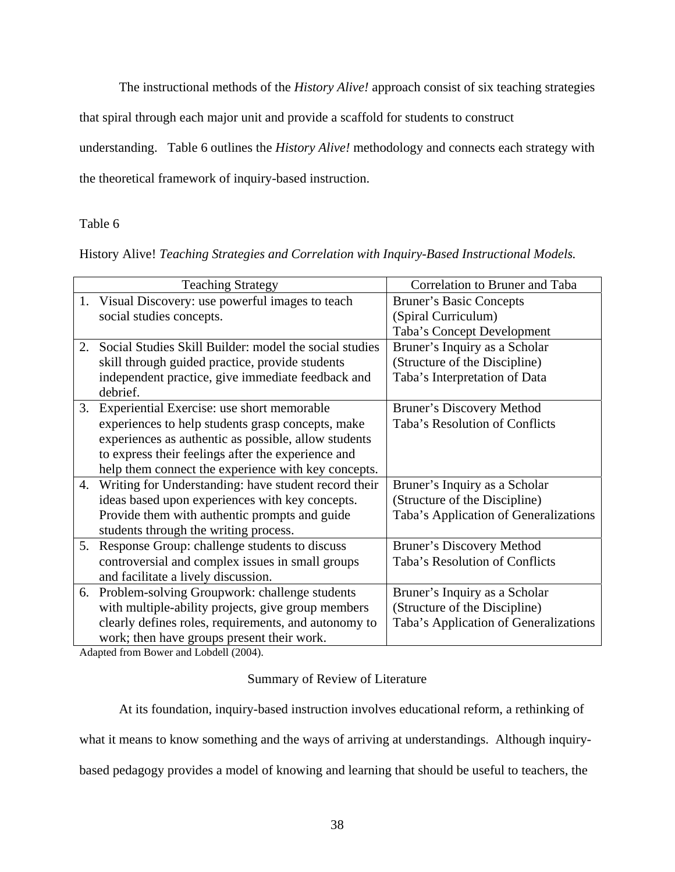The instructional methods of the *History Alive!* approach consist of six teaching strategies

that spiral through each major unit and provide a scaffold for students to construct

understanding. Table 6 outlines the *History Alive!* methodology and connects each strategy with

the theoretical framework of inquiry-based instruction.

### Table 6

History Alive! *Teaching Strategies and Correlation with Inquiry-Based Instructional Models.* 

|    | <b>Teaching Strategy</b>                               | Correlation to Bruner and Taba        |
|----|--------------------------------------------------------|---------------------------------------|
| 1. | Visual Discovery: use powerful images to teach         | <b>Bruner's Basic Concepts</b>        |
|    | social studies concepts.                               | (Spiral Curriculum)                   |
|    |                                                        | Taba's Concept Development            |
| 2. | Social Studies Skill Builder: model the social studies | Bruner's Inquiry as a Scholar         |
|    | skill through guided practice, provide students        | (Structure of the Discipline)         |
|    | independent practice, give immediate feedback and      | Taba's Interpretation of Data         |
|    | debrief.                                               |                                       |
| 3. | Experiential Exercise: use short memorable             | Bruner's Discovery Method             |
|    | experiences to help students grasp concepts, make      | Taba's Resolution of Conflicts        |
|    | experiences as authentic as possible, allow students   |                                       |
|    | to express their feelings after the experience and     |                                       |
|    | help them connect the experience with key concepts.    |                                       |
| 4. | Writing for Understanding: have student record their   | Bruner's Inquiry as a Scholar         |
|    | ideas based upon experiences with key concepts.        | (Structure of the Discipline)         |
|    | Provide them with authentic prompts and guide          | Taba's Application of Generalizations |
|    | students through the writing process.                  |                                       |
| 5. | Response Group: challenge students to discuss          | <b>Bruner's Discovery Method</b>      |
|    | controversial and complex issues in small groups       | Taba's Resolution of Conflicts        |
|    | and facilitate a lively discussion.                    |                                       |
| 6. | Problem-solving Groupwork: challenge students          | Bruner's Inquiry as a Scholar         |
|    | with multiple-ability projects, give group members     | (Structure of the Discipline)         |
|    | clearly defines roles, requirements, and autonomy to   | Taba's Application of Generalizations |
|    | work; then have groups present their work.             |                                       |

Adapted from Bower and Lobdell (2004).

### Summary of Review of Literature

At its foundation, inquiry-based instruction involves educational reform, a rethinking of

what it means to know something and the ways of arriving at understandings. Although inquiry-

based pedagogy provides a model of knowing and learning that should be useful to teachers, the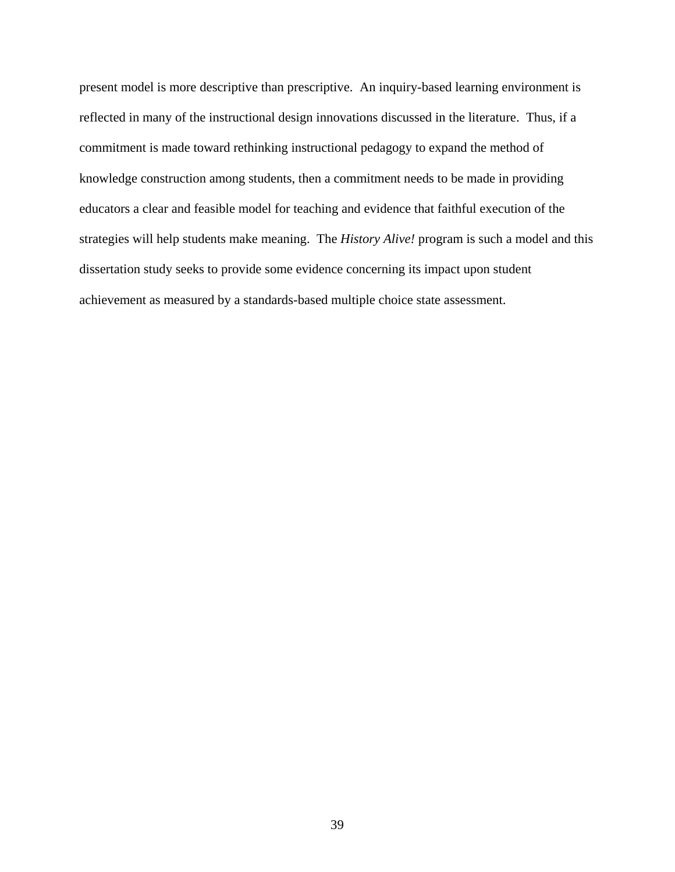present model is more descriptive than prescriptive. An inquiry-based learning environment is reflected in many of the instructional design innovations discussed in the literature. Thus, if a commitment is made toward rethinking instructional pedagogy to expand the method of knowledge construction among students, then a commitment needs to be made in providing educators a clear and feasible model for teaching and evidence that faithful execution of the strategies will help students make meaning. The *History Alive!* program is such a model and this dissertation study seeks to provide some evidence concerning its impact upon student achievement as measured by a standards-based multiple choice state assessment.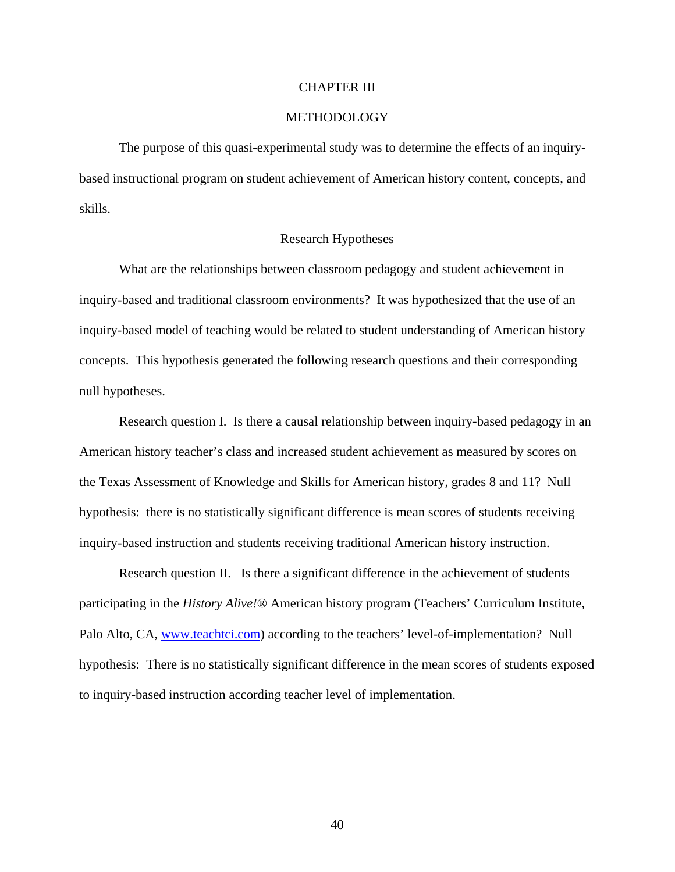#### CHAPTER III

### METHODOLOGY

 The purpose of this quasi-experimental study was to determine the effects of an inquirybased instructional program on student achievement of American history content, concepts, and skills.

#### Research Hypotheses

 What are the relationships between classroom pedagogy and student achievement in inquiry-based and traditional classroom environments? It was hypothesized that the use of an inquiry-based model of teaching would be related to student understanding of American history concepts. This hypothesis generated the following research questions and their corresponding null hypotheses.

Research question I. Is there a causal relationship between inquiry-based pedagogy in an American history teacher's class and increased student achievement as measured by scores on the Texas Assessment of Knowledge and Skills for American history, grades 8 and 11? Null hypothesis: there is no statistically significant difference is mean scores of students receiving inquiry-based instruction and students receiving traditional American history instruction.

Research question II. Is there a significant difference in the achievement of students participating in the *History Alive!*® American history program (Teachers' Curriculum Institute, Palo Alto, CA, [www.teachtci.com](http://www.teachtci.com/)) according to the teachers' level-of-implementation? Null hypothesis: There is no statistically significant difference in the mean scores of students exposed to inquiry-based instruction according teacher level of implementation.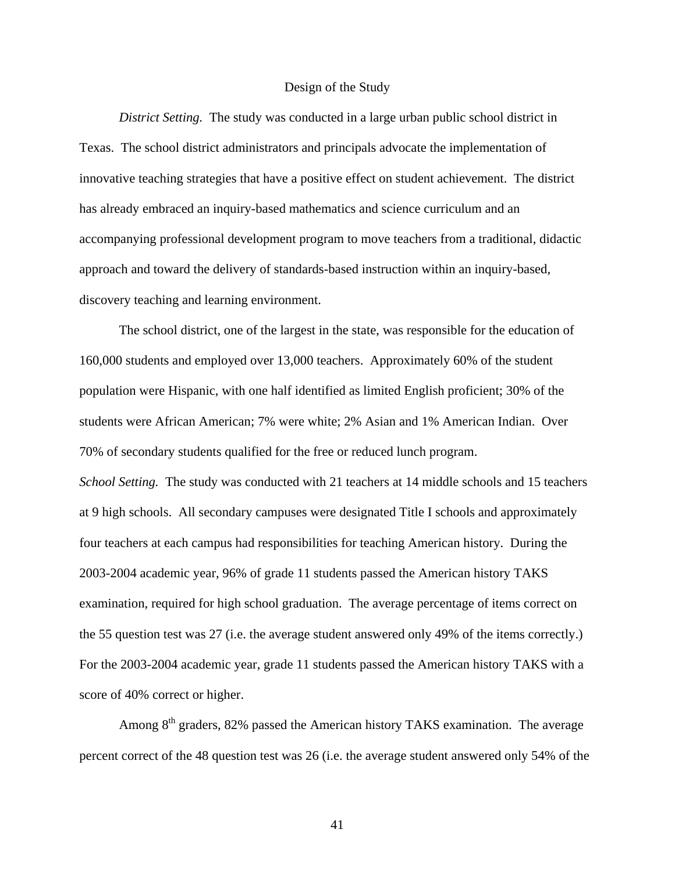#### Design of the Study

*District Setting.* The study was conducted in a large urban public school district in Texas. The school district administrators and principals advocate the implementation of innovative teaching strategies that have a positive effect on student achievement. The district has already embraced an inquiry-based mathematics and science curriculum and an accompanying professional development program to move teachers from a traditional, didactic approach and toward the delivery of standards-based instruction within an inquiry-based, discovery teaching and learning environment.

 The school district, one of the largest in the state, was responsible for the education of 160,000 students and employed over 13,000 teachers. Approximately 60% of the student population were Hispanic, with one half identified as limited English proficient; 30% of the students were African American; 7% were white; 2% Asian and 1% American Indian. Over 70% of secondary students qualified for the free or reduced lunch program. *School Setting.* The study was conducted with 21 teachers at 14 middle schools and 15 teachers at 9 high schools. All secondary campuses were designated Title I schools and approximately four teachers at each campus had responsibilities for teaching American history. During the 2003-2004 academic year, 96% of grade 11 students passed the American history TAKS examination, required for high school graduation. The average percentage of items correct on the 55 question test was 27 (i.e. the average student answered only 49% of the items correctly.) For the 2003-2004 academic year, grade 11 students passed the American history TAKS with a score of 40% correct or higher.

Among 8<sup>th</sup> graders, 82% passed the American history TAKS examination. The average percent correct of the 48 question test was 26 (i.e. the average student answered only 54% of the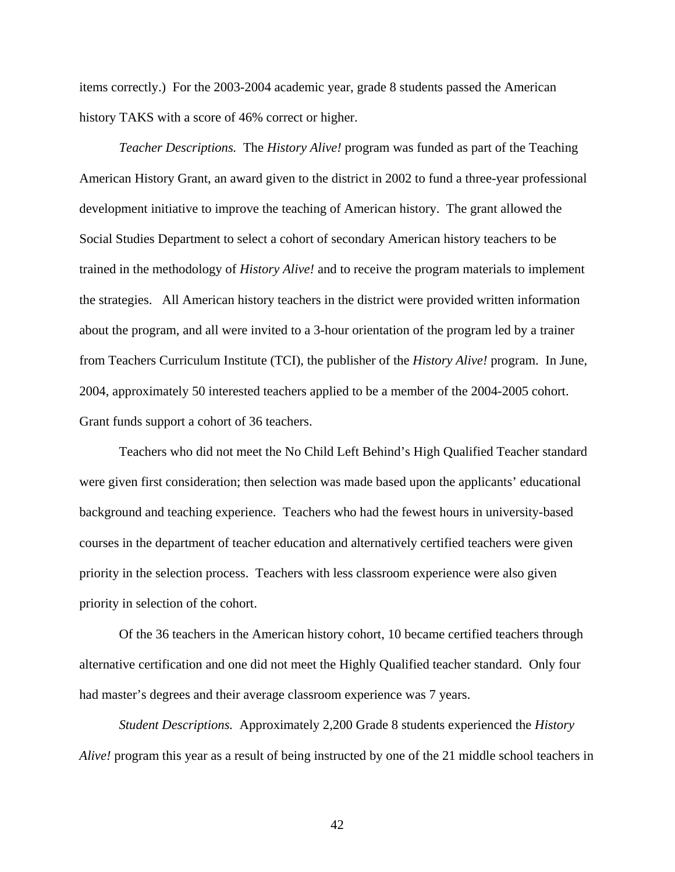items correctly.) For the 2003-2004 academic year, grade 8 students passed the American history TAKS with a score of 46% correct or higher.

 *Teacher Descriptions.* The *History Alive!* program was funded as part of the Teaching American History Grant, an award given to the district in 2002 to fund a three-year professional development initiative to improve the teaching of American history. The grant allowed the Social Studies Department to select a cohort of secondary American history teachers to be trained in the methodology of *History Alive!* and to receive the program materials to implement the strategies. All American history teachers in the district were provided written information about the program, and all were invited to a 3-hour orientation of the program led by a trainer from Teachers Curriculum Institute (TCI), the publisher of the *History Alive!* program. In June, 2004, approximately 50 interested teachers applied to be a member of the 2004-2005 cohort. Grant funds support a cohort of 36 teachers.

Teachers who did not meet the No Child Left Behind's High Qualified Teacher standard were given first consideration; then selection was made based upon the applicants' educational background and teaching experience. Teachers who had the fewest hours in university-based courses in the department of teacher education and alternatively certified teachers were given priority in the selection process. Teachers with less classroom experience were also given priority in selection of the cohort.

 Of the 36 teachers in the American history cohort, 10 became certified teachers through alternative certification and one did not meet the Highly Qualified teacher standard. Only four had master's degrees and their average classroom experience was 7 years.

*Student Descriptions.* Approximately 2,200 Grade 8 students experienced the *History Alive!* program this year as a result of being instructed by one of the 21 middle school teachers in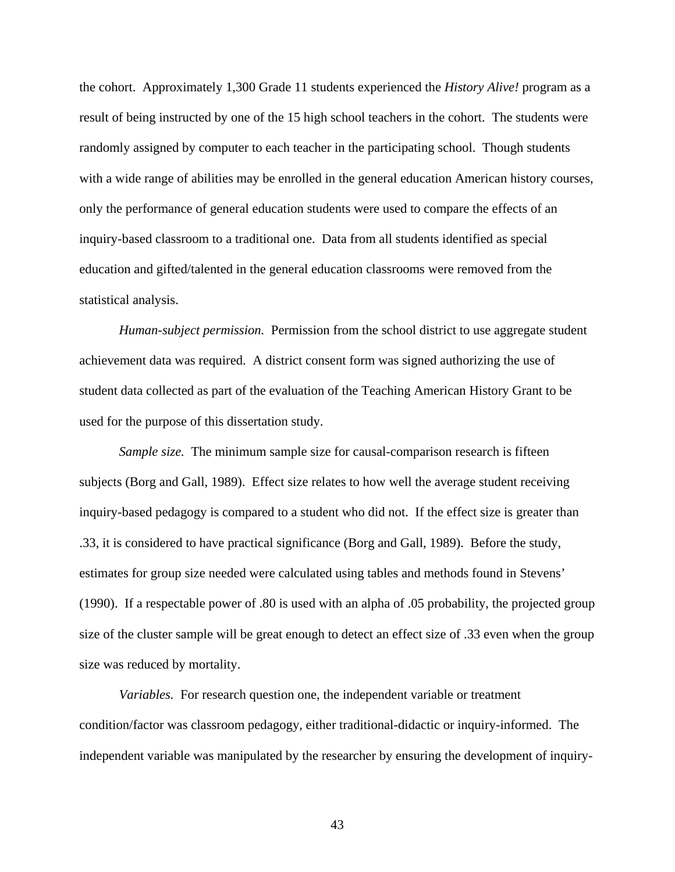the cohort. Approximately 1,300 Grade 11 students experienced the *History Alive!* program as a result of being instructed by one of the 15 high school teachers in the cohort. The students were randomly assigned by computer to each teacher in the participating school. Though students with a wide range of abilities may be enrolled in the general education American history courses, only the performance of general education students were used to compare the effects of an inquiry-based classroom to a traditional one. Data from all students identified as special education and gifted/talented in the general education classrooms were removed from the statistical analysis.

*Human-subject permission.* Permission from the school district to use aggregate student achievement data was required. A district consent form was signed authorizing the use of student data collected as part of the evaluation of the Teaching American History Grant to be used for the purpose of this dissertation study.

*Sample size.* The minimum sample size for causal-comparison research is fifteen subjects (Borg and Gall, 1989). Effect size relates to how well the average student receiving inquiry-based pedagogy is compared to a student who did not. If the effect size is greater than .33, it is considered to have practical significance (Borg and Gall, 1989). Before the study, estimates for group size needed were calculated using tables and methods found in Stevens' (1990). If a respectable power of .80 is used with an alpha of .05 probability, the projected group size of the cluster sample will be great enough to detect an effect size of .33 even when the group size was reduced by mortality.

*Variables.* For research question one, the independent variable or treatment condition/factor was classroom pedagogy, either traditional-didactic or inquiry-informed. The independent variable was manipulated by the researcher by ensuring the development of inquiry-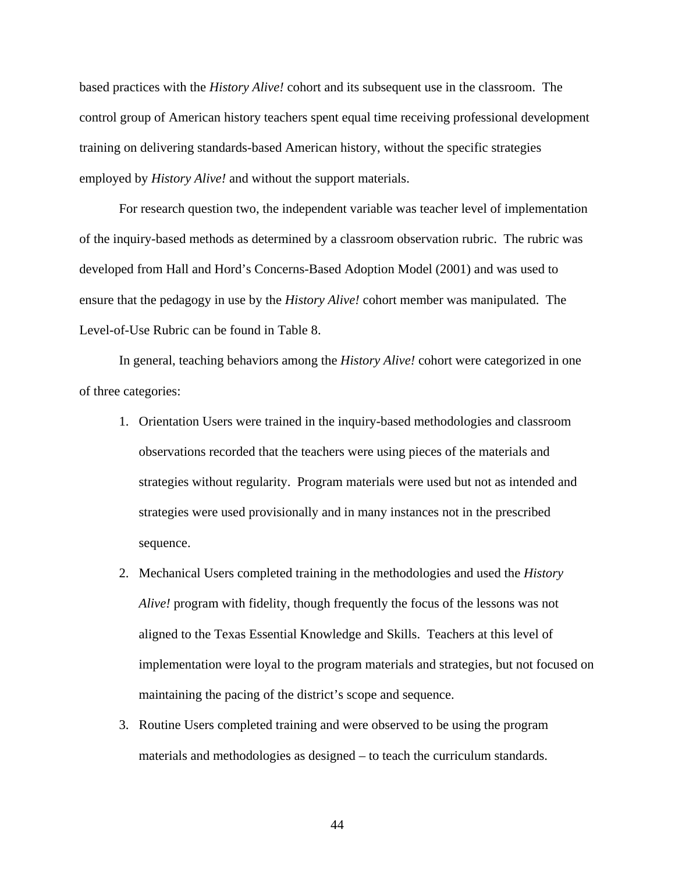based practices with the *History Alive!* cohort and its subsequent use in the classroom. The control group of American history teachers spent equal time receiving professional development training on delivering standards-based American history, without the specific strategies employed by *History Alive!* and without the support materials.

 For research question two, the independent variable was teacher level of implementation of the inquiry-based methods as determined by a classroom observation rubric. The rubric was developed from Hall and Hord's Concerns-Based Adoption Model (2001) and was used to ensure that the pedagogy in use by the *History Alive!* cohort member was manipulated. The Level-of-Use Rubric can be found in Table 8.

In general, teaching behaviors among the *History Alive!* cohort were categorized in one of three categories:

- 1. Orientation Users were trained in the inquiry-based methodologies and classroom observations recorded that the teachers were using pieces of the materials and strategies without regularity. Program materials were used but not as intended and strategies were used provisionally and in many instances not in the prescribed sequence.
- 2. Mechanical Users completed training in the methodologies and used the *History Alive!* program with fidelity, though frequently the focus of the lessons was not aligned to the Texas Essential Knowledge and Skills. Teachers at this level of implementation were loyal to the program materials and strategies, but not focused on maintaining the pacing of the district's scope and sequence.
- 3. Routine Users completed training and were observed to be using the program materials and methodologies as designed – to teach the curriculum standards.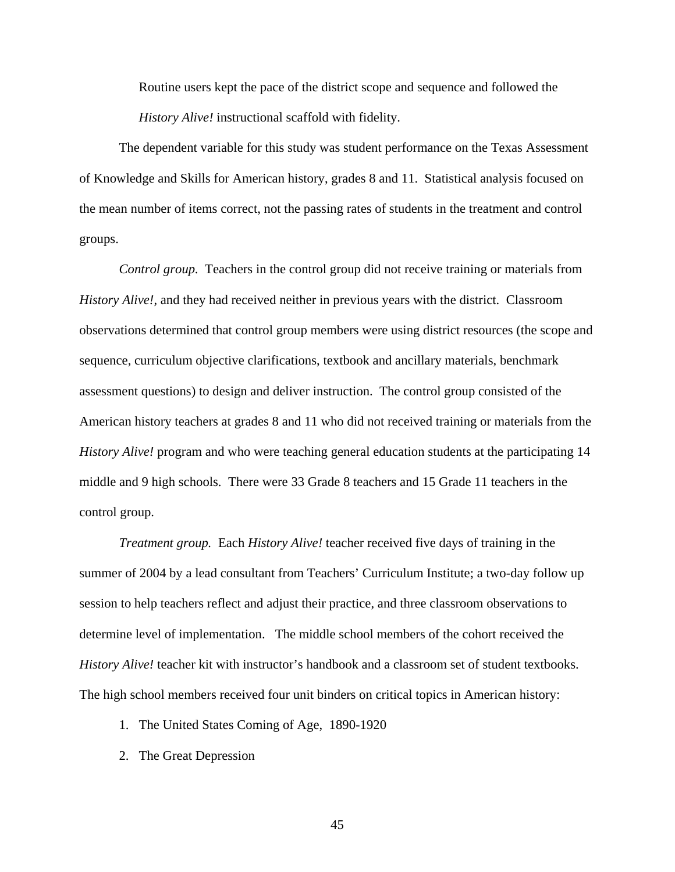Routine users kept the pace of the district scope and sequence and followed the *History Alive!* instructional scaffold with fidelity.

The dependent variable for this study was student performance on the Texas Assessment of Knowledge and Skills for American history, grades 8 and 11. Statistical analysis focused on the mean number of items correct, not the passing rates of students in the treatment and control groups.

*Control group.* Teachers in the control group did not receive training or materials from *History Alive!*, and they had received neither in previous years with the district. Classroom observations determined that control group members were using district resources (the scope and sequence, curriculum objective clarifications, textbook and ancillary materials, benchmark assessment questions) to design and deliver instruction. The control group consisted of the American history teachers at grades 8 and 11 who did not received training or materials from the *History Alive!* program and who were teaching general education students at the participating 14 middle and 9 high schools. There were 33 Grade 8 teachers and 15 Grade 11 teachers in the control group.

*Treatment group.* Each *History Alive!* teacher received five days of training in the summer of 2004 by a lead consultant from Teachers' Curriculum Institute; a two-day follow up session to help teachers reflect and adjust their practice, and three classroom observations to determine level of implementation. The middle school members of the cohort received the *History Alive!* teacher kit with instructor's handbook and a classroom set of student textbooks. The high school members received four unit binders on critical topics in American history:

- 1. The United States Coming of Age, 1890-1920
- 2. The Great Depression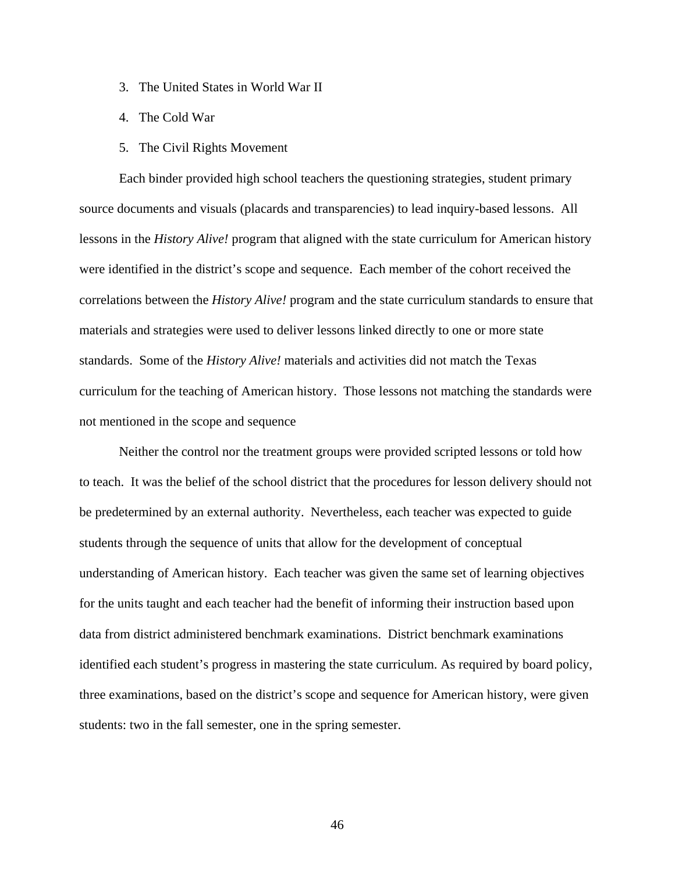- 3. The United States in World War II
- 4. The Cold War
- 5. The Civil Rights Movement

Each binder provided high school teachers the questioning strategies, student primary source documents and visuals (placards and transparencies) to lead inquiry-based lessons. All lessons in the *History Alive!* program that aligned with the state curriculum for American history were identified in the district's scope and sequence. Each member of the cohort received the correlations between the *History Alive!* program and the state curriculum standards to ensure that materials and strategies were used to deliver lessons linked directly to one or more state standards. Some of the *History Alive!* materials and activities did not match the Texas curriculum for the teaching of American history. Those lessons not matching the standards were not mentioned in the scope and sequence

Neither the control nor the treatment groups were provided scripted lessons or told how to teach. It was the belief of the school district that the procedures for lesson delivery should not be predetermined by an external authority. Nevertheless, each teacher was expected to guide students through the sequence of units that allow for the development of conceptual understanding of American history. Each teacher was given the same set of learning objectives for the units taught and each teacher had the benefit of informing their instruction based upon data from district administered benchmark examinations. District benchmark examinations identified each student's progress in mastering the state curriculum. As required by board policy, three examinations, based on the district's scope and sequence for American history, were given students: two in the fall semester, one in the spring semester.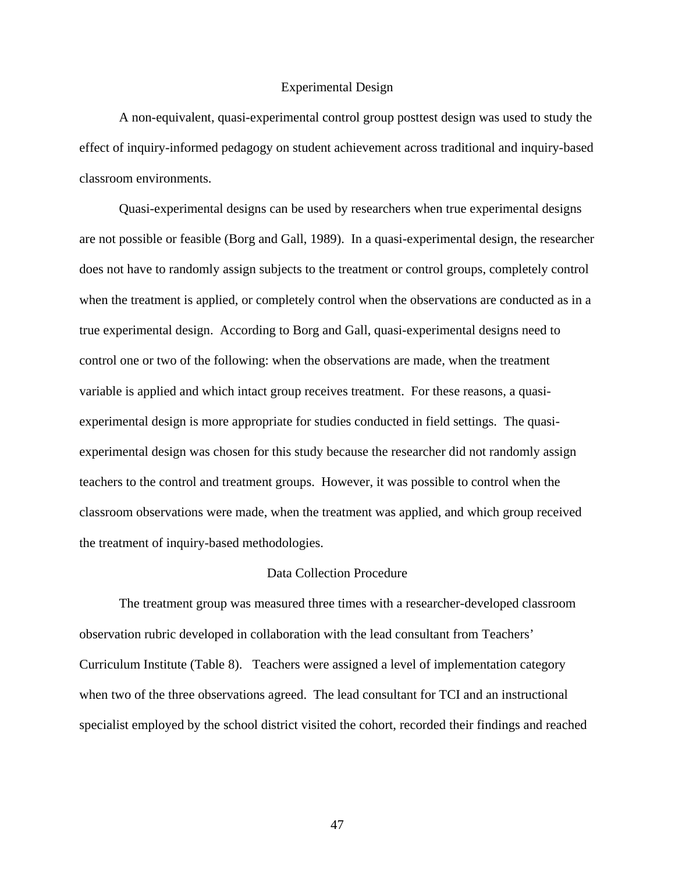#### Experimental Design

 A non-equivalent, quasi-experimental control group posttest design was used to study the effect of inquiry-informed pedagogy on student achievement across traditional and inquiry-based classroom environments.

 Quasi-experimental designs can be used by researchers when true experimental designs are not possible or feasible (Borg and Gall, 1989). In a quasi-experimental design, the researcher does not have to randomly assign subjects to the treatment or control groups, completely control when the treatment is applied, or completely control when the observations are conducted as in a true experimental design. According to Borg and Gall, quasi-experimental designs need to control one or two of the following: when the observations are made, when the treatment variable is applied and which intact group receives treatment. For these reasons, a quasiexperimental design is more appropriate for studies conducted in field settings. The quasiexperimental design was chosen for this study because the researcher did not randomly assign teachers to the control and treatment groups. However, it was possible to control when the classroom observations were made, when the treatment was applied, and which group received the treatment of inquiry-based methodologies.

#### Data Collection Procedure

 The treatment group was measured three times with a researcher-developed classroom observation rubric developed in collaboration with the lead consultant from Teachers' Curriculum Institute (Table 8). Teachers were assigned a level of implementation category when two of the three observations agreed. The lead consultant for TCI and an instructional specialist employed by the school district visited the cohort, recorded their findings and reached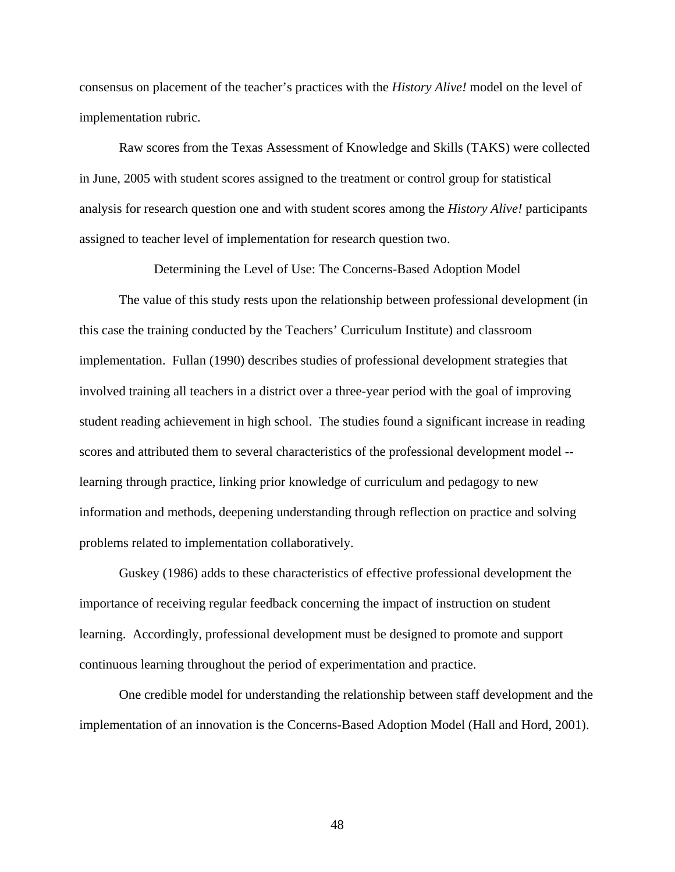consensus on placement of the teacher's practices with the *History Alive!* model on the level of implementation rubric.

 Raw scores from the Texas Assessment of Knowledge and Skills (TAKS) were collected in June, 2005 with student scores assigned to the treatment or control group for statistical analysis for research question one and with student scores among the *History Alive!* participants assigned to teacher level of implementation for research question two.

Determining the Level of Use: The Concerns-Based Adoption Model

 The value of this study rests upon the relationship between professional development (in this case the training conducted by the Teachers' Curriculum Institute) and classroom implementation. Fullan (1990) describes studies of professional development strategies that involved training all teachers in a district over a three-year period with the goal of improving student reading achievement in high school. The studies found a significant increase in reading scores and attributed them to several characteristics of the professional development model - learning through practice, linking prior knowledge of curriculum and pedagogy to new information and methods, deepening understanding through reflection on practice and solving problems related to implementation collaboratively.

 Guskey (1986) adds to these characteristics of effective professional development the importance of receiving regular feedback concerning the impact of instruction on student learning. Accordingly, professional development must be designed to promote and support continuous learning throughout the period of experimentation and practice.

 One credible model for understanding the relationship between staff development and the implementation of an innovation is the Concerns-Based Adoption Model (Hall and Hord, 2001).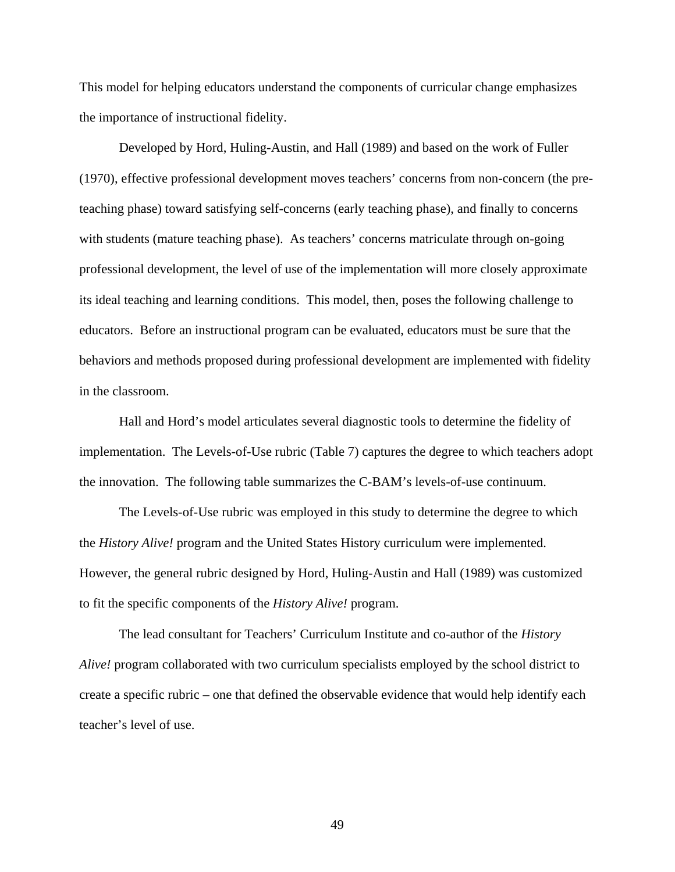This model for helping educators understand the components of curricular change emphasizes the importance of instructional fidelity.

 Developed by Hord, Huling-Austin, and Hall (1989) and based on the work of Fuller (1970), effective professional development moves teachers' concerns from non-concern (the preteaching phase) toward satisfying self-concerns (early teaching phase), and finally to concerns with students (mature teaching phase). As teachers' concerns matriculate through on-going professional development, the level of use of the implementation will more closely approximate its ideal teaching and learning conditions. This model, then, poses the following challenge to educators. Before an instructional program can be evaluated, educators must be sure that the behaviors and methods proposed during professional development are implemented with fidelity in the classroom.

 Hall and Hord's model articulates several diagnostic tools to determine the fidelity of implementation. The Levels-of-Use rubric (Table 7) captures the degree to which teachers adopt the innovation. The following table summarizes the C-BAM's levels-of-use continuum.

The Levels-of-Use rubric was employed in this study to determine the degree to which the *History Alive!* program and the United States History curriculum were implemented. However, the general rubric designed by Hord, Huling-Austin and Hall (1989) was customized to fit the specific components of the *History Alive!* program.

The lead consultant for Teachers' Curriculum Institute and co-author of the *History Alive!* program collaborated with two curriculum specialists employed by the school district to create a specific rubric – one that defined the observable evidence that would help identify each teacher's level of use.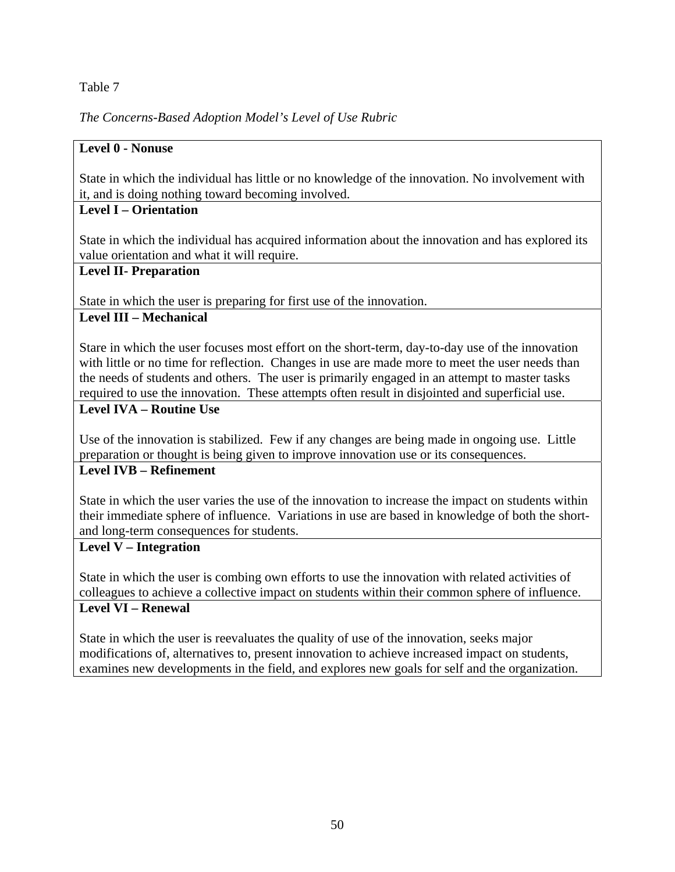## Table 7

# *The Concerns-Based Adoption Model's Level of Use Rubric*

## **Level 0 - Nonuse**

State in which the individual has little or no knowledge of the innovation. No involvement with it, and is doing nothing toward becoming involved.

# **Level I – Orientation**

State in which the individual has acquired information about the innovation and has explored its value orientation and what it will require.

## **Level II- Preparation**

State in which the user is preparing for first use of the innovation.

# **Level III – Mechanical**

Stare in which the user focuses most effort on the short-term, day-to-day use of the innovation with little or no time for reflection. Changes in use are made more to meet the user needs than the needs of students and others. The user is primarily engaged in an attempt to master tasks required to use the innovation. These attempts often result in disjointed and superficial use.

# **Level IVA – Routine Use**

Use of the innovation is stabilized. Few if any changes are being made in ongoing use. Little preparation or thought is being given to improve innovation use or its consequences.

## **Level IVB – Refinement**

State in which the user varies the use of the innovation to increase the impact on students within their immediate sphere of influence. Variations in use are based in knowledge of both the shortand long-term consequences for students.

# **Level V – Integration**

State in which the user is combing own efforts to use the innovation with related activities of colleagues to achieve a collective impact on students within their common sphere of influence.

## **Level VI – Renewal**

State in which the user is reevaluates the quality of use of the innovation, seeks major modifications of, alternatives to, present innovation to achieve increased impact on students, examines new developments in the field, and explores new goals for self and the organization.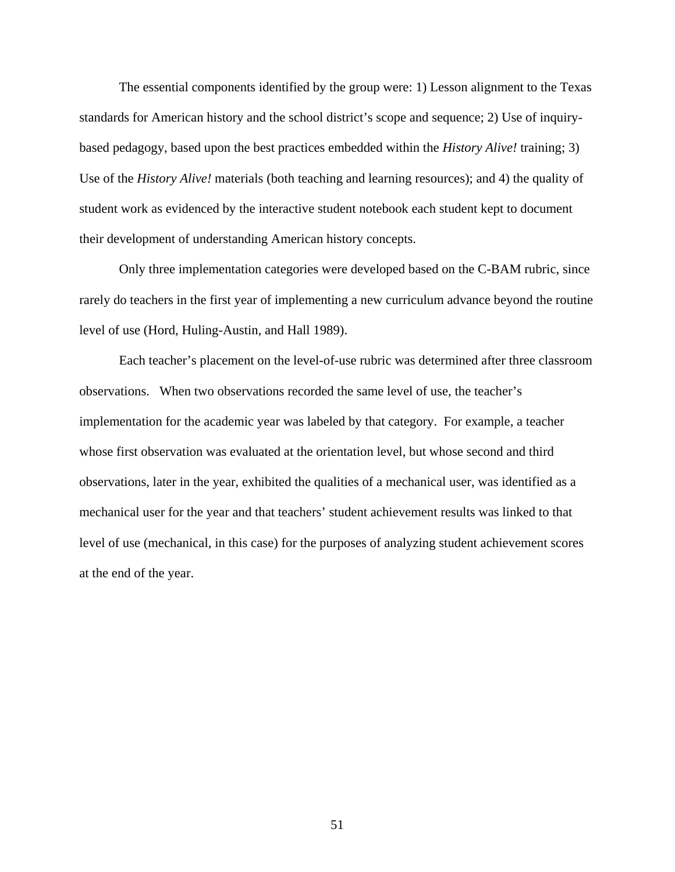The essential components identified by the group were: 1) Lesson alignment to the Texas standards for American history and the school district's scope and sequence; 2) Use of inquirybased pedagogy, based upon the best practices embedded within the *History Alive!* training; 3) Use of the *History Alive!* materials (both teaching and learning resources); and 4) the quality of student work as evidenced by the interactive student notebook each student kept to document their development of understanding American history concepts.

Only three implementation categories were developed based on the C-BAM rubric, since rarely do teachers in the first year of implementing a new curriculum advance beyond the routine level of use (Hord, Huling-Austin, and Hall 1989).

Each teacher's placement on the level-of-use rubric was determined after three classroom observations. When two observations recorded the same level of use, the teacher's implementation for the academic year was labeled by that category. For example, a teacher whose first observation was evaluated at the orientation level, but whose second and third observations, later in the year, exhibited the qualities of a mechanical user, was identified as a mechanical user for the year and that teachers' student achievement results was linked to that level of use (mechanical, in this case) for the purposes of analyzing student achievement scores at the end of the year.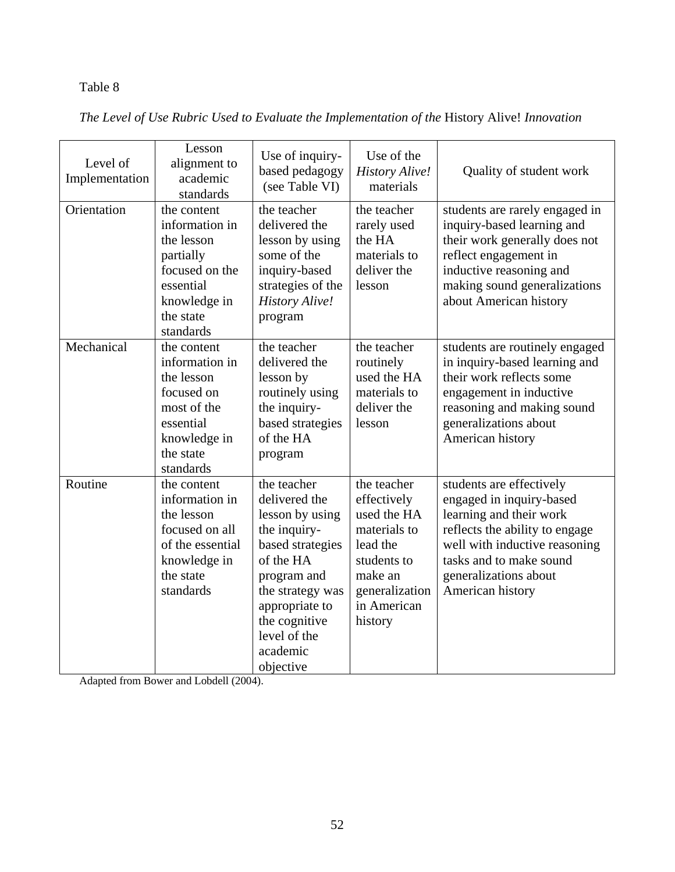# Table 8

|  |  | The Level of Use Rubric Used to Evaluate the Implementation of the History Alive! Innovation |
|--|--|----------------------------------------------------------------------------------------------|
|  |  |                                                                                              |

| Level of<br>Implementation | Lesson<br>alignment to<br>academic<br>standards                                                                                   | Use of inquiry-<br>based pedagogy<br>(see Table VI)                                                                                                                                                             | Use of the<br><b>History Alive!</b><br>materials                                                                                            | Quality of student work                                                                                                                                                                                                    |
|----------------------------|-----------------------------------------------------------------------------------------------------------------------------------|-----------------------------------------------------------------------------------------------------------------------------------------------------------------------------------------------------------------|---------------------------------------------------------------------------------------------------------------------------------------------|----------------------------------------------------------------------------------------------------------------------------------------------------------------------------------------------------------------------------|
| Orientation                | the content<br>information in<br>the lesson<br>partially<br>focused on the<br>essential<br>knowledge in<br>the state<br>standards | the teacher<br>delivered the<br>lesson by using<br>some of the<br>inquiry-based<br>strategies of the<br><b>History Alive!</b><br>program                                                                        | the teacher<br>rarely used<br>the HA<br>materials to<br>deliver the<br>lesson                                                               | students are rarely engaged in<br>inquiry-based learning and<br>their work generally does not<br>reflect engagement in<br>inductive reasoning and<br>making sound generalizations<br>about American history                |
| Mechanical                 | the content<br>information in<br>the lesson<br>focused on<br>most of the<br>essential<br>knowledge in<br>the state<br>standards   | the teacher<br>delivered the<br>lesson by<br>routinely using<br>the inquiry-<br>based strategies<br>of the HA<br>program                                                                                        | the teacher<br>routinely<br>used the HA<br>materials to<br>deliver the<br>lesson                                                            | students are routinely engaged<br>in inquiry-based learning and<br>their work reflects some<br>engagement in inductive<br>reasoning and making sound<br>generalizations about<br>American history                          |
| Routine                    | the content<br>information in<br>the lesson<br>focused on all<br>of the essential<br>knowledge in<br>the state<br>standards       | the teacher<br>delivered the<br>lesson by using<br>the inquiry-<br>based strategies<br>of the HA<br>program and<br>the strategy was<br>appropriate to<br>the cognitive<br>level of the<br>academic<br>objective | the teacher<br>effectively<br>used the HA<br>materials to<br>lead the<br>students to<br>make an<br>generalization<br>in American<br>history | students are effectively<br>engaged in inquiry-based<br>learning and their work<br>reflects the ability to engage<br>well with inductive reasoning<br>tasks and to make sound<br>generalizations about<br>American history |

Adapted from Bower and Lobdell (2004).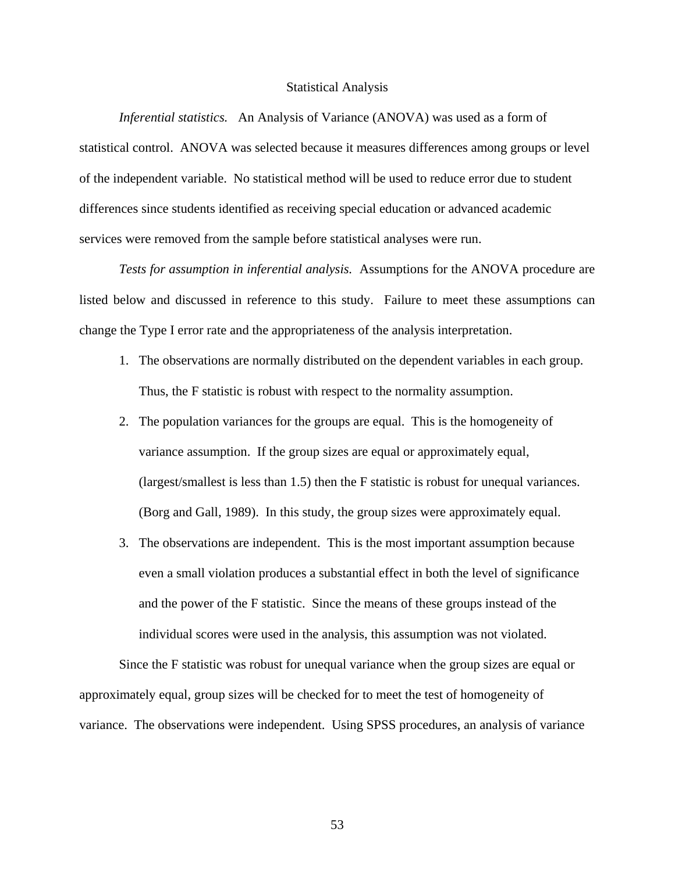#### Statistical Analysis

*Inferential statistics.* An Analysis of Variance (ANOVA) was used as a form of statistical control. ANOVA was selected because it measures differences among groups or level of the independent variable. No statistical method will be used to reduce error due to student differences since students identified as receiving special education or advanced academic services were removed from the sample before statistical analyses were run.

*Tests for assumption in inferential analysis.* Assumptions for the ANOVA procedure are listed below and discussed in reference to this study. Failure to meet these assumptions can change the Type I error rate and the appropriateness of the analysis interpretation.

- 1. The observations are normally distributed on the dependent variables in each group. Thus, the F statistic is robust with respect to the normality assumption.
- 2. The population variances for the groups are equal. This is the homogeneity of variance assumption. If the group sizes are equal or approximately equal, (largest/smallest is less than 1.5) then the F statistic is robust for unequal variances. (Borg and Gall, 1989). In this study, the group sizes were approximately equal.
- 3. The observations are independent. This is the most important assumption because even a small violation produces a substantial effect in both the level of significance and the power of the F statistic. Since the means of these groups instead of the individual scores were used in the analysis, this assumption was not violated.

Since the F statistic was robust for unequal variance when the group sizes are equal or approximately equal, group sizes will be checked for to meet the test of homogeneity of variance. The observations were independent. Using SPSS procedures, an analysis of variance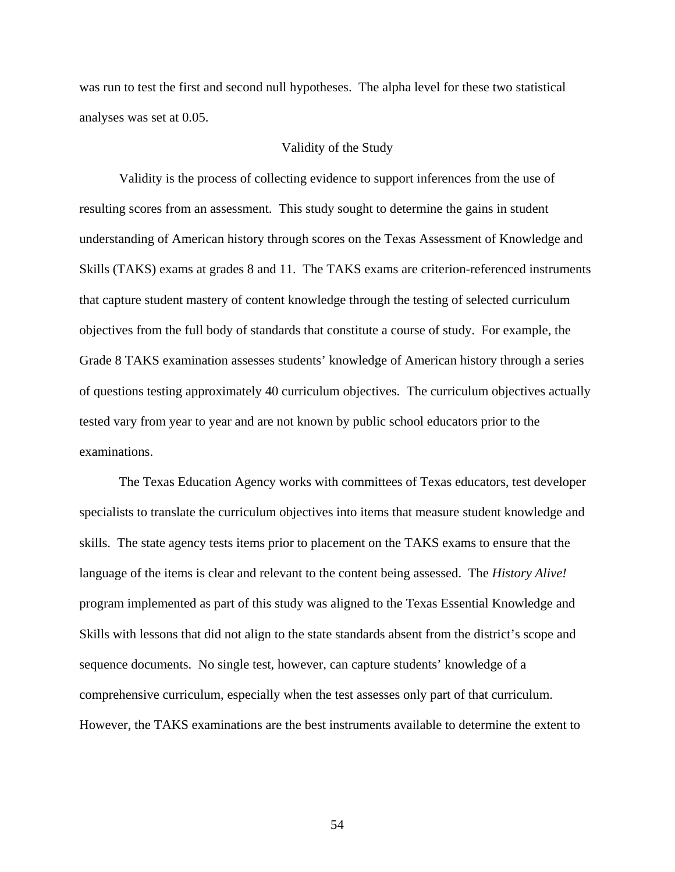was run to test the first and second null hypotheses. The alpha level for these two statistical analyses was set at 0.05.

#### Validity of the Study

 Validity is the process of collecting evidence to support inferences from the use of resulting scores from an assessment. This study sought to determine the gains in student understanding of American history through scores on the Texas Assessment of Knowledge and Skills (TAKS) exams at grades 8 and 11. The TAKS exams are criterion-referenced instruments that capture student mastery of content knowledge through the testing of selected curriculum objectives from the full body of standards that constitute a course of study. For example, the Grade 8 TAKS examination assesses students' knowledge of American history through a series of questions testing approximately 40 curriculum objectives. The curriculum objectives actually tested vary from year to year and are not known by public school educators prior to the examinations.

The Texas Education Agency works with committees of Texas educators, test developer specialists to translate the curriculum objectives into items that measure student knowledge and skills. The state agency tests items prior to placement on the TAKS exams to ensure that the language of the items is clear and relevant to the content being assessed. The *History Alive!* program implemented as part of this study was aligned to the Texas Essential Knowledge and Skills with lessons that did not align to the state standards absent from the district's scope and sequence documents. No single test, however, can capture students' knowledge of a comprehensive curriculum, especially when the test assesses only part of that curriculum. However, the TAKS examinations are the best instruments available to determine the extent to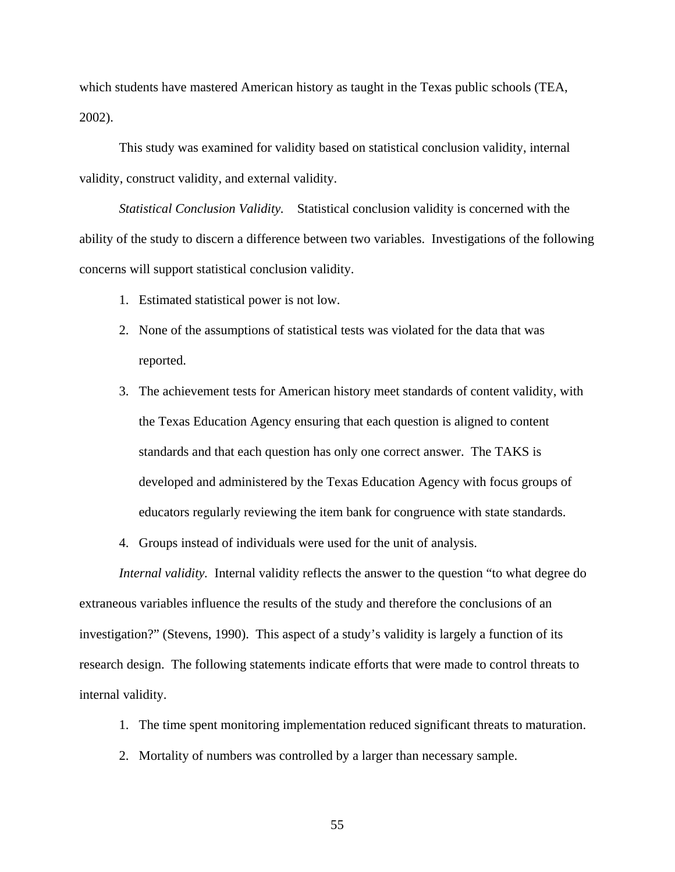which students have mastered American history as taught in the Texas public schools (TEA, 2002).

This study was examined for validity based on statistical conclusion validity, internal validity, construct validity, and external validity.

*Statistical Conclusion Validity.* Statistical conclusion validity is concerned with the ability of the study to discern a difference between two variables. Investigations of the following concerns will support statistical conclusion validity.

- 1. Estimated statistical power is not low.
- 2. None of the assumptions of statistical tests was violated for the data that was reported.
- 3. The achievement tests for American history meet standards of content validity, with the Texas Education Agency ensuring that each question is aligned to content standards and that each question has only one correct answer. The TAKS is developed and administered by the Texas Education Agency with focus groups of educators regularly reviewing the item bank for congruence with state standards.

4. Groups instead of individuals were used for the unit of analysis.

*Internal validity.* Internal validity reflects the answer to the question "to what degree do extraneous variables influence the results of the study and therefore the conclusions of an investigation?" (Stevens, 1990). This aspect of a study's validity is largely a function of its research design. The following statements indicate efforts that were made to control threats to internal validity.

- 1. The time spent monitoring implementation reduced significant threats to maturation.
- 2. Mortality of numbers was controlled by a larger than necessary sample.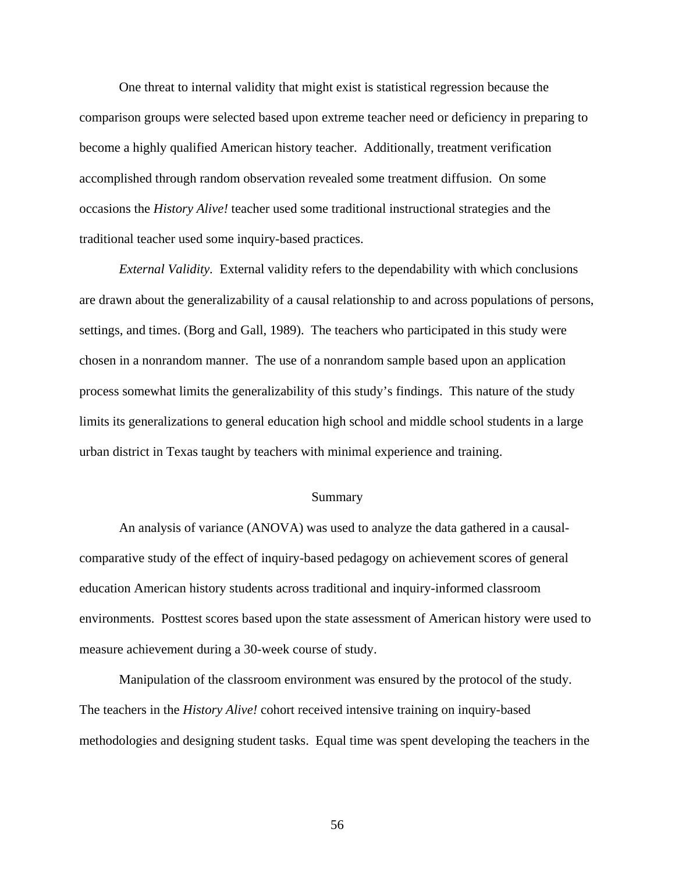One threat to internal validity that might exist is statistical regression because the comparison groups were selected based upon extreme teacher need or deficiency in preparing to become a highly qualified American history teacher. Additionally, treatment verification accomplished through random observation revealed some treatment diffusion. On some occasions the *History Alive!* teacher used some traditional instructional strategies and the traditional teacher used some inquiry-based practices.

*External Validity.* External validity refers to the dependability with which conclusions are drawn about the generalizability of a causal relationship to and across populations of persons, settings, and times. (Borg and Gall, 1989). The teachers who participated in this study were chosen in a nonrandom manner. The use of a nonrandom sample based upon an application process somewhat limits the generalizability of this study's findings. This nature of the study limits its generalizations to general education high school and middle school students in a large urban district in Texas taught by teachers with minimal experience and training.

#### Summary

 An analysis of variance (ANOVA) was used to analyze the data gathered in a causalcomparative study of the effect of inquiry-based pedagogy on achievement scores of general education American history students across traditional and inquiry-informed classroom environments. Posttest scores based upon the state assessment of American history were used to measure achievement during a 30-week course of study.

 Manipulation of the classroom environment was ensured by the protocol of the study. The teachers in the *History Alive!* cohort received intensive training on inquiry-based methodologies and designing student tasks. Equal time was spent developing the teachers in the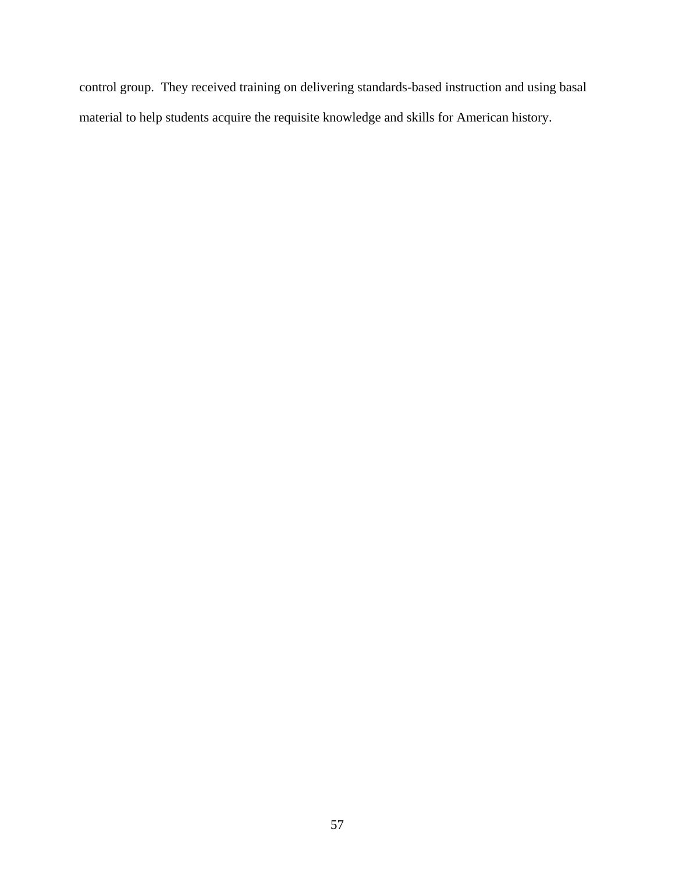control group. They received training on delivering standards-based instruction and using basal material to help students acquire the requisite knowledge and skills for American history.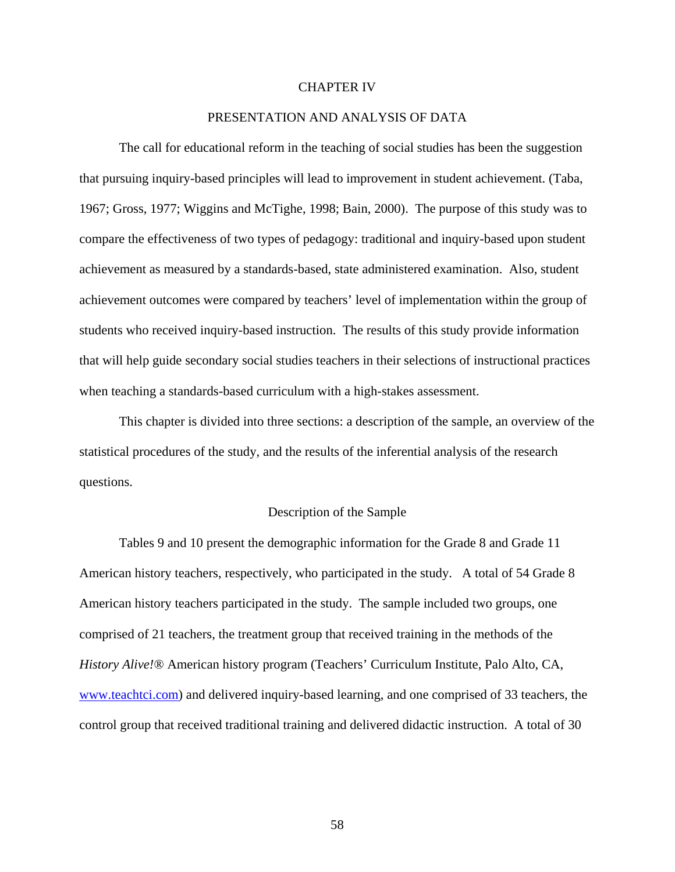#### CHAPTER IV

### PRESENTATION AND ANALYSIS OF DATA

The call for educational reform in the teaching of social studies has been the suggestion that pursuing inquiry-based principles will lead to improvement in student achievement. (Taba, 1967; Gross, 1977; Wiggins and McTighe, 1998; Bain, 2000). The purpose of this study was to compare the effectiveness of two types of pedagogy: traditional and inquiry-based upon student achievement as measured by a standards-based, state administered examination. Also, student achievement outcomes were compared by teachers' level of implementation within the group of students who received inquiry-based instruction. The results of this study provide information that will help guide secondary social studies teachers in their selections of instructional practices when teaching a standards-based curriculum with a high-stakes assessment.

This chapter is divided into three sections: a description of the sample, an overview of the statistical procedures of the study, and the results of the inferential analysis of the research questions.

#### Description of the Sample

Tables 9 and 10 present the demographic information for the Grade 8 and Grade 11 American history teachers, respectively, who participated in the study. A total of 54 Grade 8 American history teachers participated in the study. The sample included two groups, one comprised of 21 teachers, the treatment group that received training in the methods of the *History Alive!*® American history program (Teachers' Curriculum Institute, Palo Alto, CA, [www.teachtci.com\)](http://www.teachtci.com/) and delivered inquiry-based learning, and one comprised of 33 teachers, the control group that received traditional training and delivered didactic instruction. A total of 30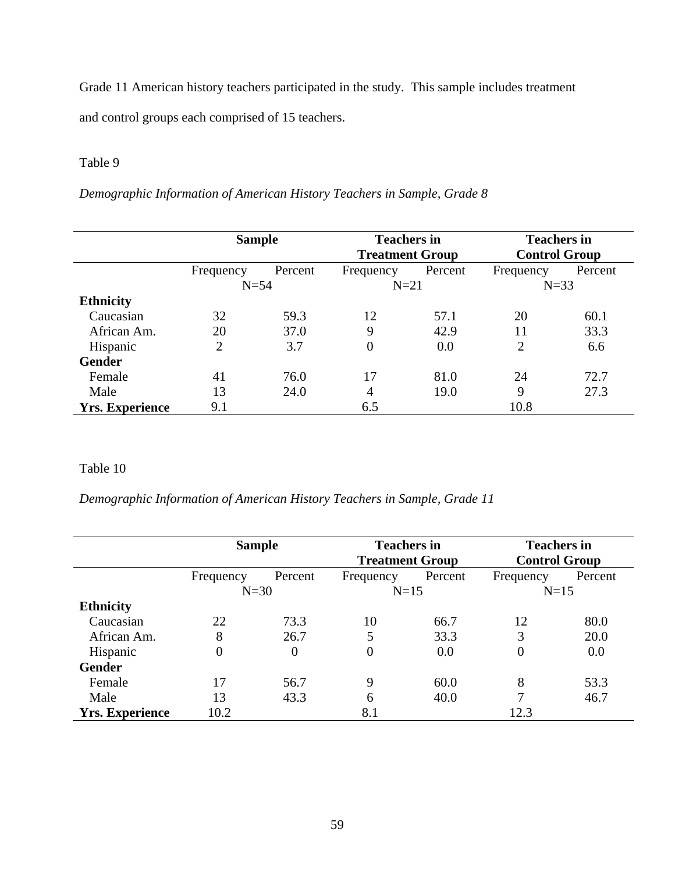Grade 11 American history teachers participated in the study. This sample includes treatment and control groups each comprised of 15 teachers.

## Table 9

*Demographic Information of American History Teachers in Sample, Grade 8* 

|                        | <b>Sample</b> |         | <b>Teachers in</b><br><b>Treatment Group</b> |         | <b>Teachers in</b><br><b>Control Group</b> |         |
|------------------------|---------------|---------|----------------------------------------------|---------|--------------------------------------------|---------|
|                        | Frequency     | Percent | Frequency                                    | Percent | Frequency                                  | Percent |
|                        | $N=54$        |         |                                              | $N=21$  |                                            | $N=33$  |
| <b>Ethnicity</b>       |               |         |                                              |         |                                            |         |
| Caucasian              | 32            | 59.3    | 12                                           | 57.1    | 20                                         | 60.1    |
| African Am.            | 20            | 37.0    | 9                                            | 42.9    | 11                                         | 33.3    |
| Hispanic               | 2             | 3.7     | $\overline{0}$                               | 0.0     | $\overline{2}$                             | 6.6     |
| <b>Gender</b>          |               |         |                                              |         |                                            |         |
| Female                 | 41            | 76.0    | 17                                           | 81.0    | 24                                         | 72.7    |
| Male                   | 13            | 24.0    | 4                                            | 19.0    | 9                                          | 27.3    |
| <b>Yrs. Experience</b> | 9.1           |         | 6.5                                          |         | 10.8                                       |         |

# Table 10

*Demographic Information of American History Teachers in Sample, Grade 11* 

|                        | <b>Sample</b> |          |           | <b>Teachers in</b><br><b>Treatment Group</b> |           | <b>Teachers in</b><br><b>Control Group</b> |  |
|------------------------|---------------|----------|-----------|----------------------------------------------|-----------|--------------------------------------------|--|
|                        | Frequency     | Percent  | Frequency | Percent                                      | Frequency | Percent                                    |  |
|                        | $N=30$        |          |           | $N=15$                                       |           | $N=15$                                     |  |
| <b>Ethnicity</b>       |               |          |           |                                              |           |                                            |  |
| Caucasian              | 22            | 73.3     | 10        | 66.7                                         | 12        | 80.0                                       |  |
| African Am.            | 8             | 26.7     | 5         | 33.3                                         | 3         | 20.0                                       |  |
| Hispanic               | $\Omega$      | $\Omega$ | 0         | 0.0                                          | 0         | 0.0                                        |  |
| <b>Gender</b>          |               |          |           |                                              |           |                                            |  |
| Female                 | 17            | 56.7     | 9         | 60.0                                         | 8         | 53.3                                       |  |
| Male                   | 13            | 43.3     | 6         | 40.0                                         | 7         | 46.7                                       |  |
| <b>Yrs. Experience</b> | 10.2          |          | 8.1       |                                              | 12.3      |                                            |  |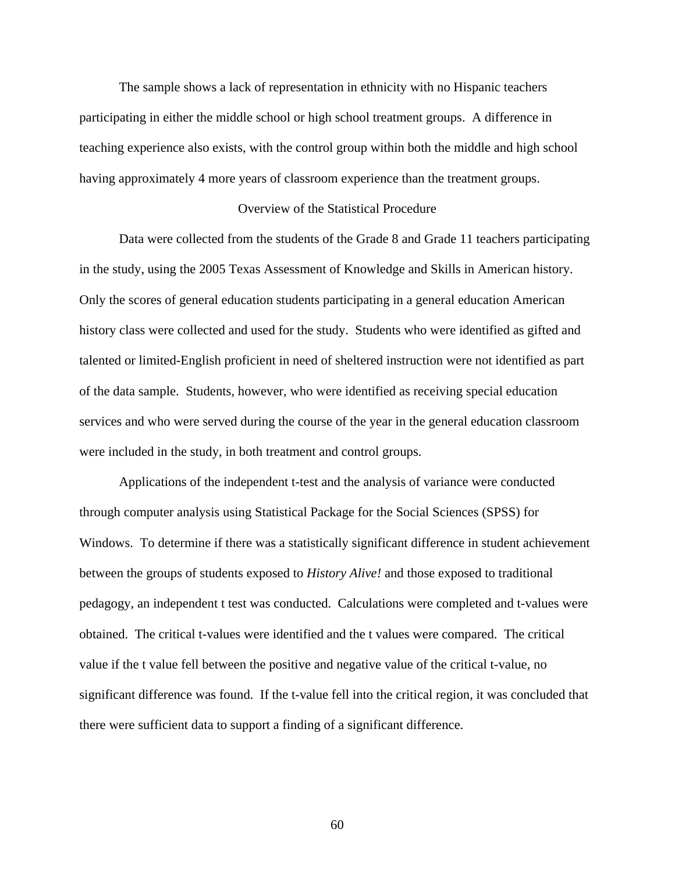The sample shows a lack of representation in ethnicity with no Hispanic teachers participating in either the middle school or high school treatment groups. A difference in teaching experience also exists, with the control group within both the middle and high school having approximately 4 more years of classroom experience than the treatment groups.

### Overview of the Statistical Procedure

Data were collected from the students of the Grade 8 and Grade 11 teachers participating in the study, using the 2005 Texas Assessment of Knowledge and Skills in American history. Only the scores of general education students participating in a general education American history class were collected and used for the study. Students who were identified as gifted and talented or limited-English proficient in need of sheltered instruction were not identified as part of the data sample. Students, however, who were identified as receiving special education services and who were served during the course of the year in the general education classroom were included in the study, in both treatment and control groups.

 Applications of the independent t-test and the analysis of variance were conducted through computer analysis using Statistical Package for the Social Sciences (SPSS) for Windows. To determine if there was a statistically significant difference in student achievement between the groups of students exposed to *History Alive!* and those exposed to traditional pedagogy, an independent t test was conducted. Calculations were completed and t-values were obtained. The critical t-values were identified and the t values were compared. The critical value if the t value fell between the positive and negative value of the critical t-value, no significant difference was found. If the t-value fell into the critical region, it was concluded that there were sufficient data to support a finding of a significant difference.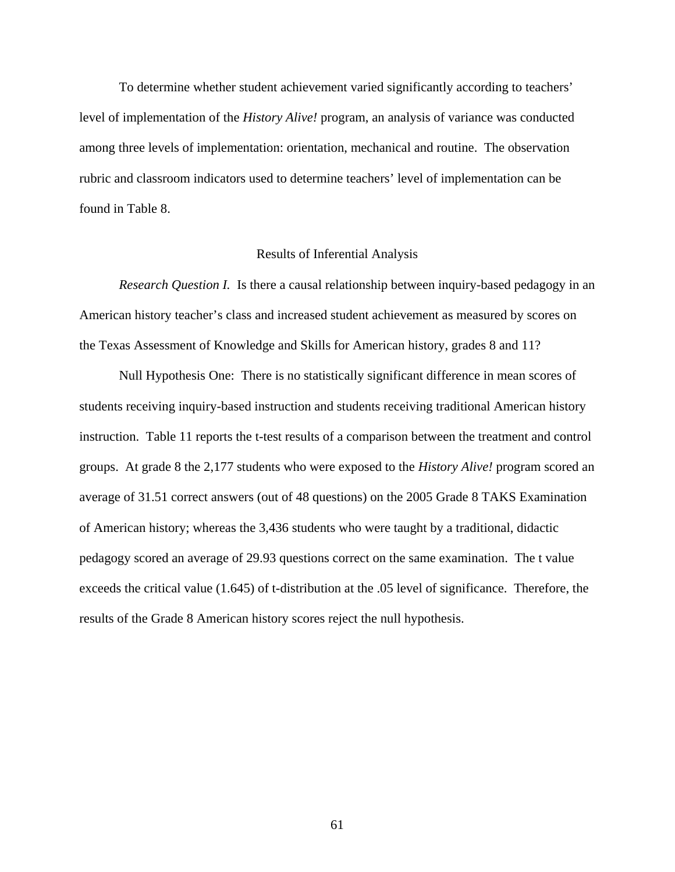To determine whether student achievement varied significantly according to teachers' level of implementation of the *History Alive!* program, an analysis of variance was conducted among three levels of implementation: orientation, mechanical and routine. The observation rubric and classroom indicators used to determine teachers' level of implementation can be found in Table 8.

#### Results of Inferential Analysis

*Research Question I.* Is there a causal relationship between inquiry-based pedagogy in an American history teacher's class and increased student achievement as measured by scores on the Texas Assessment of Knowledge and Skills for American history, grades 8 and 11?

 Null Hypothesis One: There is no statistically significant difference in mean scores of students receiving inquiry-based instruction and students receiving traditional American history instruction. Table 11 reports the t-test results of a comparison between the treatment and control groups. At grade 8 the 2,177 students who were exposed to the *History Alive!* program scored an average of 31.51 correct answers (out of 48 questions) on the 2005 Grade 8 TAKS Examination of American history; whereas the 3,436 students who were taught by a traditional, didactic pedagogy scored an average of 29.93 questions correct on the same examination. The t value exceeds the critical value (1.645) of t-distribution at the .05 level of significance. Therefore, the results of the Grade 8 American history scores reject the null hypothesis.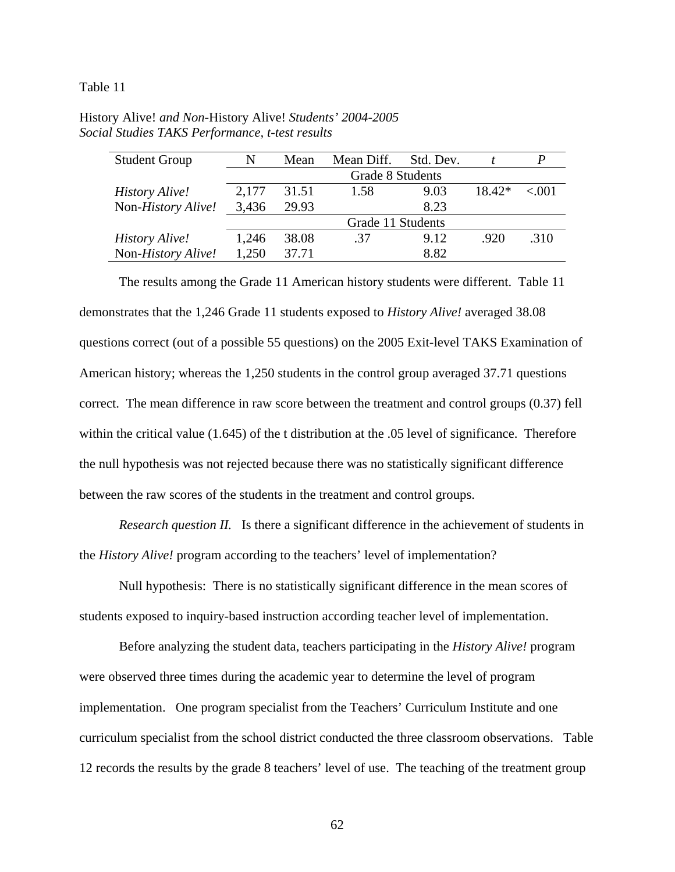Table 11

| <b>Student Group</b> | N                | Mean  | Mean Diff.        | Std. Dev. |          |       |
|----------------------|------------------|-------|-------------------|-----------|----------|-------|
|                      | Grade 8 Students |       |                   |           |          |       |
| History Alive!       | 2,177            | 31.51 | 1.58              | 9.03      | $18.42*$ | < 001 |
| Non-History Alive!   | 3,436            | 29.93 |                   | 8.23      |          |       |
|                      |                  |       | Grade 11 Students |           |          |       |
| History Alive!       | 1,246            | 38.08 | .37               | 9.12      | .920     | .310  |
| Non-History Alive!   | 1,250            | 37.71 |                   | 8.82      |          |       |

History Alive! *and Non-*History Alive! *Students' 2004-2005 Social Studies TAKS Performance, t-test results* 

 The results among the Grade 11 American history students were different. Table 11 demonstrates that the 1,246 Grade 11 students exposed to *History Alive!* averaged 38.08 questions correct (out of a possible 55 questions) on the 2005 Exit-level TAKS Examination of American history; whereas the 1,250 students in the control group averaged 37.71 questions correct. The mean difference in raw score between the treatment and control groups (0.37) fell within the critical value (1.645) of the t distribution at the .05 level of significance. Therefore the null hypothesis was not rejected because there was no statistically significant difference between the raw scores of the students in the treatment and control groups.

*Research question II.* Is there a significant difference in the achievement of students in the *History Alive!* program according to the teachers' level of implementation?

 Null hypothesis: There is no statistically significant difference in the mean scores of students exposed to inquiry-based instruction according teacher level of implementation.

Before analyzing the student data, teachers participating in the *History Alive!* program were observed three times during the academic year to determine the level of program implementation. One program specialist from the Teachers' Curriculum Institute and one curriculum specialist from the school district conducted the three classroom observations. Table 12 records the results by the grade 8 teachers' level of use. The teaching of the treatment group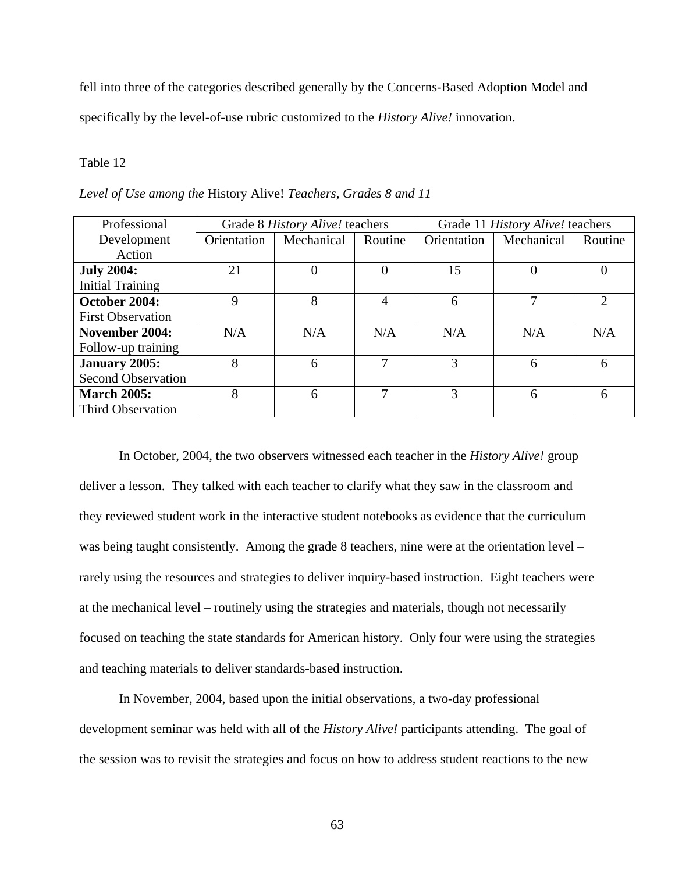fell into three of the categories described generally by the Concerns-Based Adoption Model and specifically by the level-of-use rubric customized to the *History Alive!* innovation.

### Table 12

| Professional              |             | Grade 8 History Alive! teachers |          | Grade 11 History Alive! teachers |            |                             |
|---------------------------|-------------|---------------------------------|----------|----------------------------------|------------|-----------------------------|
| Development               | Orientation | Mechanical                      | Routine  | Orientation                      | Mechanical | Routine                     |
| Action                    |             |                                 |          |                                  |            |                             |
| <b>July 2004:</b>         | 21          |                                 | $\theta$ | 15                               | $\theta$   |                             |
| <b>Initial Training</b>   |             |                                 |          |                                  |            |                             |
| October 2004:             | 9           | 8                               | 4        | 6                                | 7          | $\mathcal{D}_{\mathcal{L}}$ |
| <b>First Observation</b>  |             |                                 |          |                                  |            |                             |
| November 2004:            | N/A         | N/A                             | N/A      | N/A                              | N/A        | N/A                         |
| Follow-up training        |             |                                 |          |                                  |            |                             |
| January 2005:             | 8           | 6                               | 7        | 3                                | 6          | 6                           |
| <b>Second Observation</b> |             |                                 |          |                                  |            |                             |
| <b>March 2005:</b>        | 8           | 6                               | 7        | 3                                | 6          | 6                           |
| <b>Third Observation</b>  |             |                                 |          |                                  |            |                             |

*Level of Use among the* History Alive! *Teachers, Grades 8 and 11* 

 In October, 2004, the two observers witnessed each teacher in the *History Alive!* group deliver a lesson. They talked with each teacher to clarify what they saw in the classroom and they reviewed student work in the interactive student notebooks as evidence that the curriculum was being taught consistently. Among the grade 8 teachers, nine were at the orientation level – rarely using the resources and strategies to deliver inquiry-based instruction. Eight teachers were at the mechanical level – routinely using the strategies and materials, though not necessarily focused on teaching the state standards for American history. Only four were using the strategies and teaching materials to deliver standards-based instruction.

 In November, 2004, based upon the initial observations, a two-day professional development seminar was held with all of the *History Alive!* participants attending. The goal of the session was to revisit the strategies and focus on how to address student reactions to the new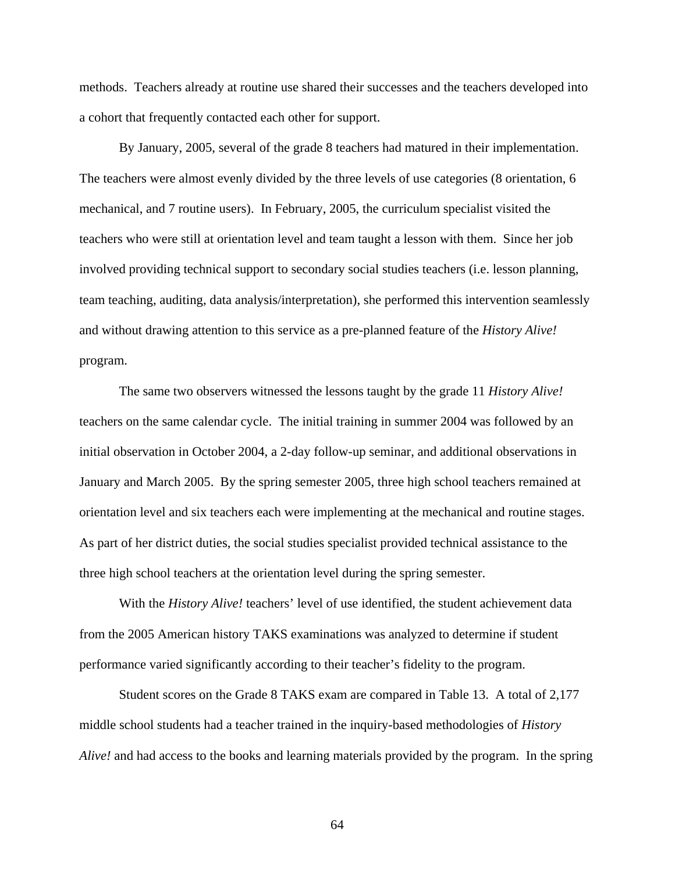methods. Teachers already at routine use shared their successes and the teachers developed into a cohort that frequently contacted each other for support.

 By January, 2005, several of the grade 8 teachers had matured in their implementation. The teachers were almost evenly divided by the three levels of use categories (8 orientation, 6 mechanical, and 7 routine users). In February, 2005, the curriculum specialist visited the teachers who were still at orientation level and team taught a lesson with them. Since her job involved providing technical support to secondary social studies teachers (i.e. lesson planning, team teaching, auditing, data analysis/interpretation), she performed this intervention seamlessly and without drawing attention to this service as a pre-planned feature of the *History Alive!* program.

 The same two observers witnessed the lessons taught by the grade 11 *History Alive!* teachers on the same calendar cycle. The initial training in summer 2004 was followed by an initial observation in October 2004, a 2-day follow-up seminar, and additional observations in January and March 2005. By the spring semester 2005, three high school teachers remained at orientation level and six teachers each were implementing at the mechanical and routine stages. As part of her district duties, the social studies specialist provided technical assistance to the three high school teachers at the orientation level during the spring semester.

 With the *History Alive!* teachers' level of use identified, the student achievement data from the 2005 American history TAKS examinations was analyzed to determine if student performance varied significantly according to their teacher's fidelity to the program.

 Student scores on the Grade 8 TAKS exam are compared in Table 13. A total of 2,177 middle school students had a teacher trained in the inquiry-based methodologies of *History Alive!* and had access to the books and learning materials provided by the program. In the spring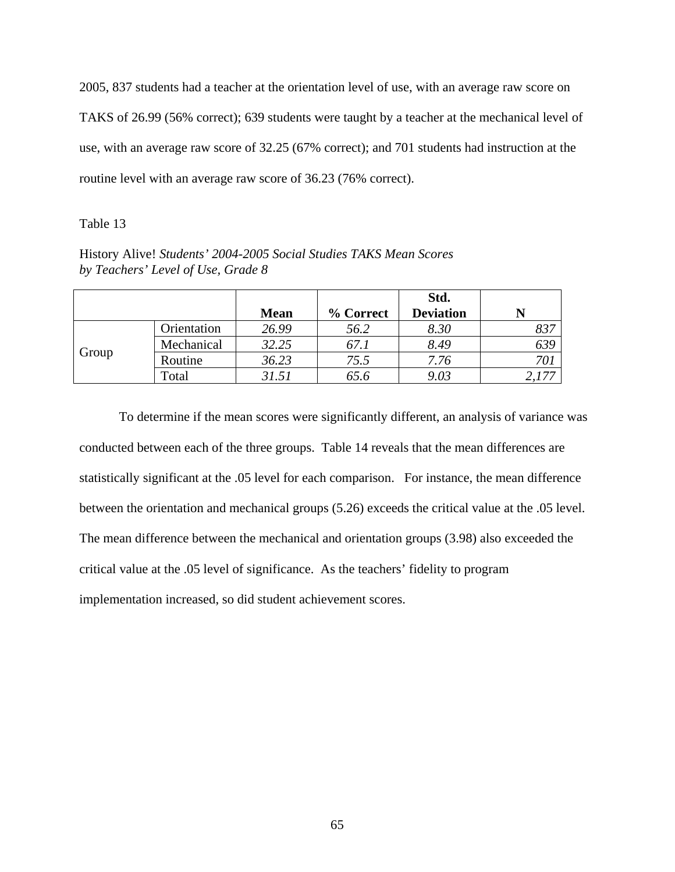2005, 837 students had a teacher at the orientation level of use, with an average raw score on TAKS of 26.99 (56% correct); 639 students were taught by a teacher at the mechanical level of use, with an average raw score of 32.25 (67% correct); and 701 students had instruction at the routine level with an average raw score of 36.23 (76% correct).

## Table 13

History Alive! *Students' 2004-2005 Social Studies TAKS Mean Scores by Teachers' Level of Use, Grade 8* 

|       |             |             |           | Std.             |      |
|-------|-------------|-------------|-----------|------------------|------|
|       |             | <b>Mean</b> | % Correct | <b>Deviation</b> | N    |
| Group | Orientation | 26.99       | 56.2      | 8.30             | 837  |
|       | Mechanical  | 32.25       | 67.1      | 8.49             | 639  |
|       | Routine     | 36.23       | 75.5      | 7.76             | 70 i |
|       | Total       | 31.51       | 65.6      | 9.03             |      |

To determine if the mean scores were significantly different, an analysis of variance was conducted between each of the three groups. Table 14 reveals that the mean differences are statistically significant at the .05 level for each comparison. For instance, the mean difference between the orientation and mechanical groups (5.26) exceeds the critical value at the .05 level. The mean difference between the mechanical and orientation groups (3.98) also exceeded the critical value at the .05 level of significance. As the teachers' fidelity to program implementation increased, so did student achievement scores.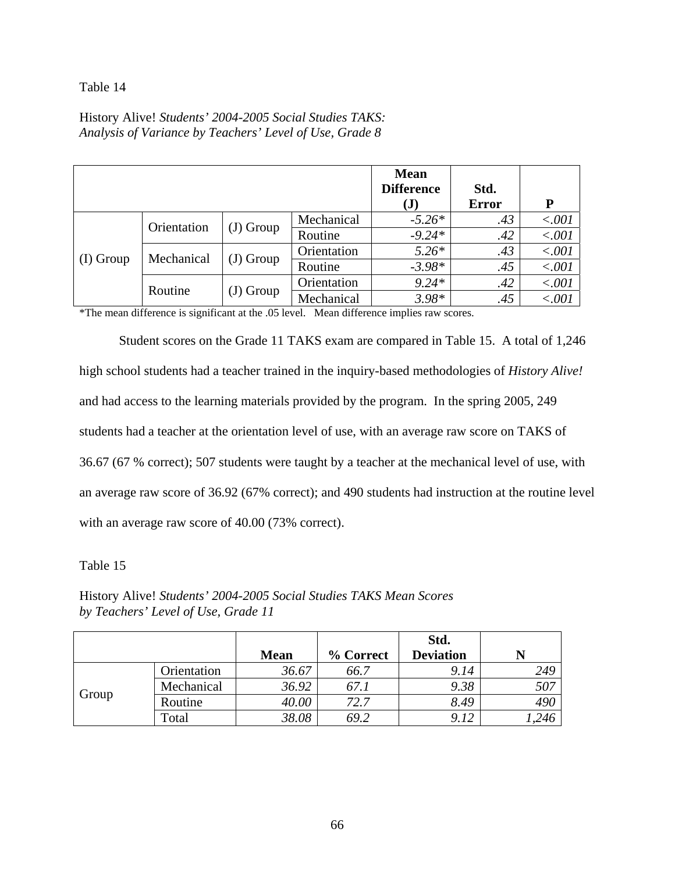# Table 14

History Alive! *Students' 2004-2005 Social Studies TAKS: Analysis of Variance by Teachers' Level of Use, Grade 8* 

|           |             |            |             | <b>Mean</b><br><b>Difference</b><br>(J) | Std.<br><b>Error</b> | P      |
|-----------|-------------|------------|-------------|-----------------------------------------|----------------------|--------|
| (I) Group | Orientation | (J) Group  | Mechanical  | $-5.26*$                                | .43                  | < .001 |
|           |             |            | Routine     | $-9.24*$                                | .42                  | < .001 |
|           | Mechanical  | $J)$ Group | Orientation | $5.26*$                                 | .43                  | < .001 |
|           |             |            | Routine     | $-3.98*$                                | .45                  | < .001 |
|           | Routine     | (J) Group  | Orientation | $9.24*$                                 | .42                  | < .001 |
|           |             |            | Mechanical  | $3.98*$                                 | .45                  | < .001 |

\*The mean difference is significant at the .05 level. Mean difference implies raw scores.

Student scores on the Grade 11 TAKS exam are compared in Table 15. A total of 1,246 high school students had a teacher trained in the inquiry-based methodologies of *History Alive!* and had access to the learning materials provided by the program. In the spring 2005, 249 students had a teacher at the orientation level of use, with an average raw score on TAKS of 36.67 (67 % correct); 507 students were taught by a teacher at the mechanical level of use, with an average raw score of 36.92 (67% correct); and 490 students had instruction at the routine level with an average raw score of 40.00 (73% correct).

Table 15

History Alive! *Students' 2004-2005 Social Studies TAKS Mean Scores by Teachers' Level of Use, Grade 11* 

|       |             |             |           | Std.             |      |
|-------|-------------|-------------|-----------|------------------|------|
|       |             | <b>Mean</b> | % Correct | <b>Deviation</b> |      |
| Group | Orientation | 36.67       | 66.7      | 9.14             | 249  |
|       | Mechanical  | 36.92       | 67.1      | 9.38             | 507  |
|       | Routine     | 40.00       | 72.7      | 8.49             | 490  |
|       | Total       | 38.08       | 69.2      | 9.12             | ,246 |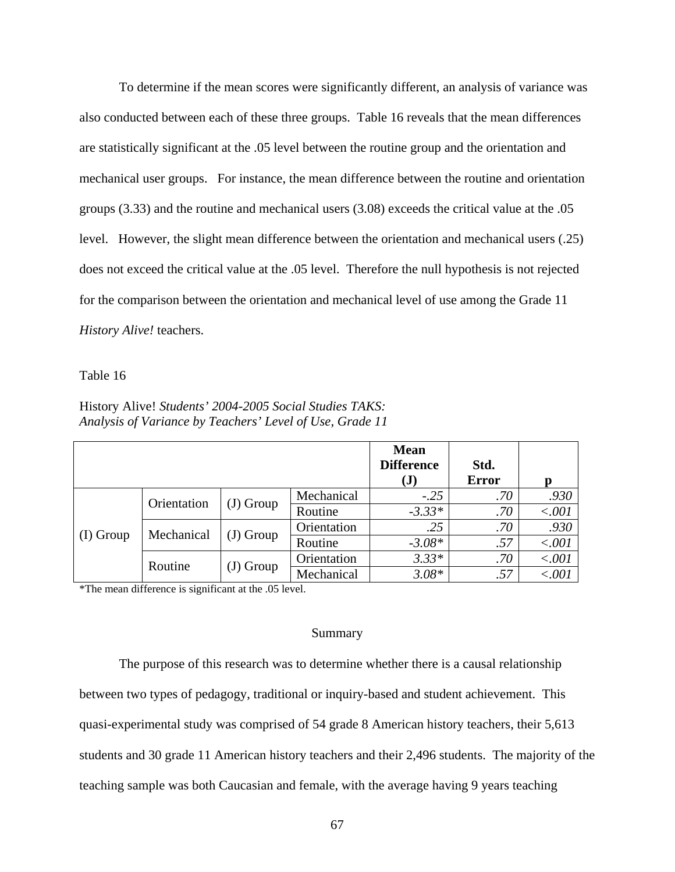To determine if the mean scores were significantly different, an analysis of variance was also conducted between each of these three groups. Table 16 reveals that the mean differences are statistically significant at the .05 level between the routine group and the orientation and mechanical user groups. For instance, the mean difference between the routine and orientation groups (3.33) and the routine and mechanical users (3.08) exceeds the critical value at the .05 level. However, the slight mean difference between the orientation and mechanical users (.25) does not exceed the critical value at the .05 level. Therefore the null hypothesis is not rejected for the comparison between the orientation and mechanical level of use among the Grade 11 *History Alive!* teachers.

Table 16

|           |             |             |             | <b>Mean</b><br><b>Difference</b><br>$\mathbf{J}$ | Std.<br><b>Error</b> | D      |
|-----------|-------------|-------------|-------------|--------------------------------------------------|----------------------|--------|
| (I) Group | Orientation | $(J)$ Group | Mechanical  | $-.25$                                           | .70                  | .930   |
|           |             |             | Routine     | $-3.33*$                                         | .70                  | < .001 |
|           | Mechanical  | (J) Group   | Orientation | .25                                              | .70                  | .930   |
|           |             |             | Routine     | $-3.08*$                                         | .57                  | < .001 |
|           | Routine     | $(J)$ Group | Orientation | $3.33*$                                          | .70                  | < .001 |
|           |             |             | Mechanical  | $3.08*$                                          | .57                  | < .001 |

History Alive! *Students' 2004-2005 Social Studies TAKS: Analysis of Variance by Teachers' Level of Use, Grade 11*

\*The mean difference is significant at the .05 level.

#### Summary

The purpose of this research was to determine whether there is a causal relationship between two types of pedagogy, traditional or inquiry-based and student achievement. This quasi-experimental study was comprised of 54 grade 8 American history teachers, their 5,613 students and 30 grade 11 American history teachers and their 2,496 students. The majority of the teaching sample was both Caucasian and female, with the average having 9 years teaching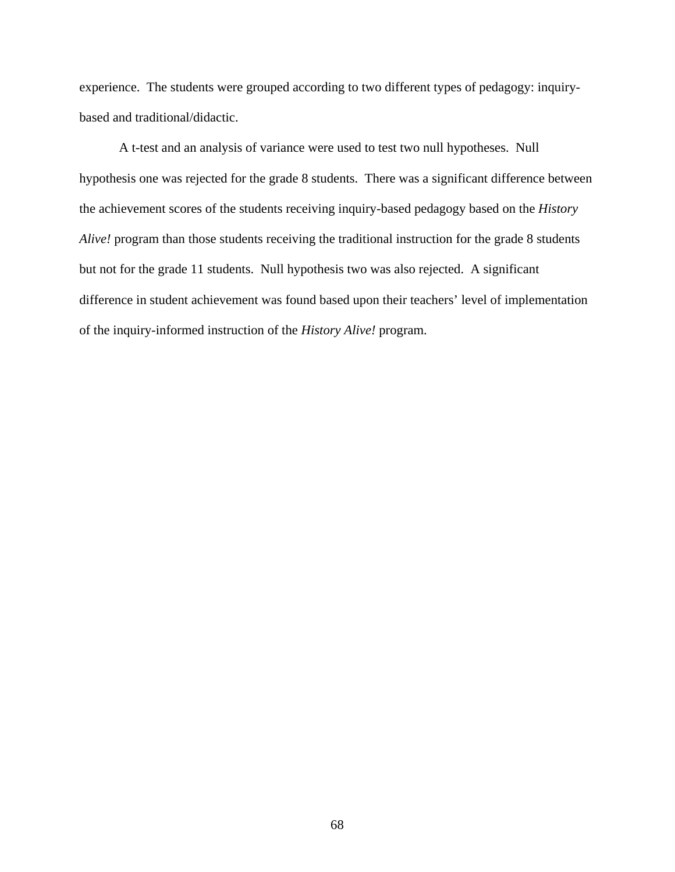experience. The students were grouped according to two different types of pedagogy: inquirybased and traditional/didactic.

A t-test and an analysis of variance were used to test two null hypotheses. Null hypothesis one was rejected for the grade 8 students. There was a significant difference between the achievement scores of the students receiving inquiry-based pedagogy based on the *History Alive!* program than those students receiving the traditional instruction for the grade 8 students but not for the grade 11 students. Null hypothesis two was also rejected. A significant difference in student achievement was found based upon their teachers' level of implementation of the inquiry-informed instruction of the *History Alive!* program.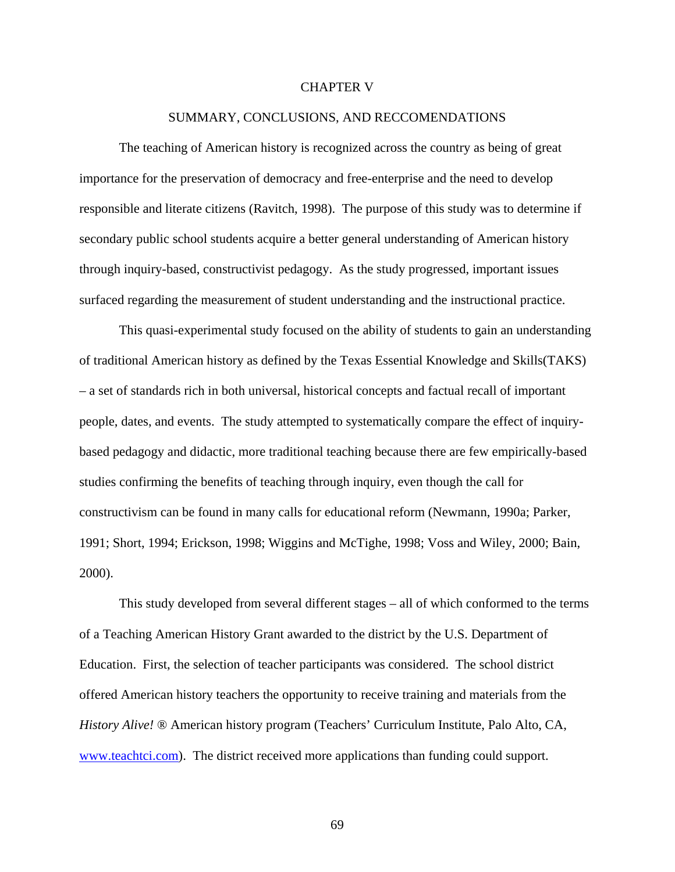#### CHAPTER V

## SUMMARY, CONCLUSIONS, AND RECCOMENDATIONS

The teaching of American history is recognized across the country as being of great importance for the preservation of democracy and free-enterprise and the need to develop responsible and literate citizens (Ravitch, 1998). The purpose of this study was to determine if secondary public school students acquire a better general understanding of American history through inquiry-based, constructivist pedagogy. As the study progressed, important issues surfaced regarding the measurement of student understanding and the instructional practice.

This quasi-experimental study focused on the ability of students to gain an understanding of traditional American history as defined by the Texas Essential Knowledge and Skills(TAKS) – a set of standards rich in both universal, historical concepts and factual recall of important people, dates, and events. The study attempted to systematically compare the effect of inquirybased pedagogy and didactic, more traditional teaching because there are few empirically-based studies confirming the benefits of teaching through inquiry, even though the call for constructivism can be found in many calls for educational reform (Newmann, 1990a; Parker, 1991; Short, 1994; Erickson, 1998; Wiggins and McTighe, 1998; Voss and Wiley, 2000; Bain, 2000).

 This study developed from several different stages – all of which conformed to the terms of a Teaching American History Grant awarded to the district by the U.S. Department of Education. First, the selection of teacher participants was considered. The school district offered American history teachers the opportunity to receive training and materials from the *History Alive!* ® American history program (Teachers' Curriculum Institute, Palo Alto, CA, [www.teachtci.com\)](http://www.teachtci.com/). The district received more applications than funding could support.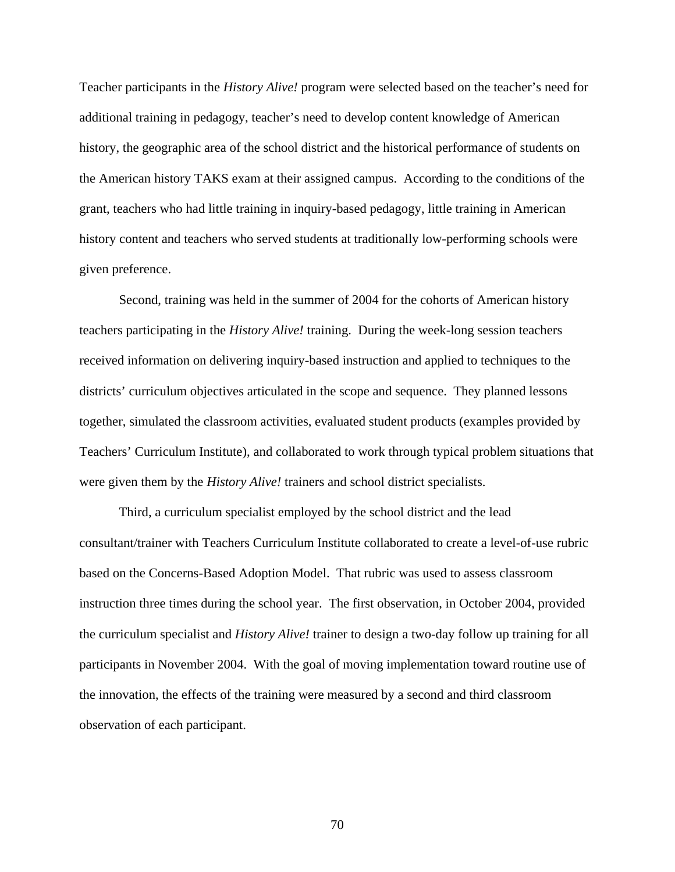Teacher participants in the *History Alive!* program were selected based on the teacher's need for additional training in pedagogy, teacher's need to develop content knowledge of American history, the geographic area of the school district and the historical performance of students on the American history TAKS exam at their assigned campus. According to the conditions of the grant, teachers who had little training in inquiry-based pedagogy, little training in American history content and teachers who served students at traditionally low-performing schools were given preference.

 Second, training was held in the summer of 2004 for the cohorts of American history teachers participating in the *History Alive!* training. During the week-long session teachers received information on delivering inquiry-based instruction and applied to techniques to the districts' curriculum objectives articulated in the scope and sequence. They planned lessons together, simulated the classroom activities, evaluated student products (examples provided by Teachers' Curriculum Institute), and collaborated to work through typical problem situations that were given them by the *History Alive!* trainers and school district specialists.

 Third, a curriculum specialist employed by the school district and the lead consultant/trainer with Teachers Curriculum Institute collaborated to create a level-of-use rubric based on the Concerns-Based Adoption Model. That rubric was used to assess classroom instruction three times during the school year. The first observation, in October 2004, provided the curriculum specialist and *History Alive!* trainer to design a two-day follow up training for all participants in November 2004. With the goal of moving implementation toward routine use of the innovation, the effects of the training were measured by a second and third classroom observation of each participant.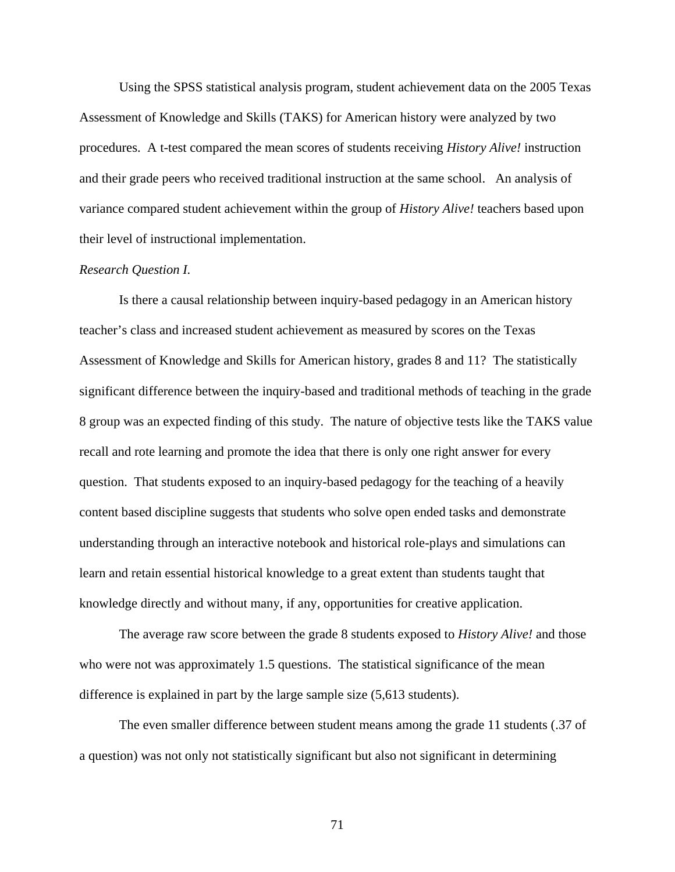Using the SPSS statistical analysis program, student achievement data on the 2005 Texas Assessment of Knowledge and Skills (TAKS) for American history were analyzed by two procedures. A t-test compared the mean scores of students receiving *History Alive!* instruction and their grade peers who received traditional instruction at the same school. An analysis of variance compared student achievement within the group of *History Alive!* teachers based upon their level of instructional implementation.

## *Research Question I.*

Is there a causal relationship between inquiry-based pedagogy in an American history teacher's class and increased student achievement as measured by scores on the Texas Assessment of Knowledge and Skills for American history, grades 8 and 11? The statistically significant difference between the inquiry-based and traditional methods of teaching in the grade 8 group was an expected finding of this study. The nature of objective tests like the TAKS value recall and rote learning and promote the idea that there is only one right answer for every question. That students exposed to an inquiry-based pedagogy for the teaching of a heavily content based discipline suggests that students who solve open ended tasks and demonstrate understanding through an interactive notebook and historical role-plays and simulations can learn and retain essential historical knowledge to a great extent than students taught that knowledge directly and without many, if any, opportunities for creative application.

The average raw score between the grade 8 students exposed to *History Alive!* and those who were not was approximately 1.5 questions. The statistical significance of the mean difference is explained in part by the large sample size (5,613 students).

The even smaller difference between student means among the grade 11 students (.37 of a question) was not only not statistically significant but also not significant in determining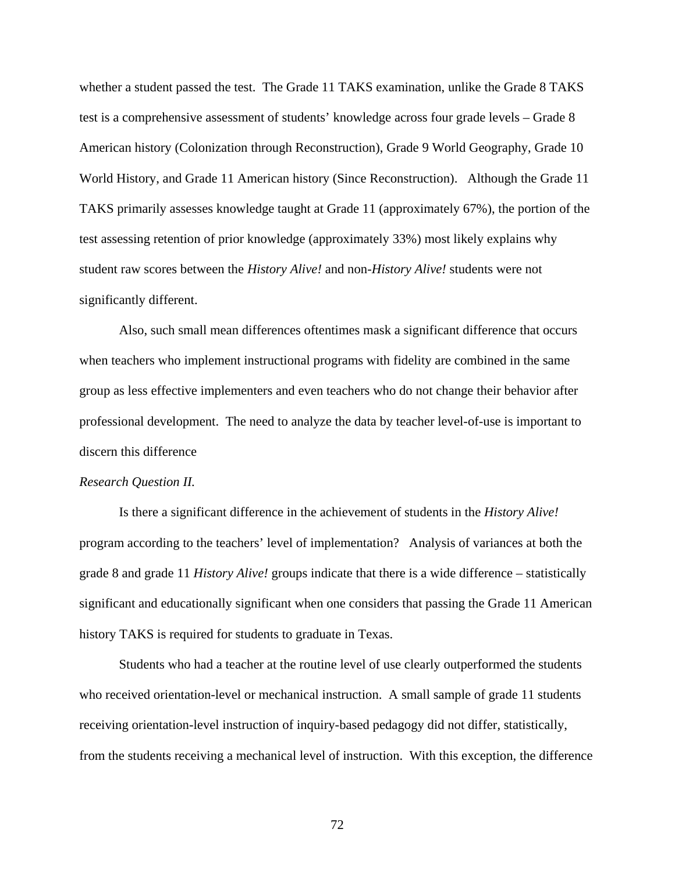whether a student passed the test. The Grade 11 TAKS examination, unlike the Grade 8 TAKS test is a comprehensive assessment of students' knowledge across four grade levels – Grade 8 American history (Colonization through Reconstruction), Grade 9 World Geography, Grade 10 World History, and Grade 11 American history (Since Reconstruction). Although the Grade 11 TAKS primarily assesses knowledge taught at Grade 11 (approximately 67%), the portion of the test assessing retention of prior knowledge (approximately 33%) most likely explains why student raw scores between the *History Alive!* and non-*History Alive!* students were not significantly different.

Also, such small mean differences oftentimes mask a significant difference that occurs when teachers who implement instructional programs with fidelity are combined in the same group as less effective implementers and even teachers who do not change their behavior after professional development. The need to analyze the data by teacher level-of-use is important to discern this difference

#### *Research Question II.*

Is there a significant difference in the achievement of students in the *History Alive!* program according to the teachers' level of implementation? Analysis of variances at both the grade 8 and grade 11 *History Alive!* groups indicate that there is a wide difference – statistically significant and educationally significant when one considers that passing the Grade 11 American history TAKS is required for students to graduate in Texas.

 Students who had a teacher at the routine level of use clearly outperformed the students who received orientation-level or mechanical instruction. A small sample of grade 11 students receiving orientation-level instruction of inquiry-based pedagogy did not differ, statistically, from the students receiving a mechanical level of instruction. With this exception, the difference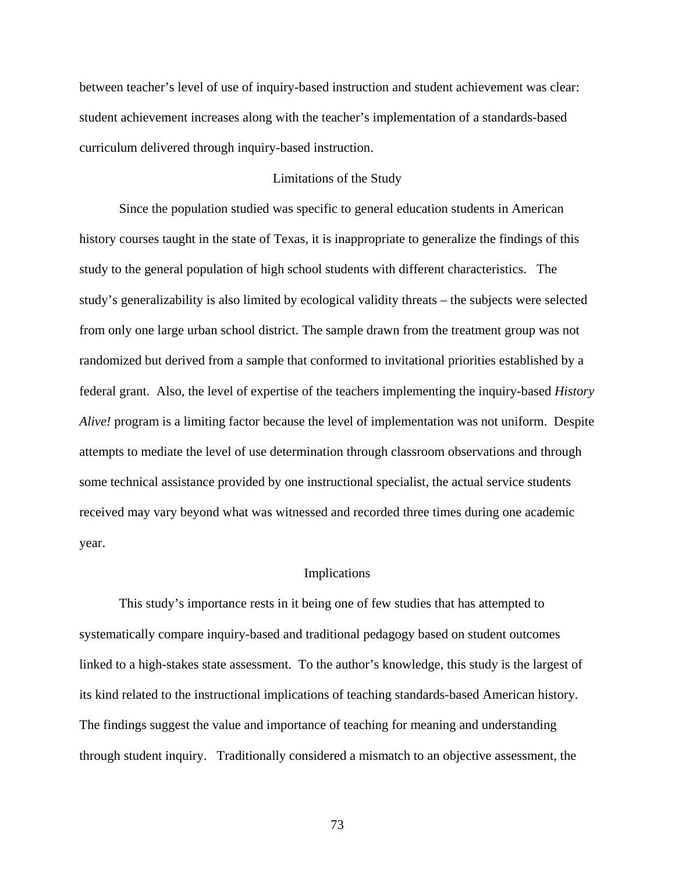between teacher's level of use of inquiry-based instruction and student achievement was clear: student achievement increases along with the teacher's implementation of a standards-based curriculum delivered through inquiry-based instruction.

# Limitations of the Study

 Since the population studied was specific to general education students in American history courses taught in the state of Texas, it is inappropriate to generalize the findings of this study to the general population of high school students with different characteristics. The study's generalizability is also limited by ecological validity threats – the subjects were selected from only one large urban school district. The sample drawn from the treatment group was not randomized but derived from a sample that conformed to invitational priorities established by a federal grant. Also, the level of expertise of the teachers implementing the inquiry-based *History Alive!* program is a limiting factor because the level of implementation was not uniform. Despite attempts to mediate the level of use determination through classroom observations and through some technical assistance provided by one instructional specialist, the actual service students received may vary beyond what was witnessed and recorded three times during one academic year.

#### Implications

 This study's importance rests in it being one of few studies that has attempted to systematically compare inquiry-based and traditional pedagogy based on student outcomes linked to a high-stakes state assessment. To the author's knowledge, this study is the largest of its kind related to the instructional implications of teaching standards-based American history. The findings suggest the value and importance of teaching for meaning and understanding through student inquiry. Traditionally considered a mismatch to an objective assessment, the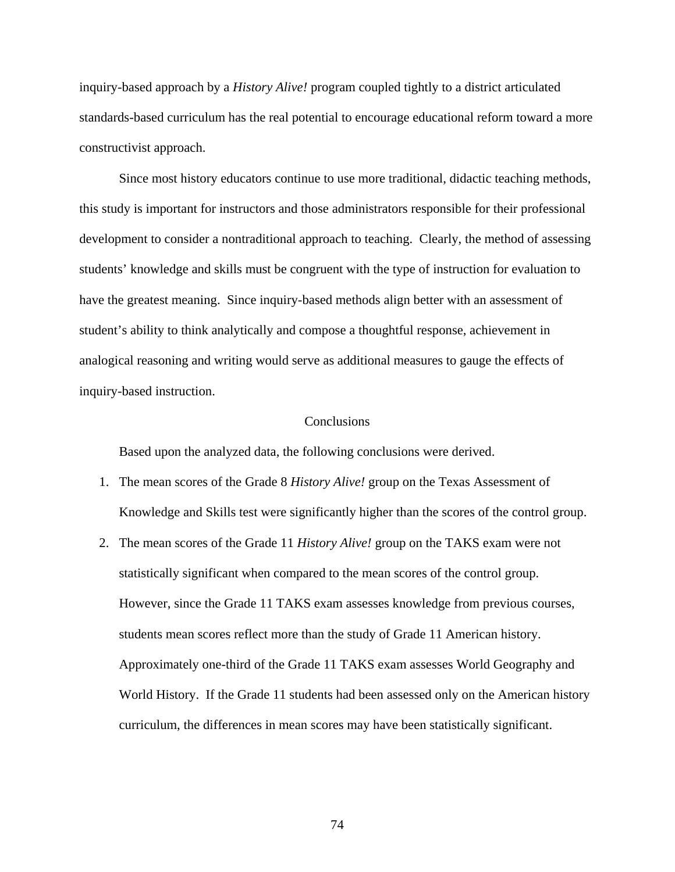inquiry-based approach by a *History Alive!* program coupled tightly to a district articulated standards-based curriculum has the real potential to encourage educational reform toward a more constructivist approach.

 Since most history educators continue to use more traditional, didactic teaching methods, this study is important for instructors and those administrators responsible for their professional development to consider a nontraditional approach to teaching. Clearly, the method of assessing students' knowledge and skills must be congruent with the type of instruction for evaluation to have the greatest meaning. Since inquiry-based methods align better with an assessment of student's ability to think analytically and compose a thoughtful response, achievement in analogical reasoning and writing would serve as additional measures to gauge the effects of inquiry-based instruction.

### **Conclusions**

Based upon the analyzed data, the following conclusions were derived.

- 1. The mean scores of the Grade 8 *History Alive!* group on the Texas Assessment of Knowledge and Skills test were significantly higher than the scores of the control group.
- 2. The mean scores of the Grade 11 *History Alive!* group on the TAKS exam were not statistically significant when compared to the mean scores of the control group. However, since the Grade 11 TAKS exam assesses knowledge from previous courses, students mean scores reflect more than the study of Grade 11 American history. Approximately one-third of the Grade 11 TAKS exam assesses World Geography and World History. If the Grade 11 students had been assessed only on the American history curriculum, the differences in mean scores may have been statistically significant.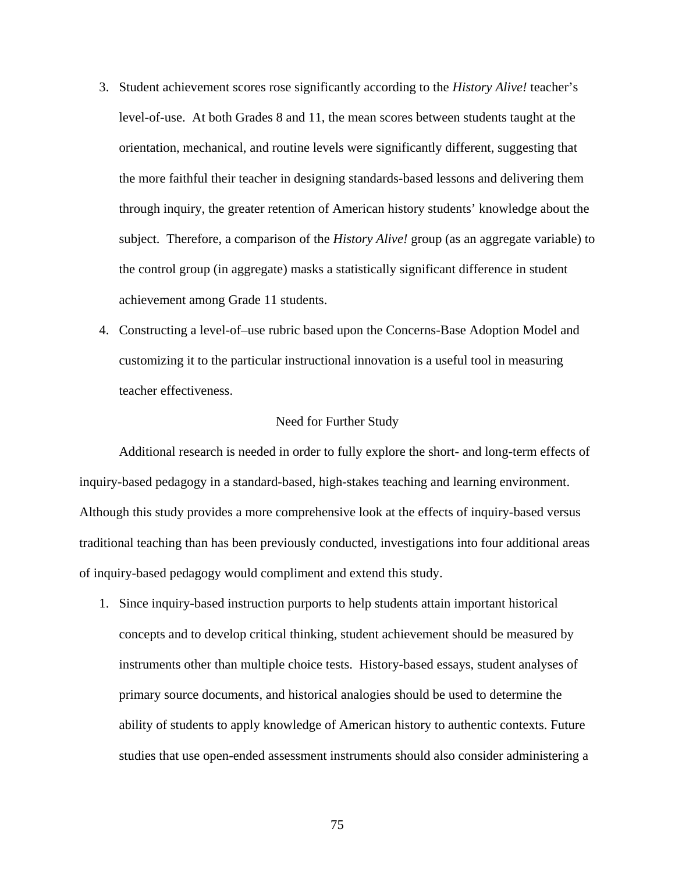- 3. Student achievement scores rose significantly according to the *History Alive!* teacher's level-of-use. At both Grades 8 and 11, the mean scores between students taught at the orientation, mechanical, and routine levels were significantly different, suggesting that the more faithful their teacher in designing standards-based lessons and delivering them through inquiry, the greater retention of American history students' knowledge about the subject. Therefore, a comparison of the *History Alive!* group (as an aggregate variable) to the control group (in aggregate) masks a statistically significant difference in student achievement among Grade 11 students.
- 4. Constructing a level-of–use rubric based upon the Concerns-Base Adoption Model and customizing it to the particular instructional innovation is a useful tool in measuring teacher effectiveness.

#### Need for Further Study

 Additional research is needed in order to fully explore the short- and long-term effects of inquiry-based pedagogy in a standard-based, high-stakes teaching and learning environment. Although this study provides a more comprehensive look at the effects of inquiry-based versus traditional teaching than has been previously conducted, investigations into four additional areas of inquiry-based pedagogy would compliment and extend this study.

1. Since inquiry-based instruction purports to help students attain important historical concepts and to develop critical thinking, student achievement should be measured by instruments other than multiple choice tests. History-based essays, student analyses of primary source documents, and historical analogies should be used to determine the ability of students to apply knowledge of American history to authentic contexts. Future studies that use open-ended assessment instruments should also consider administering a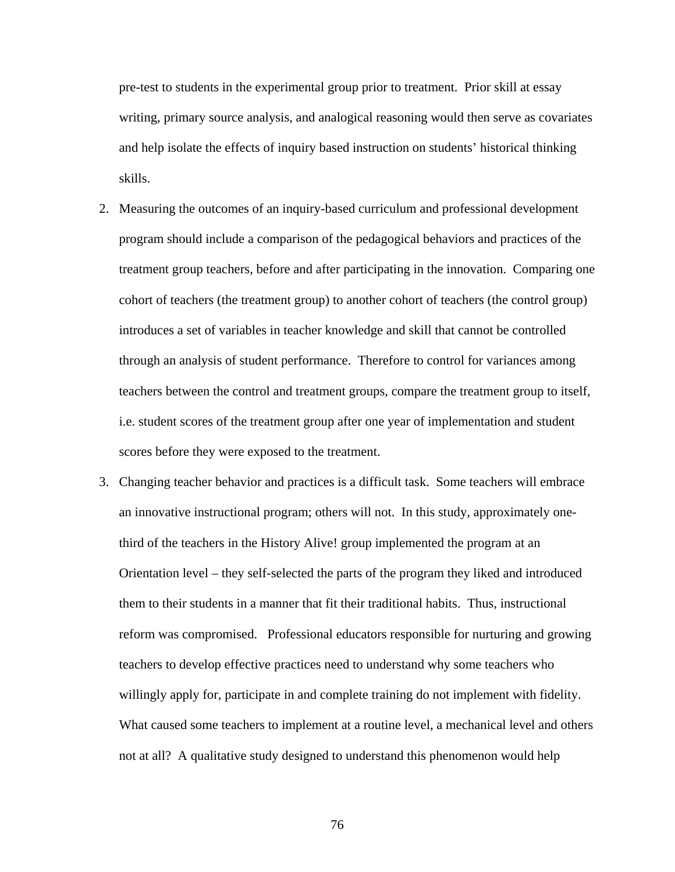pre-test to students in the experimental group prior to treatment. Prior skill at essay writing, primary source analysis, and analogical reasoning would then serve as covariates and help isolate the effects of inquiry based instruction on students' historical thinking skills.

- 2. Measuring the outcomes of an inquiry-based curriculum and professional development program should include a comparison of the pedagogical behaviors and practices of the treatment group teachers, before and after participating in the innovation. Comparing one cohort of teachers (the treatment group) to another cohort of teachers (the control group) introduces a set of variables in teacher knowledge and skill that cannot be controlled through an analysis of student performance. Therefore to control for variances among teachers between the control and treatment groups, compare the treatment group to itself, i.e. student scores of the treatment group after one year of implementation and student scores before they were exposed to the treatment.
- 3. Changing teacher behavior and practices is a difficult task. Some teachers will embrace an innovative instructional program; others will not. In this study, approximately onethird of the teachers in the History Alive! group implemented the program at an Orientation level – they self-selected the parts of the program they liked and introduced them to their students in a manner that fit their traditional habits. Thus, instructional reform was compromised. Professional educators responsible for nurturing and growing teachers to develop effective practices need to understand why some teachers who willingly apply for, participate in and complete training do not implement with fidelity. What caused some teachers to implement at a routine level, a mechanical level and others not at all? A qualitative study designed to understand this phenomenon would help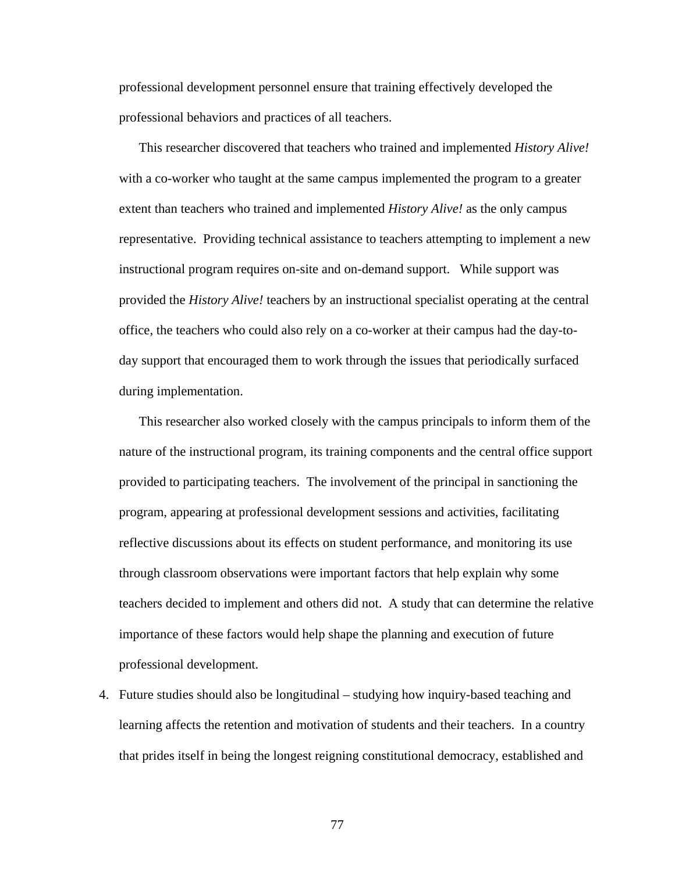professional development personnel ensure that training effectively developed the professional behaviors and practices of all teachers.

This researcher discovered that teachers who trained and implemented *History Alive!*  with a co-worker who taught at the same campus implemented the program to a greater extent than teachers who trained and implemented *History Alive!* as the only campus representative. Providing technical assistance to teachers attempting to implement a new instructional program requires on-site and on-demand support. While support was provided the *History Alive!* teachers by an instructional specialist operating at the central office, the teachers who could also rely on a co-worker at their campus had the day-today support that encouraged them to work through the issues that periodically surfaced during implementation.

This researcher also worked closely with the campus principals to inform them of the nature of the instructional program, its training components and the central office support provided to participating teachers. The involvement of the principal in sanctioning the program, appearing at professional development sessions and activities, facilitating reflective discussions about its effects on student performance, and monitoring its use through classroom observations were important factors that help explain why some teachers decided to implement and others did not. A study that can determine the relative importance of these factors would help shape the planning and execution of future professional development.

4. Future studies should also be longitudinal – studying how inquiry-based teaching and learning affects the retention and motivation of students and their teachers. In a country that prides itself in being the longest reigning constitutional democracy, established and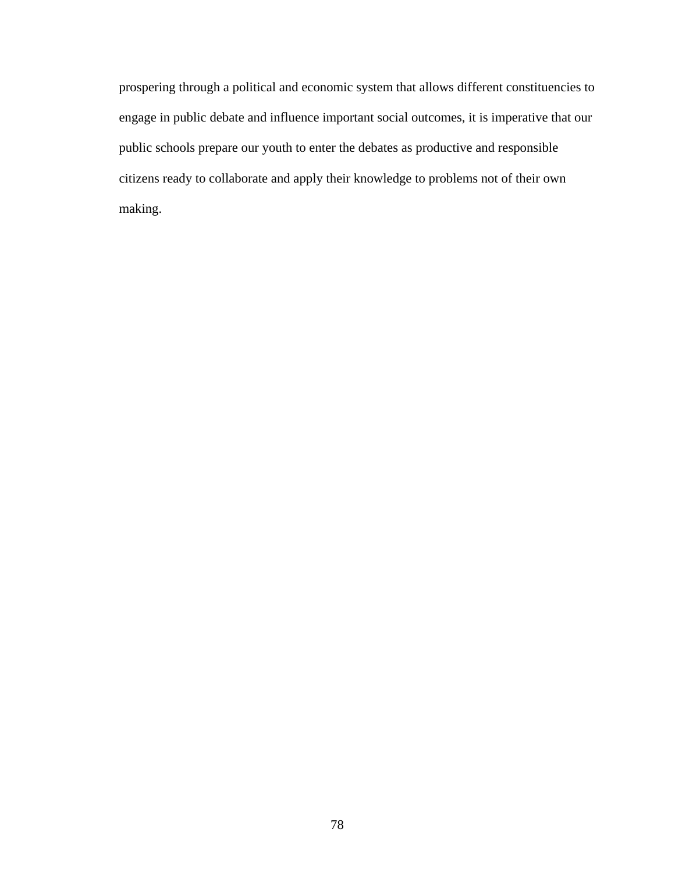prospering through a political and economic system that allows different constituencies to engage in public debate and influence important social outcomes, it is imperative that our public schools prepare our youth to enter the debates as productive and responsible citizens ready to collaborate and apply their knowledge to problems not of their own making.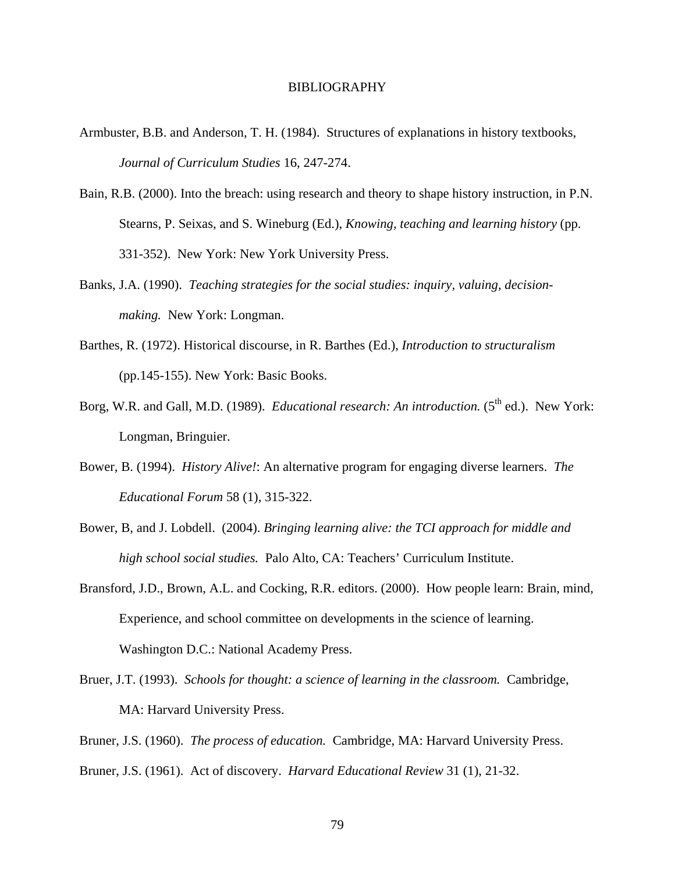### BIBLIOGRAPHY

- Armbuster, B.B. and Anderson, T. H. (1984). Structures of explanations in history textbooks, *Journal of Curriculum Studies* 16, 247-274.
- Bain, R.B. (2000). Into the breach: using research and theory to shape history instruction, in P.N. Stearns, P. Seixas, and S. Wineburg (Ed.), *Knowing, teaching and learning history* (pp. 331-352). New York: New York University Press.
- Banks, J.A. (1990). *Teaching strategies for the social studies: inquiry, valuing, decisionmaking.* New York: Longman.
- Barthes, R. (1972). Historical discourse, in R. Barthes (Ed.), *Introduction to structuralism*  (pp.145-155). New York: Basic Books.
- Borg, W.R. and Gall, M.D. (1989). *Educational research: An introduction.* (5<sup>th</sup> ed.). New York: Longman, Bringuier.
- Bower, B. (1994). *History Alive!*: An alternative program for engaging diverse learners. *The Educational Forum* 58 (1), 315-322.
- Bower, B, and J. Lobdell. (2004). *Bringing learning alive: the TCI approach for middle and high school social studies.* Palo Alto, CA: Teachers' Curriculum Institute.
- Bransford, J.D., Brown, A.L. and Cocking, R.R. editors. (2000). How people learn: Brain, mind, Experience, and school committee on developments in the science of learning. Washington D.C.: National Academy Press.
- Bruer, J.T. (1993). *Schools for thought: a science of learning in the classroom.* Cambridge, MA: Harvard University Press.
- Bruner, J.S. (1960). *The process of education.* Cambridge, MA: Harvard University Press.
- Bruner, J.S. (1961). Act of discovery. *Harvard Educational Review* 31 (1), 21-32.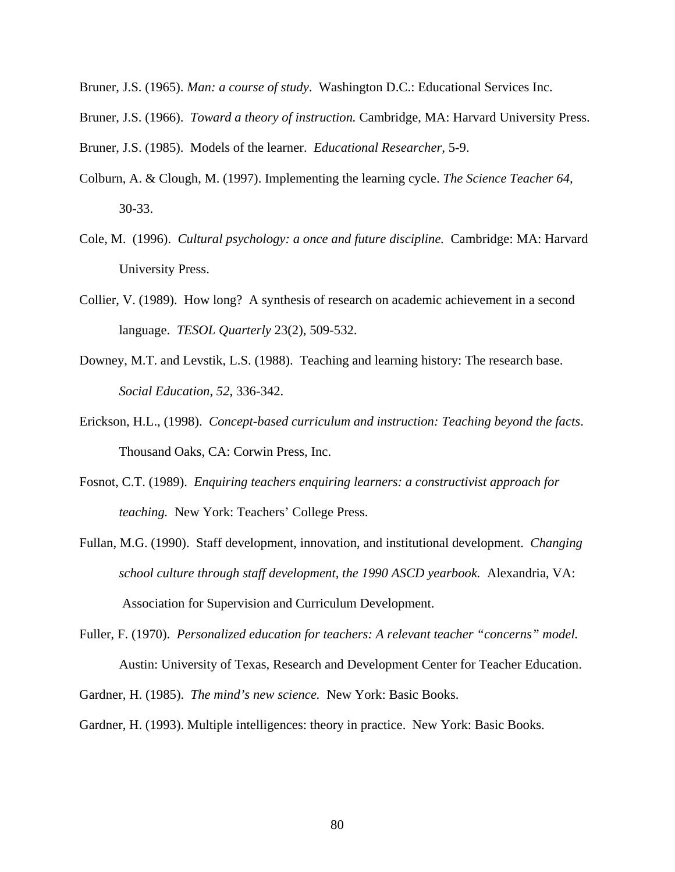- Bruner, J.S. (1965). *Man: a course of study*. Washington D.C.: Educational Services Inc.
- Bruner, J.S. (1966). *Toward a theory of instruction.* Cambridge, MA: Harvard University Press.

Bruner, J.S. (1985). Models of the learner. *Educational Researcher,* 5-9.

- Colburn, A. & Clough, M. (1997). Implementing the learning cycle. *The Science Teacher 64,* 30-33.
- Cole, M. (1996). *Cultural psychology: a once and future discipline.* Cambridge: MA: Harvard University Press.
- Collier, V. (1989). How long? A synthesis of research on academic achievement in a second language. *TESOL Quarterly* 23(2), 509-532.
- Downey, M.T. and Levstik, L.S. (1988). Teaching and learning history: The research base. *Social Education, 52*, 336-342.
- Erickson, H.L., (1998). *Concept-based curriculum and instruction: Teaching beyond the facts*. Thousand Oaks, CA: Corwin Press, Inc.
- Fosnot, C.T. (1989). *Enquiring teachers enquiring learners: a constructivist approach for teaching.* New York: Teachers' College Press.
- Fullan, M.G. (1990). Staff development, innovation, and institutional development. *Changing school culture through staff development, the 1990 ASCD yearbook.* Alexandria, VA: Association for Supervision and Curriculum Development.
- Fuller, F. (1970). *Personalized education for teachers: A relevant teacher "concerns" model.* Austin: University of Texas, Research and Development Center for Teacher Education.
- Gardner, H. (1985). *The mind's new science.* New York: Basic Books.

Gardner, H. (1993). Multiple intelligences: theory in practice. New York: Basic Books.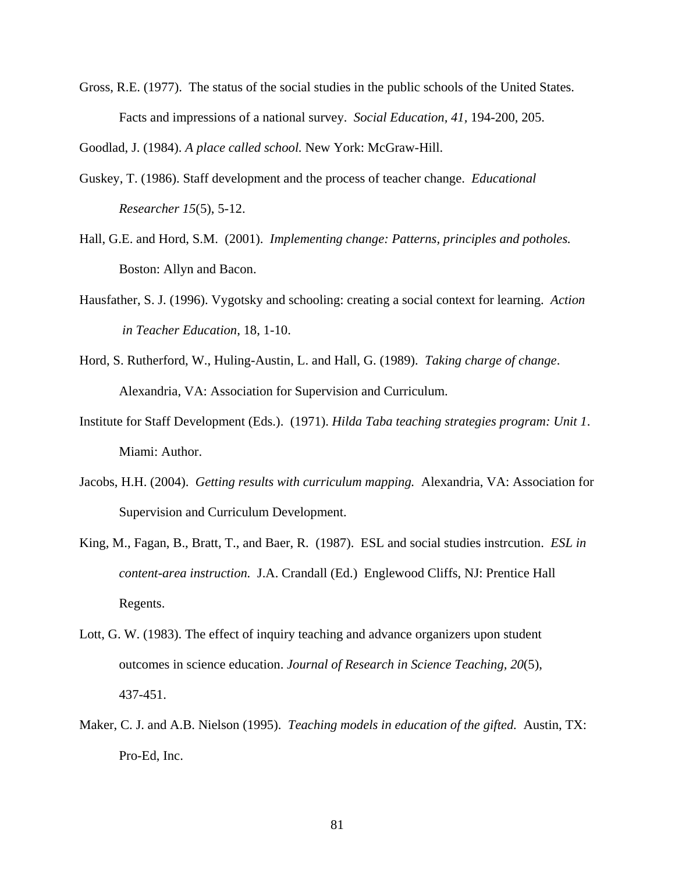Gross, R.E. (1977). The status of the social studies in the public schools of the United States. Facts and impressions of a national survey. *Social Education, 41,* 194-200, 205.

Goodlad, J. (1984). *A place called school.* New York: McGraw-Hill.

- Guskey, T. (1986). Staff development and the process of teacher change. *Educational Researcher 15*(5), 5-12.
- Hall, G.E. and Hord, S.M. (2001). *Implementing change: Patterns, principles and potholes.* Boston: Allyn and Bacon.
- Hausfather, S. J. (1996). Vygotsky and schooling: creating a social context for learning. *Action in Teacher Education*, 18, 1-10.
- Hord, S. Rutherford, W., Huling-Austin, L. and Hall, G. (1989). *Taking charge of change*. Alexandria, VA: Association for Supervision and Curriculum.
- Institute for Staff Development (Eds.). (1971). *Hilda Taba teaching strategies program: Unit 1*. Miami: Author.
- Jacobs, H.H. (2004). *Getting results with curriculum mapping.* Alexandria, VA: Association for Supervision and Curriculum Development.
- King, M., Fagan, B., Bratt, T., and Baer, R. (1987). ESL and social studies instrcution. *ESL in content-area instruction.* J.A. Crandall (Ed.) Englewood Cliffs, NJ: Prentice Hall Regents.
- Lott, G. W. (1983). The effect of inquiry teaching and advance organizers upon student outcomes in science education. *Journal of Research in Science Teaching, 20*(5), 437-451.
- Maker, C. J. and A.B. Nielson (1995). *Teaching models in education of the gifted.* Austin, TX: Pro-Ed, Inc.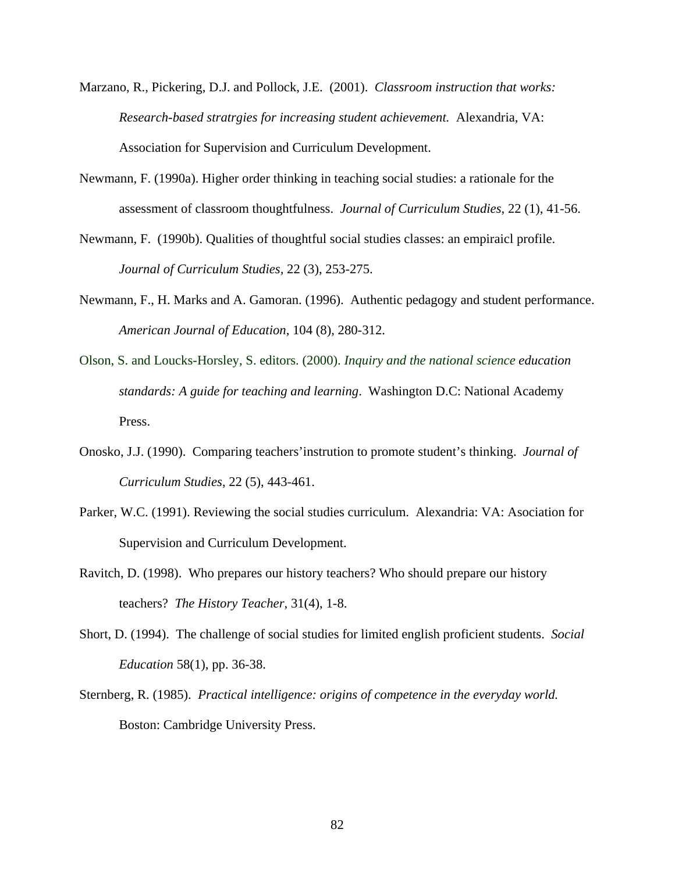- Marzano, R., Pickering, D.J. and Pollock, J.E. (2001). *Classroom instruction that works: Research-based stratrgies for increasing student achievement.* Alexandria, VA: Association for Supervision and Curriculum Development.
- Newmann, F. (1990a). Higher order thinking in teaching social studies: a rationale for the assessment of classroom thoughtfulness. *Journal of Curriculum Studies*, 22 (1), 41-56.
- Newmann, F. (1990b). Qualities of thoughtful social studies classes: an empiraicl profile. *Journal of Curriculum Studies,* 22 (3), 253-275.
- Newmann, F., H. Marks and A. Gamoran. (1996). Authentic pedagogy and student performance. *American Journal of Education*, 104 (8), 280-312.
- Olson, S. and Loucks-Horsley, S. editors. (2000). *Inquiry and the national science education standards: A guide for teaching and learning*. Washington D.C: National Academy Press.
- Onosko, J.J. (1990). Comparing teachers'instrution to promote student's thinking. *Journal of Curriculum Studies*, 22 (5), 443-461.
- Parker, W.C. (1991). Reviewing the social studies curriculum. Alexandria: VA: Asociation for Supervision and Curriculum Development.
- Ravitch, D. (1998). Who prepares our history teachers? Who should prepare our history teachers? *The History Teacher,* 31(4), 1-8.
- Short, D. (1994). The challenge of social studies for limited english proficient students. *Social Education* 58(1), pp. 36-38.
- Sternberg, R. (1985). *Practical intelligence: origins of competence in the everyday world.* Boston: Cambridge University Press.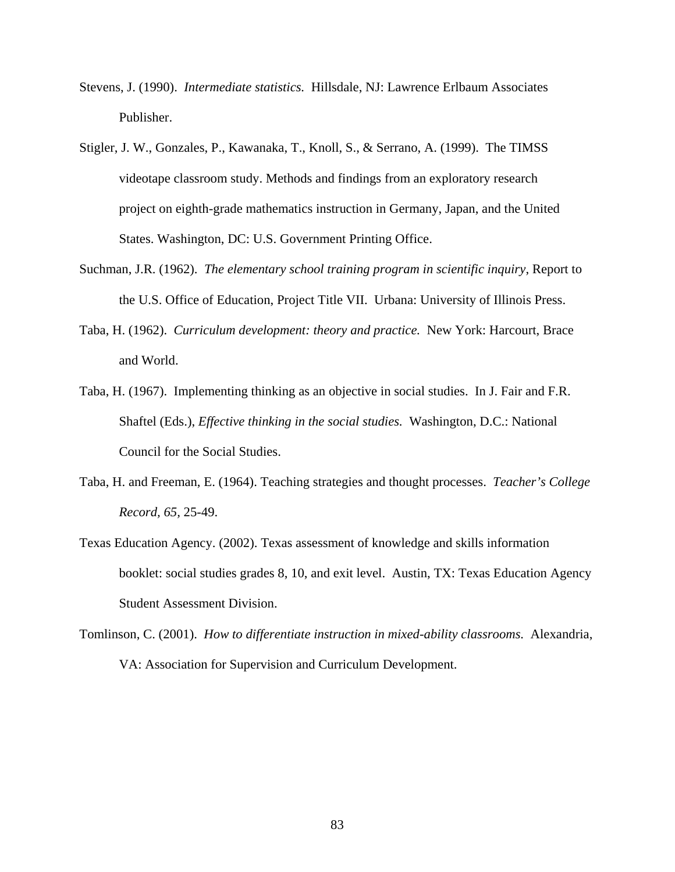- Stevens, J. (1990). *Intermediate statistics.* Hillsdale, NJ: Lawrence Erlbaum Associates Publisher.
- Stigler, J. W., Gonzales, P., Kawanaka, T., Knoll, S., & Serrano, A. (1999). The TIMSS videotape classroom study. Methods and findings from an exploratory research project on eighth-grade mathematics instruction in Germany, Japan, and the United States. Washington, DC: U.S. Government Printing Office.
- Suchman, J.R. (1962). *The elementary school training program in scientific inquiry*, Report to the U.S. Office of Education, Project Title VII. Urbana: University of Illinois Press.
- Taba, H. (1962). *Curriculum development: theory and practice.* New York: Harcourt, Brace and World.
- Taba, H. (1967). Implementing thinking as an objective in social studies. In J. Fair and F.R. Shaftel (Eds.), *Effective thinking in the social studies.* Washington, D.C.: National Council for the Social Studies.
- Taba, H. and Freeman, E. (1964). Teaching strategies and thought processes. *Teacher's College Record, 65,* 25-49.
- Texas Education Agency. (2002). Texas assessment of knowledge and skills information booklet: social studies grades 8, 10, and exit level. Austin, TX: Texas Education Agency Student Assessment Division.
- Tomlinson, C. (2001). *How to differentiate instruction in mixed-ability classrooms.* Alexandria, VA: Association for Supervision and Curriculum Development.